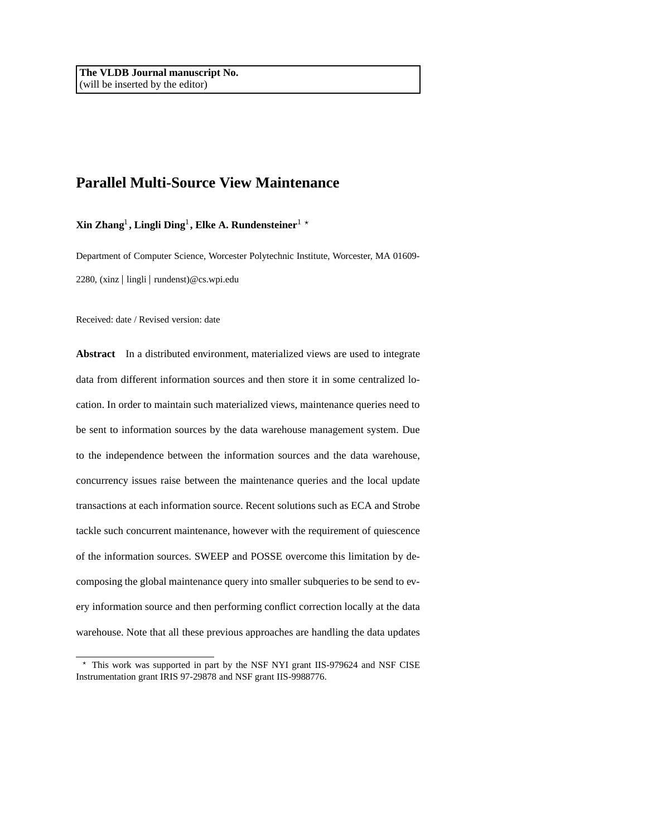**The VLDB Journal manuscript No.** (will be inserted by the editor)

# **Parallel Multi-Source View Maintenance**

**Xin Zhang<sup>1</sup>, Lingli Ding<sup>1</sup>, Elke A. Rundensteiner<sup>1</sup> \*** 

Department of Computer Science, Worcester Polytechnic Institute, Worcester, MA 01609- 2280, (xinz lingli rundenst)@cs.wpi.edu

Received: date / Revised version: date

**Abstract** In a distributed environment, materialized views are used to integrate data from different information sources and then store it in some centralized location. In order to maintain such materialized views, maintenance queries need to be sent to information sources by the data warehouse management system. Due to the independence between the information sources and the data warehouse, concurrency issues raise between the maintenance queries and the local update transactions at each information source. Recent solutions such as ECA and Strobe tackle such concurrent maintenance, however with the requirement of quiescence of the information sources. SWEEP and POSSE overcome this limitation by decomposing the global maintenance query into smaller subqueries to be send to every information source and then performing conflict correction locally at the data warehouse. Note that all these previous approaches are handling the data updates

This work was supported in part by the NSF NYI grant IIS-979624 and NSF CISE Instrumentation grant IRIS 97-29878 and NSF grant IIS-9988776.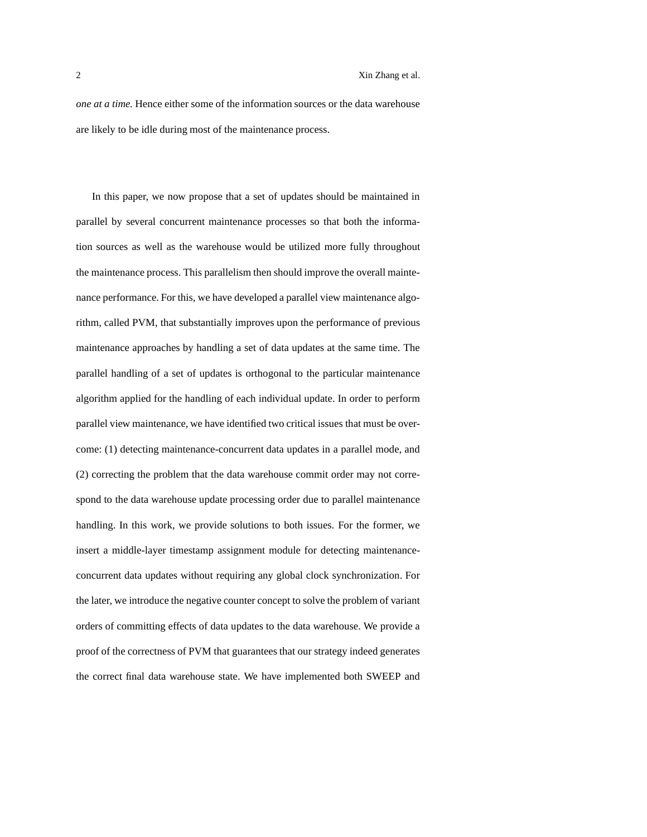*one at a time.* Hence either some of the information sources or the data warehouse are likely to be idle during most of the maintenance process.

In this paper, we now propose that a set of updates should be maintained in parallel by several concurrent maintenance processes so that both the information sources as well as the warehouse would be utilized more fully throughout the maintenance process. This parallelism then should improve the overall maintenance performance. For this, we have developed a parallel view maintenance algorithm, called PVM, that substantially improves upon the performance of previous maintenance approaches by handling a set of data updates at the same time. The parallel handling of a set of updates is orthogonal to the particular maintenance algorithm applied for the handling of each individual update. In order to perform parallel view maintenance, we have identified two critical issues that must be overcome: (1) detecting maintenance-concurrent data updates in a parallel mode, and (2) correcting the problem that the data warehouse commit order may not correspond to the data warehouse update processing order due to parallel maintenance handling. In this work, we provide solutions to both issues. For the former, we insert a middle-layer timestamp assignment module for detecting maintenanceconcurrent data updates without requiring any global clock synchronization. For the later, we introduce the negative counter concept to solve the problem of variant orders of committing effects of data updates to the data warehouse. We provide a proof of the correctness of PVM that guarantees that our strategy indeed generates the correct final data warehouse state. We have implemented both SWEEP and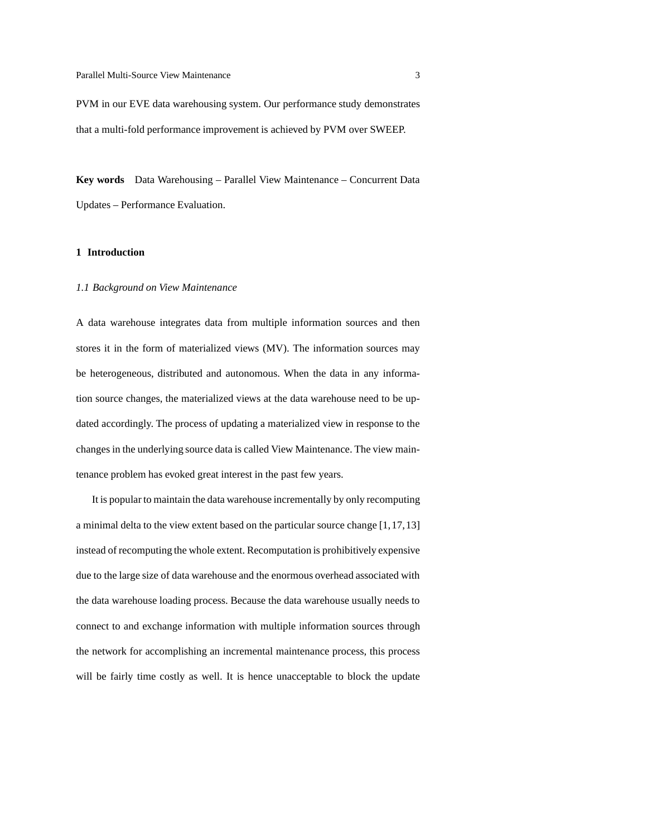PVM in our EVE data warehousing system. Our performance study demonstrates that a multi-fold performance improvement is achieved by PVM over SWEEP.

**Key words** Data Warehousing – Parallel View Maintenance – Concurrent Data Updates – Performance Evaluation.

# **1 Introduction**

### *1.1 Background on View Maintenance*

A data warehouse integrates data from multiple information sources and then stores it in the form of materialized views (MV). The information sources may be heterogeneous, distributed and autonomous. When the data in any information source changes, the materialized views at the data warehouse need to be updated accordingly. The process of updating a materialized view in response to the changes in the underlying source data is called View Maintenance. The view maintenance problem has evoked great interest in the past few years.

It is popular to maintain the data warehouse incrementally by only recomputing a minimal delta to the view extent based on the particular source change [1,17,13] instead of recomputing the whole extent. Recomputation is prohibitively expensive due to the large size of data warehouse and the enormous overhead associated with the data warehouse loading process. Because the data warehouse usually needs to connect to and exchange information with multiple information sources through the network for accomplishing an incremental maintenance process, this process will be fairly time costly as well. It is hence unacceptable to block the update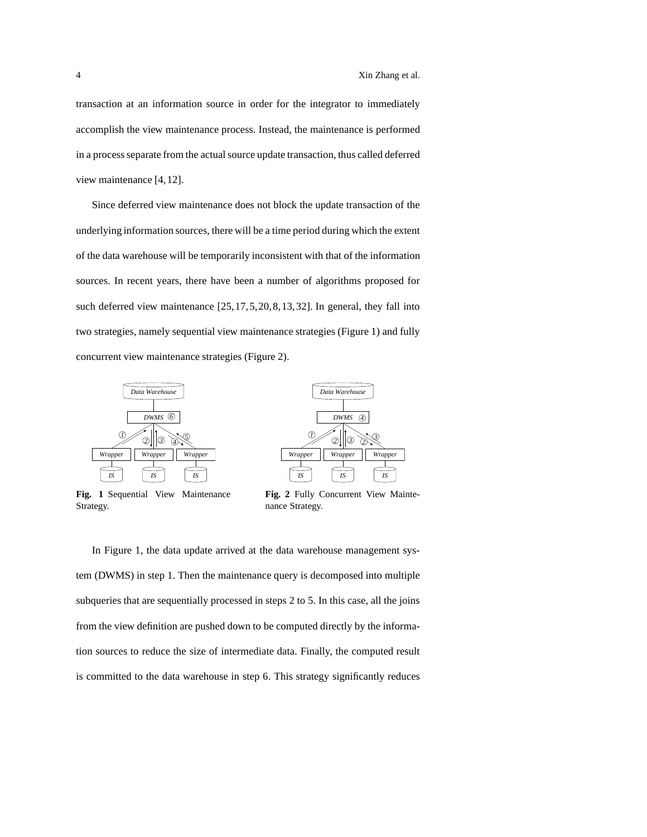transaction at an information source in order for the integrator to immediately accomplish the view maintenance process. Instead, the maintenance is performed in a process separate from the actual source update transaction, thus called deferred view maintenance [4,12].

Since deferred view maintenance does not block the update transaction of the underlying information sources, there will be a time period during which the extent of the data warehouse will be temporarily inconsistent with that of the information sources. In recent years, there have been a number of algorithms proposed for such deferred view maintenance [25,17,5,20,8,13,32]. In general, they fall into two strategies, namely sequential view maintenance strategies (Figure 1) and fully concurrent view maintenance strategies (Figure 2).





**Fig. 1** Sequential View Maintenance Strategy.

**Fig. 2** Fully Concurrent View Maintenance Strategy.

In Figure 1, the data update arrived at the data warehouse management system (DWMS) in step 1. Then the maintenance query is decomposed into multiple subqueries that are sequentially processed in steps 2 to 5. In this case, all the joins from the view definition are pushed down to be computed directly by the information sources to reduce the size of intermediate data. Finally, the computed result is committed to the data warehouse in step 6. This strategy significantly reduces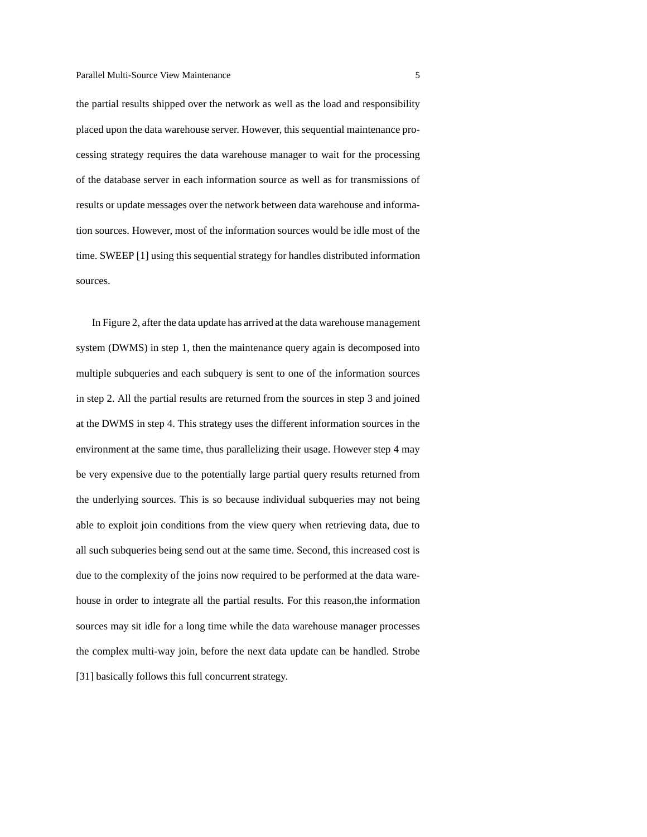the partial results shipped over the network as well as the load and responsibility placed upon the data warehouse server. However, this sequential maintenance processing strategy requires the data warehouse manager to wait for the processing of the database server in each information source as well as for transmissions of results or update messages over the network between data warehouse and information sources. However, most of the information sources would be idle most of the time. SWEEP [1] using this sequential strategy for handles distributed information sources.

In Figure 2, after the data update has arrived at the data warehouse management system (DWMS) in step 1, then the maintenance query again is decomposed into multiple subqueries and each subquery is sent to one of the information sources in step 2. All the partial results are returned from the sources in step 3 and joined at the DWMS in step 4. This strategy uses the different information sources in the environment at the same time, thus parallelizing their usage. However step 4 may be very expensive due to the potentially large partial query results returned from the underlying sources. This is so because individual subqueries may not being able to exploit join conditions from the view query when retrieving data, due to all such subqueries being send out at the same time. Second, this increased cost is due to the complexity of the joins now required to be performed at the data warehouse in order to integrate all the partial results. For this reason,the information sources may sit idle for a long time while the data warehouse manager processes the complex multi-way join, before the next data update can be handled. Strobe [31] basically follows this full concurrent strategy.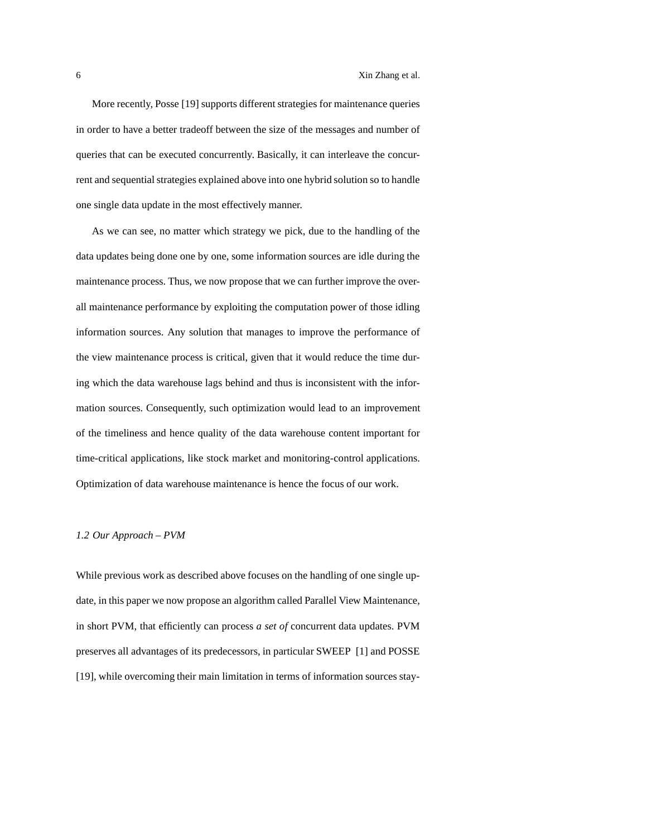More recently, Posse [19] supports different strategies for maintenance queries in order to have a better tradeoff between the size of the messages and number of queries that can be executed concurrently. Basically, it can interleave the concurrent and sequential strategies explained above into one hybrid solution so to handle one single data update in the most effectively manner.

As we can see, no matter which strategy we pick, due to the handling of the data updates being done one by one, some information sources are idle during the maintenance process. Thus, we now propose that we can further improve the overall maintenance performance by exploiting the computation power of those idling information sources. Any solution that manages to improve the performance of the view maintenance process is critical, given that it would reduce the time during which the data warehouse lags behind and thus is inconsistent with the information sources. Consequently, such optimization would lead to an improvement of the timeliness and hence quality of the data warehouse content important for time-critical applications, like stock market and monitoring-control applications. Optimization of data warehouse maintenance is hence the focus of our work.

### *1.2 Our Approach – PVM*

While previous work as described above focuses on the handling of one single update, in this paper we now propose an algorithm called Parallel View Maintenance, in short PVM, that efficiently can process *a set of* concurrent data updates. PVM preserves all advantages of its predecessors, in particular SWEEP [1] and POSSE [19], while overcoming their main limitation in terms of information sources stay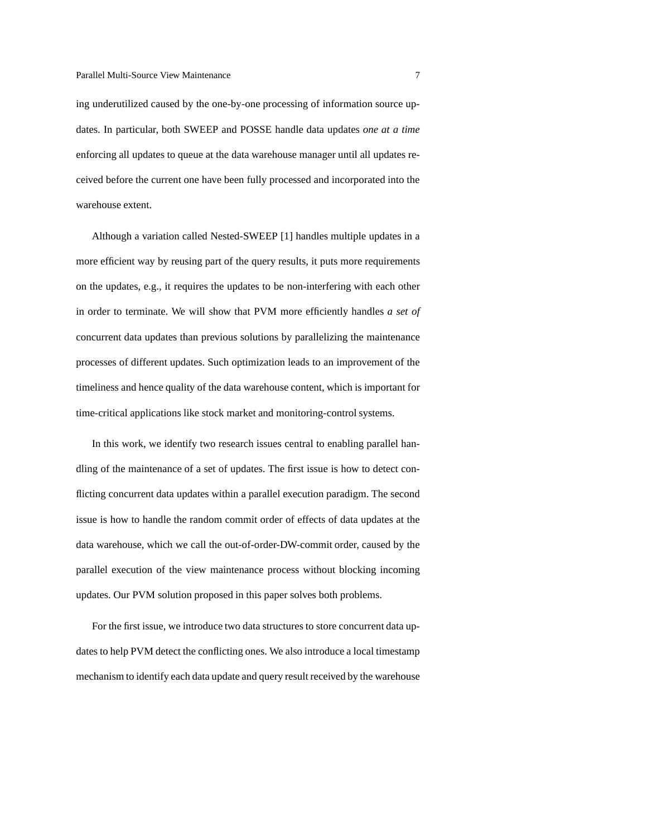ing underutilized caused by the one-by-one processing of information source updates. In particular, both SWEEP and POSSE handle data updates *one at a time* enforcing all updates to queue at the data warehouse manager until all updates received before the current one have been fully processed and incorporated into the warehouse extent.

Although a variation called Nested-SWEEP [1] handles multiple updates in a more efficient way by reusing part of the query results, it puts more requirements on the updates, e.g., it requires the updates to be non-interfering with each other in order to terminate. We will show that PVM more efficiently handles *a set of* concurrent data updates than previous solutions by parallelizing the maintenance processes of different updates. Such optimization leads to an improvement of the timeliness and hence quality of the data warehouse content, which is important for time-critical applications like stock market and monitoring-control systems.

In this work, we identify two research issues central to enabling parallel handling of the maintenance of a set of updates. The first issue is how to detect conflicting concurrent data updates within a parallel execution paradigm. The second issue is how to handle the random commit order of effects of data updates at the data warehouse, which we call the out-of-order-DW-commit order, caused by the parallel execution of the view maintenance process without blocking incoming updates. Our PVM solution proposed in this paper solves both problems.

For the first issue, we introduce two data structures to store concurrent data updates to help PVM detect the conflicting ones. We also introduce a local timestamp mechanism to identify each data update and query result received by the warehouse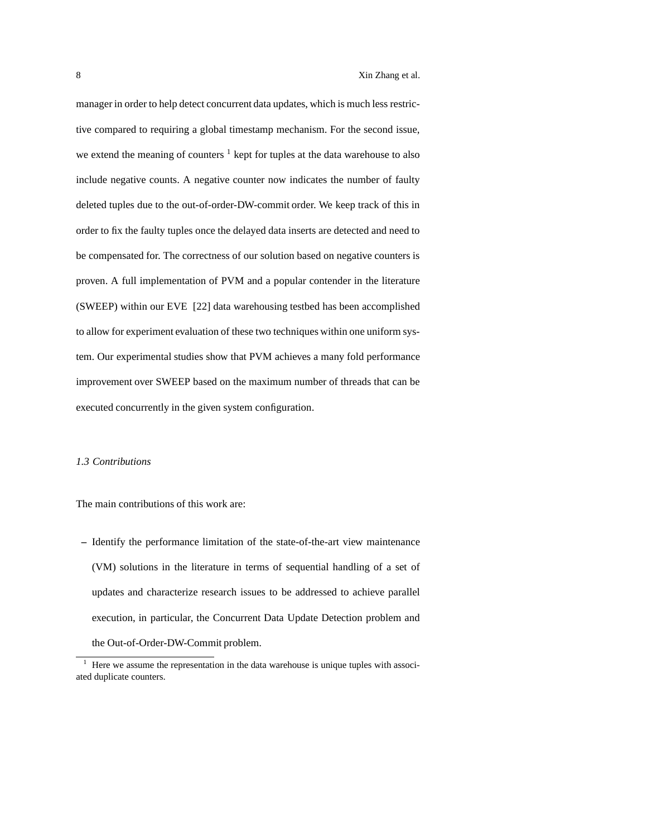manager in order to help detect concurrent data updates, which is much less restrictive compared to requiring a global timestamp mechanism. For the second issue, we extend the meaning of counters  $<sup>1</sup>$  kept for tuples at the data warehouse to also</sup> include negative counts. A negative counter now indicates the number of faulty deleted tuples due to the out-of-order-DW-commit order. We keep track of this in order to fix the faulty tuples once the delayed data inserts are detected and need to be compensated for. The correctness of our solution based on negative counters is proven. A full implementation of PVM and a popular contender in the literature (SWEEP) within our EVE [22] data warehousing testbed has been accomplished to allow for experiment evaluation of these two techniques within one uniform system. Our experimental studies show that PVM achieves a many fold performance improvement over SWEEP based on the maximum number of threads that can be executed concurrently in the given system configuration.

### *1.3 Contributions*

The main contributions of this work are:

**–** Identify the performance limitation of the state-of-the-art view maintenance (VM) solutions in the literature in terms of sequential handling of a set of updates and characterize research issues to be addressed to achieve parallel execution, in particular, the Concurrent Data Update Detection problem and the Out-of-Order-DW-Commit problem.

<sup>1</sup> Here we assume the representation in the data warehouse is unique tuples with associated duplicate counters.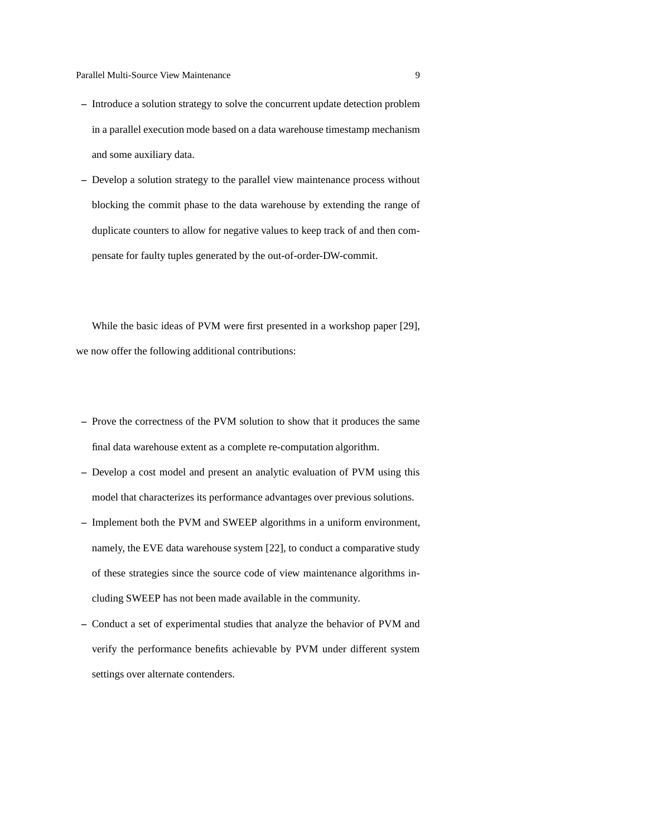- **–** Introduce a solution strategy to solve the concurrent update detection problem in a parallel execution mode based on a data warehouse timestamp mechanism and some auxiliary data.
- **–** Develop a solution strategy to the parallel view maintenance process without blocking the commit phase to the data warehouse by extending the range of duplicate counters to allow for negative values to keep track of and then compensate for faulty tuples generated by the out-of-order-DW-commit.

While the basic ideas of PVM were first presented in a workshop paper [29], we now offer the following additional contributions:

- **–** Prove the correctness of the PVM solution to show that it produces the same final data warehouse extent as a complete re-computation algorithm.
- **–** Develop a cost model and present an analytic evaluation of PVM using this model that characterizes its performance advantages over previous solutions.
- **–** Implement both the PVM and SWEEP algorithms in a uniform environment, namely, the EVE data warehouse system [22], to conduct a comparative study of these strategies since the source code of view maintenance algorithms including SWEEP has not been made available in the community.
- **–** Conduct a set of experimental studies that analyze the behavior of PVM and verify the performance benefits achievable by PVM under different system settings over alternate contenders.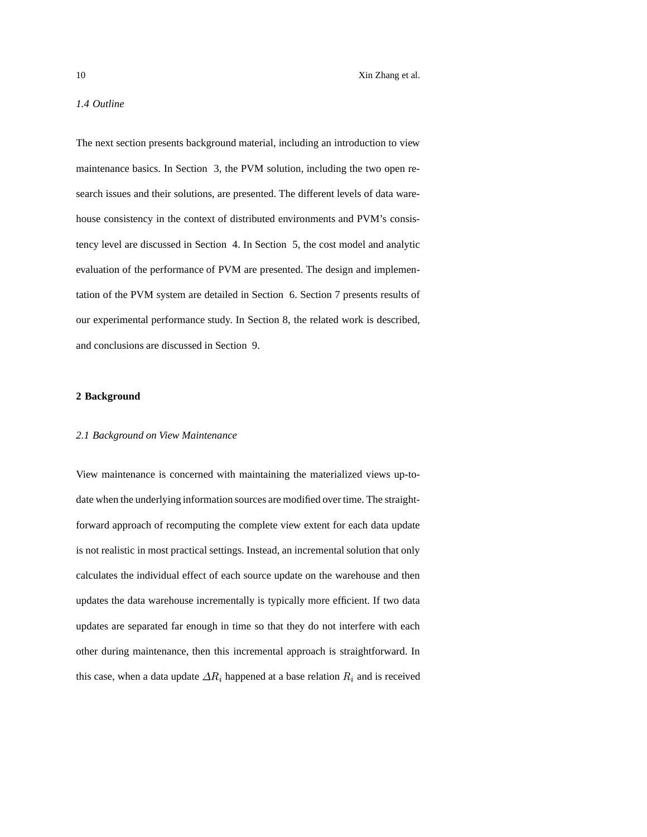# *1.4 Outline*

The next section presents background material, including an introduction to view maintenance basics. In Section 3, the PVM solution, including the two open research issues and their solutions, are presented. The different levels of data warehouse consistency in the context of distributed environments and PVM's consistency level are discussed in Section 4. In Section 5, the cost model and analytic evaluation of the performance of PVM are presented. The design and implementation of the PVM system are detailed in Section 6. Section 7 presents results of our experimental performance study. In Section 8, the related work is described, and conclusions are discussed in Section 9.

# **2 Background**

# *2.1 Background on View Maintenance*

View maintenance is concerned with maintaining the materialized views up-todate when the underlying information sources are modified over time. The straightforward approach of recomputing the complete view extent for each data update is not realistic in most practical settings. Instead, an incremental solution that only calculates the individual effect of each source update on the warehouse and then updates the data warehouse incrementally is typically more efficient. If two data updates are separated far enough in time so that they do not interfere with each other during maintenance, then this incremental approach is straightforward. In this case, when a data update  $\Delta R_i$  happened at a base relation  $R_i$  and is received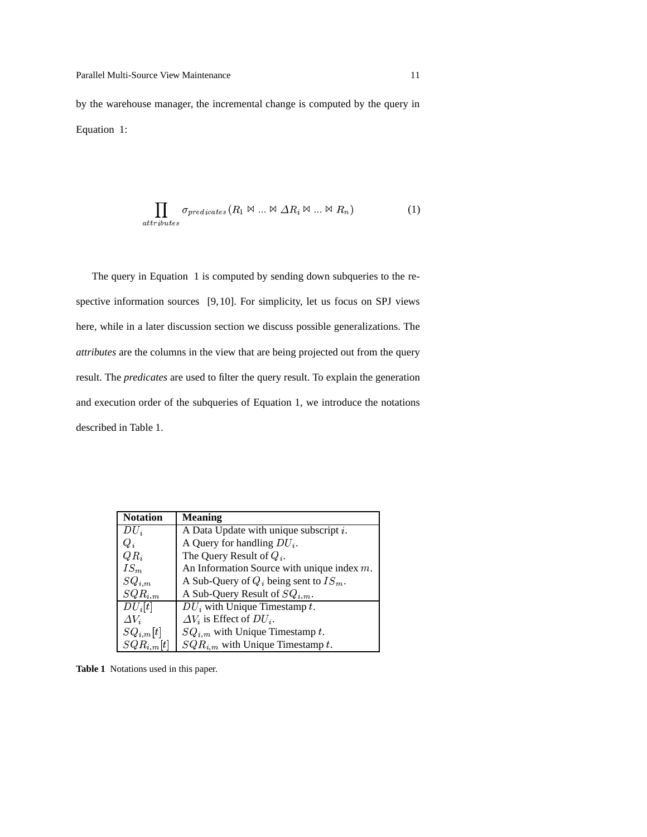by the warehouse manager, the incremental change is computed by the query in Equation 1:

$$
\prod_{attributes} \sigma_{predicates}(R_1 \bowtie ... \bowtie \triangle R_i \bowtie ... \bowtie R_n)
$$
 (1)

The query in Equation 1 is computed by sending down subqueries to the respective information sources [9,10]. For simplicity, let us focus on SPJ views here, while in a later discussion section we discuss possible generalizations. The *attributes* are the columns in the view that are being projected out from the query result. The *predicates* are used to filter the query result. To explain the generation and execution order of the subqueries of Equation 1, we introduce the notations described in Table 1.

| <b>Notation</b> | <b>Meaning</b>                                |
|-----------------|-----------------------------------------------|
| $DU_i$          | A Data Update with unique subscript $i$ .     |
| $Q_i$           | A Query for handling $DU_i$ .                 |
| $QR_i$          | The Query Result of $Q_i$ .                   |
| $IS_m$          | An Information Source with unique index $m$ . |
| $SQ_{i,m}$      | A Sub-Query of $Q_i$ being sent to $IS_m$ .   |
| $SQR_{i,m}$     | A Sub-Query Result of $SQ_{i,m}$ .            |
| $DU_i[t]$       | $DU_i$ with Unique Timestamp t.               |
| $\Delta V_i$    | $\Delta V_i$ is Effect of $DU_i$ .            |
| $SQ_{i,m}[t]$   | $SQ_{i,m}$ with Unique Timestamp t.           |
| $SQR_{i,m}[t]$  | $SQR_{i,m}$ with Unique Timestamp t.          |

**Table 1** Notations used in this paper.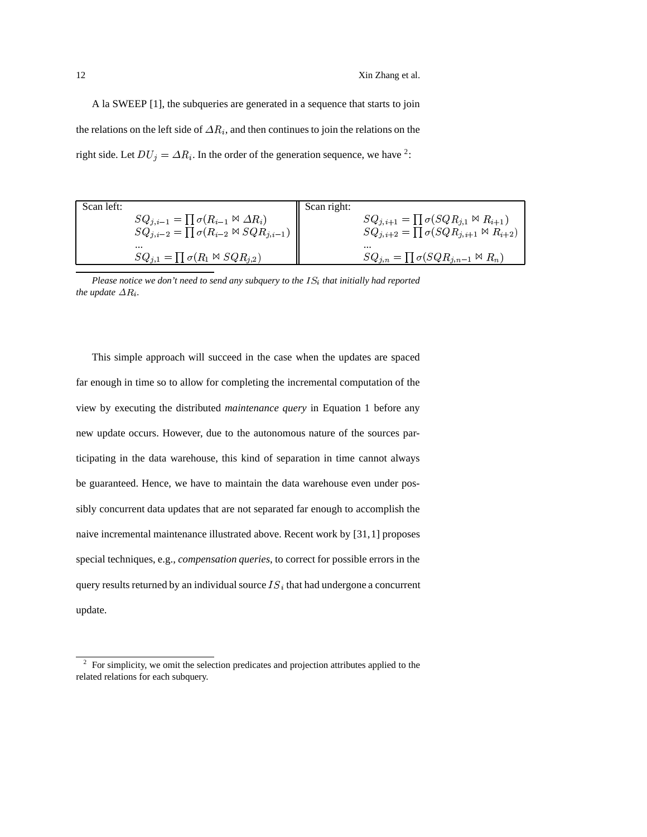### 12 Xin Zhang et al.

A la SWEEP [1], the subqueries are generated in a sequence that starts to join the relations on the left side of  $\varDelta R_i$ , and then continues to join the relations on the right side. Let  $DU_i = \Delta R_i$ . In the order of the generation sequence, we have <sup>2</sup>:

| Scan left: |                                                                                                                                                   | Scan right: |                                                          |
|------------|---------------------------------------------------------------------------------------------------------------------------------------------------|-------------|----------------------------------------------------------|
|            |                                                                                                                                                   |             | $SQ_{j,i+1} = \prod \sigma(SQR_{j,1} \bowtie R_{i+1})$   |
|            | $\begin{array}{l} SQ_{j,i-1} = \prod \sigma(R_{i-1} \bowtie \Delta R_i) \\ SQ_{j,i-2} = \prod \sigma(R_{i-2} \bowtie SQ_{R_{j,i-1}}) \end{array}$ |             | $SQ_{j,i+2} = \prod \sigma(SQR_{j,i+1} \bowtie R_{i+2})$ |
|            | $\cdots$                                                                                                                                          |             | $\cdots$                                                 |
|            | $SQ_{i,1} = \prod \sigma(R_1 \bowtie SQR_{i,2})$                                                                                                  |             | $SQ_{i,n} = \prod \sigma(SQR_{i,n-1} \bowtie R_n)$       |

*Please* notice we don't need to send any subquery to the  $IS_i$  that initially had reported *the update*  $\Delta R_i$ *.* 

This simple approach will succeed in the case when the updates are spaced far enough in time so to allow for completing the incremental computation of the view by executing the distributed *maintenance query* in Equation 1 before any new update occurs. However, due to the autonomous nature of the sources participating in the data warehouse, this kind of separation in time cannot always be guaranteed. Hence, we have to maintain the data warehouse even under possibly concurrent data updates that are not separated far enough to accomplish the naive incremental maintenance illustrated above. Recent work by [31,1] proposes special techniques, e.g., *compensation queries*, to correct for possible errors in the query results returned by an individual source  $IS_i$  that had undergone a concurrent update.

 $2^2$  For simplicity, we omit the selection predicates and projection attributes applied to the related relations for each subquery.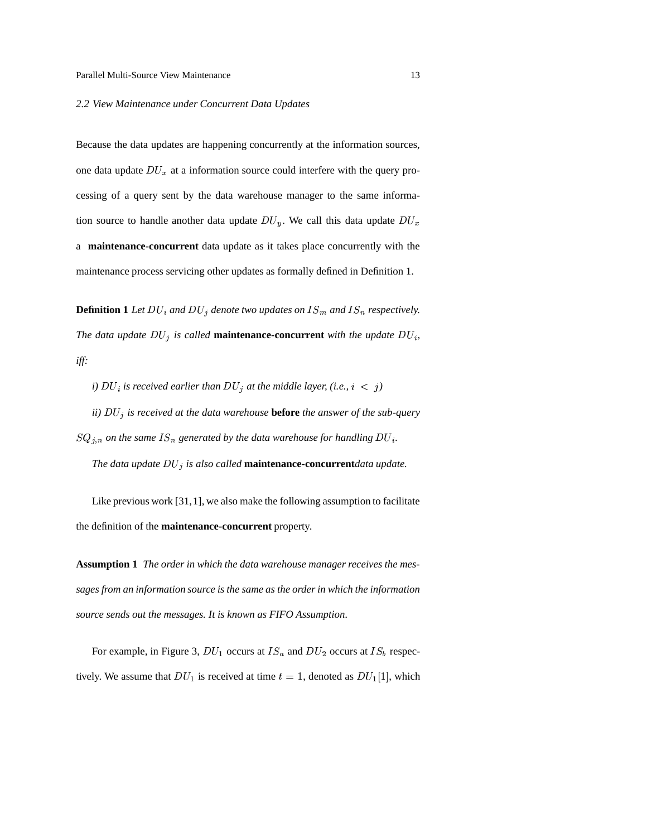## *2.2 View Maintenance under Concurrent Data Updates*

Because the data updates are happening concurrently at the information sources, one data update  $DU_x$  at a information source could interfere with the query processing of a query sent by the data warehouse manager to the same information source to handle another data update  $DU_y$ . We call this data update  $DU_x$ a **maintenance-concurrent** data update as it takes place concurrently with the maintenance process servicing other updates as formally defined in Definition 1.

**Definition 1** Let  $DU_i$  and  $DU_j$  denote two updates on  $IS_m$  and  $IS_n$  respectively. *The data update*  $DU_j$  *is called* **maintenance-concurrent** with the update  $DU_i$ , *iff:*

*i*)  $DU_i$  is received earlier than  $DU_j$  at the middle layer, (i.e.,  $i < j$ )

*ii)* !2" *is received at the data warehouse* **before** *the answer of the sub-query*  $SQ_{j,n}$  on the same  $IS_n$  generated by the data warehouse for handling  $DU_i$ . *The data update*  $DU_{j}$  *is also called* **maintenance-concurrent***data update.* 

Like previous work [31,1], we also make the following assumption to facilitate the definition of the **maintenance-concurrent** property.

**Assumption 1** *The order in which the data warehouse manager receives the messages from an information source is the same as the order in which the information source sends out the messages. It is known as FIFO Assumption.*

For example, in Figure 3,  $DU_1$  occurs at  $IS_a$  and  $DU_2$  occurs at  $IS_b$  respectively. We assume that  $DU_1$  is received at time  $t = 1$ , denoted as  $DU_1[1]$ , which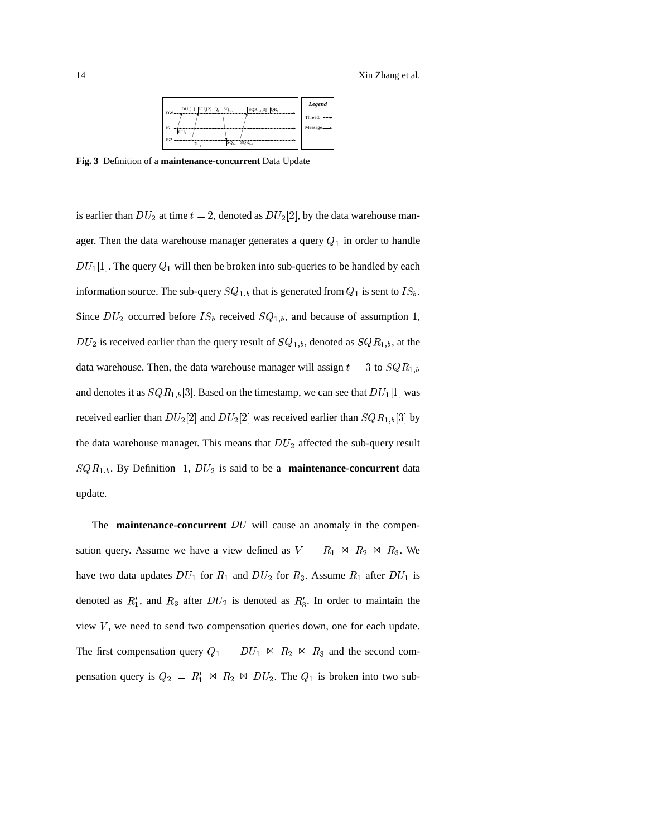

**Fig. 3** Definition of a **maintenance-concurrent** Data Update

is earlier than  $DU_2$  at time  $t = 2$ , denoted as  $DU_2[2]$ , by the data warehouse manager. Then the data warehouse manager generates a query  $Q_1$  in order to handle  $DU_1[1]$ . The query  $Q_1$  will then be broken into sub-queries to be handled by each information source. The sub-query  $SQ_{1,b}$  that is generated from  $Q_1$  is sent to  $IS_b$ . Since  $DU_2$  occurred before  $IS_b$  received  $SQ_{1,b}$ , and because of assumption 1,  $DU_2$  is received earlier than the query result of  $SQ_{1,b}$ , denoted as  $SQR_{1,b}$ , at the data warehouse. Then, the data warehouse manager will assign  $t = 3$  to  $SQR_{1,b}$ and denotes it as  $SQR_{1,b}[3]$ . Based on the timestamp, we can see that  $DU_1[1]$  was received earlier than  $DU_2[2]$  and  $DU_2[2]$  was received earlier than  $SQR_{1,b}[3]$  by the data warehouse manager. This means that  $DU_2$  affected the sub-query result  $SQR_{1,b}$ . By Definition 1,  $DU_2$  is said to be a **maintenance-concurrent** data update.

The **maintenance-concurrent**  $DU$  will cause an anomaly in the compensation query. Assume we have a view defined as  $V = R_1 \bowtie R_2 \bowtie R_3$ . We have two data updates  $DU_1$  for  $R_1$  and  $DU_2$  for  $R_3$ . Assume  $R_1$  after  $DU_1$  is denoted as  $R'_1$ , and  $R_3$  after  $DU_2$  is denoted as  $R'_3$ . In order to maintain the view  $V$ , we need to send two compensation queries down, one for each update. The first compensation query  $Q_1 = DU_1 \bowtie R_2 \bowtie R_3$  and the second compensation query is  $Q_2 = R'_1 \bowtie R_2 \bowtie DU_2$ . The  $Q_1$  is broken into two sub-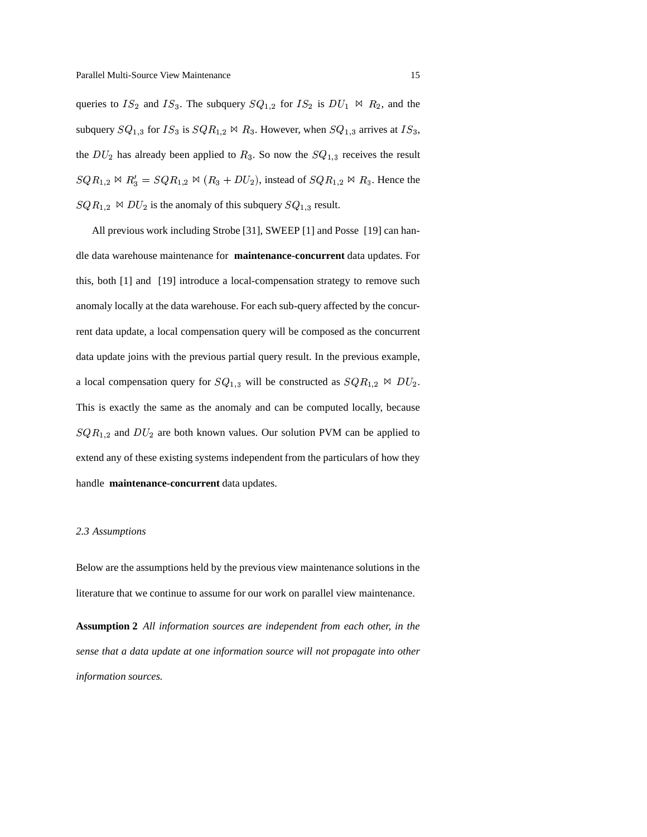queries to  $IS_2$  and  $IS_3$ . The subquery  $SQ_{1,2}$  for  $IS_2$  is  $DU_1 \bowtie R_2$ , and the subquery  $SQ_{1,3}$  for  $IS_3$  is  $SQR_{1,2} \bowtie R_3$ . However, when  $SQ_{1,3}$  arrives at  $IS_3$ , the  $DU_2$  has already been applied to  $R_3$ . So now the  $SQ_{1,3}$  receives the result  $SQR_{1,2} \bowtie R'_3 = SQR_{1,2} \bowtie (R_3 + DU_2)$ , instead of  $SQR_{1,2} \bowtie R_3$ . Hence the  $SQR_{1,2} \bowtie DU_2$  is the anomaly of this subquery  $SQ_{1,3}$  result.

All previous work including Strobe [31], SWEEP [1] and Posse [19] can handle data warehouse maintenance for **maintenance-concurrent** data updates. For this, both [1] and [19] introduce a local-compensation strategy to remove such anomaly locally at the data warehouse. For each sub-query affected by the concurrent data update, a local compensation query will be composed as the concurrent data update joins with the previous partial query result. In the previous example, a local compensation query for  $SQ_{1,3}$  will be constructed as  $SQ_{1,2} \bowtie DU_2$ . This is exactly the same as the anomaly and can be computed locally, because  $SQR_{1,2}$  and  $DU_2$  are both known values. Our solution PVM can be applied to extend any of these existing systems independent from the particulars of how they handle **maintenance-concurrent** data updates.

#### *2.3 Assumptions*

Below are the assumptions held by the previous view maintenance solutions in the literature that we continue to assume for our work on parallel view maintenance.

**Assumption 2** *All information sources are independent from each other, in the sense that a data update at one information source will not propagate into other information sources.*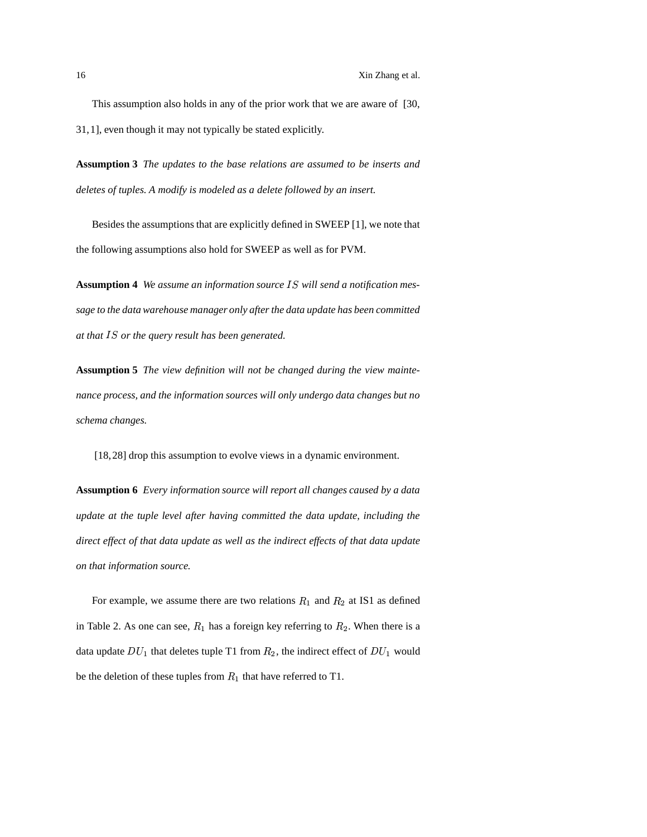This assumption also holds in any of the prior work that we are aware of [30, 31,1], even though it may not typically be stated explicitly.

**Assumption 3** *The updates to the base relations are assumed to be inserts and deletes of tuples. A modify is modeled as a delete followed by an insert.*

Besides the assumptions that are explicitly defined in SWEEP [1], we note that the following assumptions also hold for SWEEP as well as for PVM.

Assumption 4 We assume an information source IS will send a notification mes*sage to the data warehouse manager only after the data update has been committed at that* &' *or the query result has been generated.*

**Assumption 5** *The view definition will not be changed during the view maintenance process, and the information sources will only undergo data changes but no schema changes.*

[18,28] drop this assumption to evolve views in a dynamic environment.

**Assumption 6** *Every information source will report all changes caused by a data update at the tuple level after having committed the data update, including the direct effect of that data update as well as the indirect effects of that data update on that information source.*

For example, we assume there are two relations  $R_1$  and  $R_2$  at IS1 as defined in Table 2. As one can see,  $R_1$  has a foreign key referring to  $R_2$ . When there is a data update  $DU_1$  that deletes tuple T1 from  $R_2$ , the indirect effect of  $DU_1$  would be the deletion of these tuples from  $R_1$  that have referred to T1.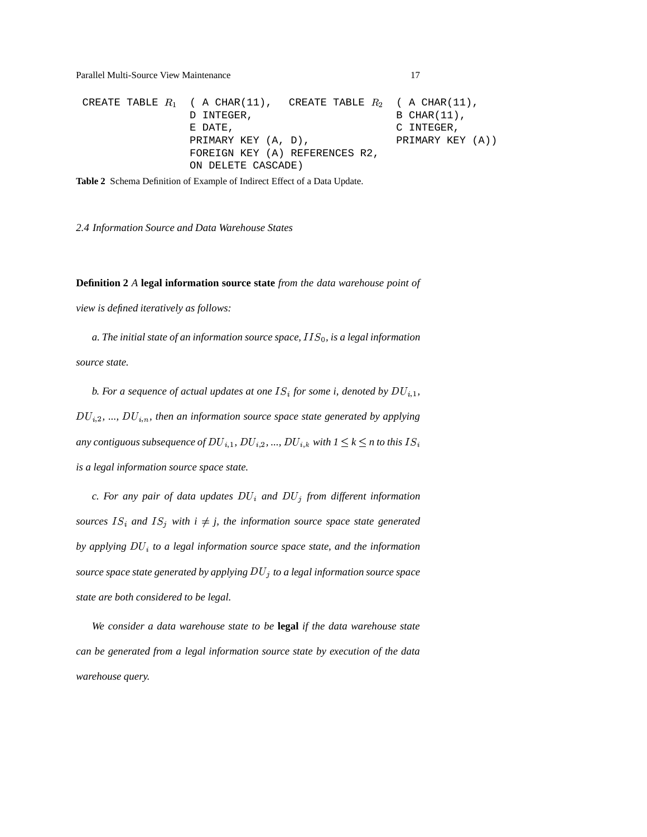Parallel Multi-Source View Maintenance 17

CREATE TABLE  $R_1$  ( A CHAR(11), CREATE TABLE  $R_2$  ( A CHAR(11), D INTEGER, E DATE, PRIMARY KEY (A, D), FOREIGN KEY (A) REFERENCES R2, ON DELETE CASCADE) B CHAR(11), C INTEGER, PRIMARY KEY (A))

**Table 2** Schema Definition of Example of Indirect Effect of a Data Update.

*2.4 Information Source and Data Warehouse States*

**Definition 2** *A* **legal information source state** *from the data warehouse point of*

*view is defined iteratively as follows:*

 $\alpha$ . The *initial* state of an information source space,  $IIS_0$ , is a legal information *source state.*

*b. For a sequence of actual updates at one*  $IS_i$  *for some i, denoted by*  $DU_{i,1}$ *,*  $DU_{i,2}, \ldots, DU_{i,n}$ , then an information source space state generated by applying any contiguous subsequence of  $DU_{i,1}$ ,  $DU_{i,2}$ , ...,  $DU_{i,k}$  with  $1 \leq k \leq n$  to this  $IS_i$ *is a legal information source space state.*

*c.* For any pair of data updates  $DU_i$  and  $DU_j$  from different information *sources*  $IS_i$  and  $IS_j$  with  $i \neq j$ , the information source space state generated *by applying* !2" *to a legal information source space state, and the information source space state generated by applying*  $DU_{j}$  *to a legal information source space state are both considered to be legal.*

*We consider a data warehouse state to be* **legal** *if the data warehouse state can be generated from a legal information source state by execution of the data warehouse query.*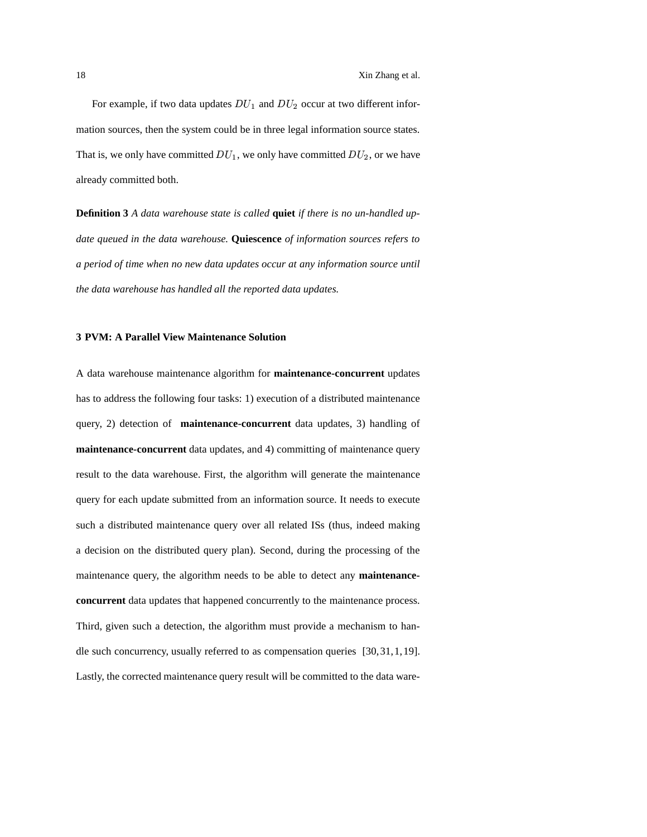For example, if two data updates  $DU_1$  and  $DU_2$  occur at two different information sources, then the system could be in three legal information source states. That is, we only have committed  $DU_1$ , we only have committed  $DU_2$ , or we have already committed both.

**Definition 3** *A data warehouse state is called* **quiet** *if there is no un-handled update queued in the data warehouse.* **Quiescence** *of information sources refers to a period of time when no new data updates occur at any information source until the data warehouse has handled all the reported data updates.*

### **3 PVM: A Parallel View Maintenance Solution**

A data warehouse maintenance algorithm for **maintenance-concurrent** updates has to address the following four tasks: 1) execution of a distributed maintenance query, 2) detection of **maintenance-concurrent** data updates, 3) handling of **maintenance-concurrent** data updates, and 4) committing of maintenance query result to the data warehouse. First, the algorithm will generate the maintenance query for each update submitted from an information source. It needs to execute such a distributed maintenance query over all related ISs (thus, indeed making a decision on the distributed query plan). Second, during the processing of the maintenance query, the algorithm needs to be able to detect any **maintenanceconcurrent** data updates that happened concurrently to the maintenance process. Third, given such a detection, the algorithm must provide a mechanism to handle such concurrency, usually referred to as compensation queries [30,31,1,19]. Lastly, the corrected maintenance query result will be committed to the data ware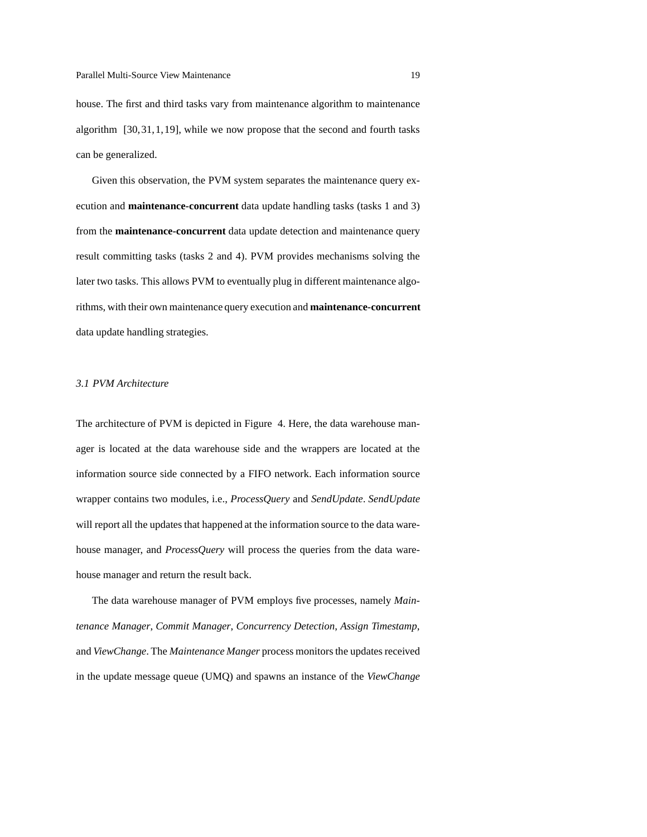house. The first and third tasks vary from maintenance algorithm to maintenance algorithm [30,31,1,19], while we now propose that the second and fourth tasks can be generalized.

Given this observation, the PVM system separates the maintenance query execution and **maintenance-concurrent** data update handling tasks (tasks 1 and 3) from the **maintenance-concurrent** data update detection and maintenance query result committing tasks (tasks 2 and 4). PVM provides mechanisms solving the later two tasks. This allows PVM to eventually plug in different maintenance algorithms, with their own maintenance query execution and **maintenance-concurrent** data update handling strategies.

# *3.1 PVM Architecture*

The architecture of PVM is depicted in Figure 4. Here, the data warehouse manager is located at the data warehouse side and the wrappers are located at the information source side connected by a FIFO network. Each information source wrapper contains two modules, i.e., *ProcessQuery* and *SendUpdate*. *SendUpdate* will report all the updates that happened at the information source to the data warehouse manager, and *ProcessQuery* will process the queries from the data warehouse manager and return the result back.

The data warehouse manager of PVM employs five processes, namely *Maintenance Manager*, *Commit Manager*, *Concurrency Detection*, *Assign Timestamp*, and *ViewChange*. The *Maintenance Manger* process monitorsthe updates received in the update message queue (UMQ) and spawns an instance of the *ViewChange*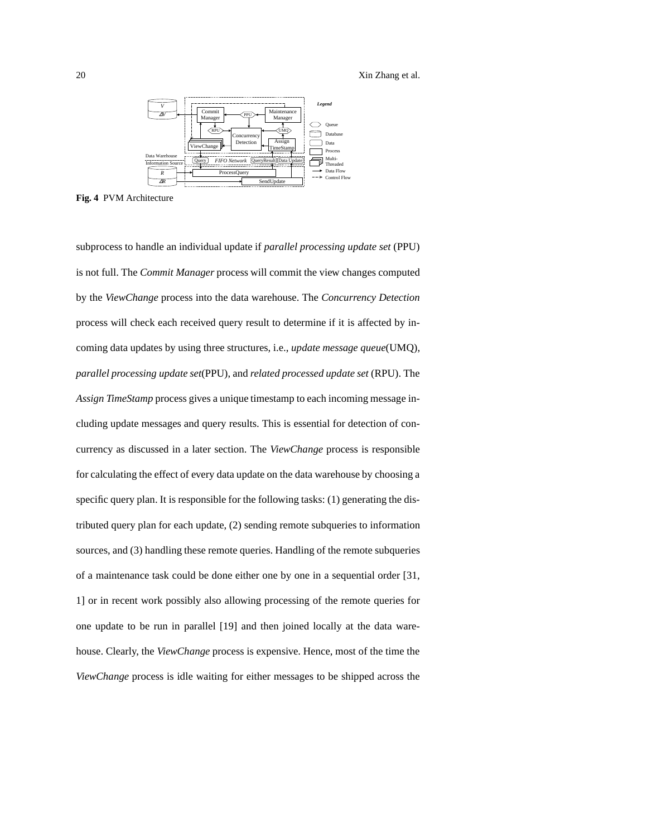20 Xin Zhang et al.



**Fig. 4** PVM Architecture

subprocess to handle an individual update if *parallel processing update set* (PPU) is not full. The *Commit Manager* process will commit the view changes computed by the *ViewChange* process into the data warehouse. The *Concurrency Detection* process will check each received query result to determine if it is affected by incoming data updates by using three structures, i.e., *update message queue*(UMQ), *parallel processing update set*(PPU), and *related processed update set* (RPU). The *Assign TimeStamp* process gives a unique timestamp to each incoming message including update messages and query results. This is essential for detection of concurrency as discussed in a later section. The *ViewChange* process is responsible for calculating the effect of every data update on the data warehouse by choosing a specific query plan. It is responsible for the following tasks: (1) generating the distributed query plan for each update, (2) sending remote subqueries to information sources, and (3) handling these remote queries. Handling of the remote subqueries of a maintenance task could be done either one by one in a sequential order [31, 1] or in recent work possibly also allowing processing of the remote queries for one update to be run in parallel [19] and then joined locally at the data warehouse. Clearly, the *ViewChange* process is expensive. Hence, most of the time the *ViewChange* process is idle waiting for either messages to be shipped across the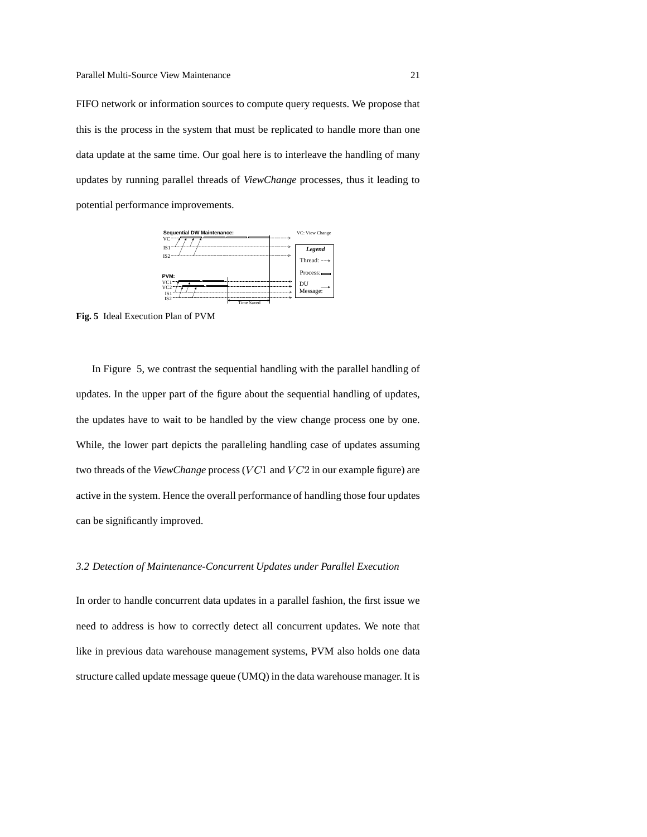FIFO network or information sources to compute query requests. We propose that this is the process in the system that must be replicated to handle more than one data update at the same time. Our goal here is to interleave the handling of many updates by running parallel threads of *ViewChange* processes, thus it leading to potential performance improvements.



**Fig. 5** Ideal Execution Plan of PVM

In Figure 5, we contrast the sequential handling with the parallel handling of updates. In the upper part of the figure about the sequential handling of updates, the updates have to wait to be handled by the view change process one by one. While, the lower part depicts the paralleling handling case of updates assuming two threads of the *ViewChange* process  $(VC1$  and  $VC2$  in our example figure) are active in the system. Hence the overall performance of handling those four updates can be significantly improved.

## *3.2 Detection of Maintenance-Concurrent Updates under Parallel Execution*

In order to handle concurrent data updates in a parallel fashion, the first issue we need to address is how to correctly detect all concurrent updates. We note that like in previous data warehouse management systems, PVM also holds one data structure called update message queue (UMQ) in the data warehouse manager. It is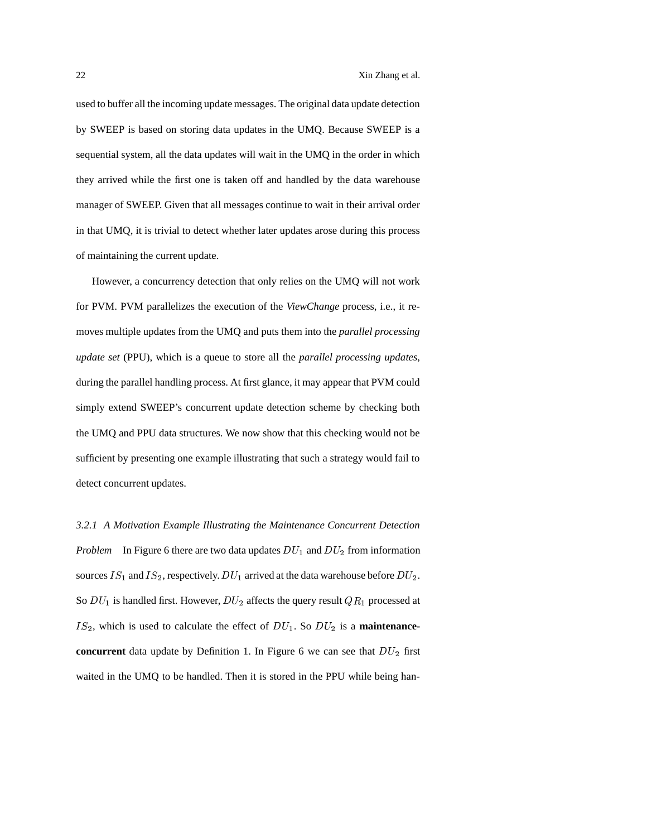used to buffer all the incoming update messages. The original data update detection by SWEEP is based on storing data updates in the UMQ. Because SWEEP is a sequential system, all the data updates will wait in the UMQ in the order in which they arrived while the first one is taken off and handled by the data warehouse manager of SWEEP. Given that all messages continue to wait in their arrival order in that UMQ, it is trivial to detect whether later updates arose during this process of maintaining the current update.

However, a concurrency detection that only relies on the UMQ will not work for PVM. PVM parallelizes the execution of the *ViewChange* process, i.e., it removes multiple updates from the UMQ and puts them into the *parallel processing update set* (PPU), which is a queue to store all the *parallel processing updates*, during the parallel handling process. At first glance, it may appear that PVM could simply extend SWEEP's concurrent update detection scheme by checking both the UMQ and PPU data structures. We now show that this checking would not be sufficient by presenting one example illustrating that such a strategy would fail to detect concurrent updates.

*3.2.1 A Motivation Example Illustrating the Maintenance Concurrent Detection Problem* In Figure 6 there are two data updates  $DU_1$  and  $DU_2$  from information sources  $IS_1$  and  $IS_2$ , respectively.  $DU_1$  arrived at the data warehouse before  $DU_2$ . So  $DU_1$  is handled first. However,  $DU_2$  affects the query result  $QR_1$  processed at  $IS_2$ , which is used to calculate the effect of  $DU_1$ . So  $DU_2$  is a **maintenanceconcurrent** data update by Definition 1. In Figure 6 we can see that  $DU_2$  first waited in the UMQ to be handled. Then it is stored in the PPU while being han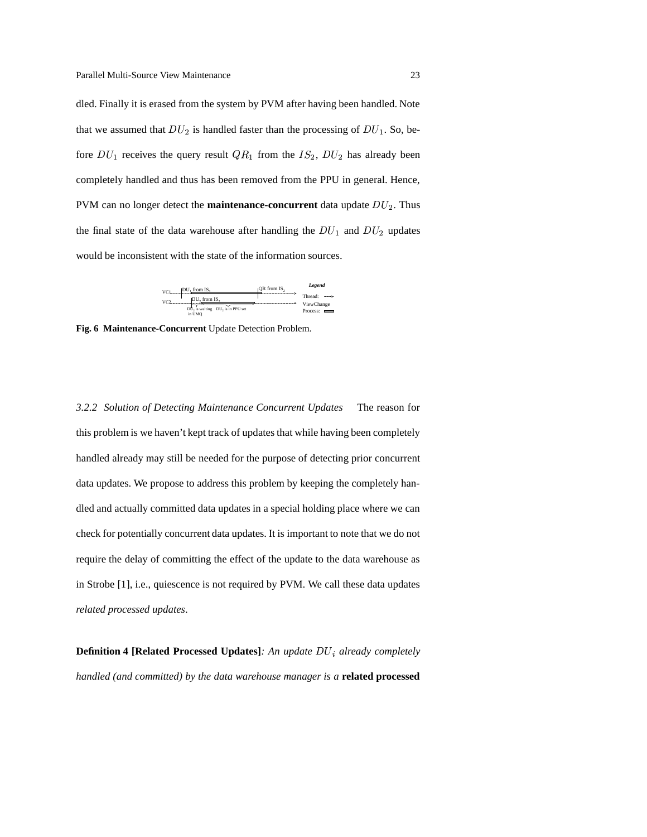dled. Finally it is erased from the system by PVM after having been handled. Note that we assumed that  $DU_2$  is handled faster than the processing of  $DU_1$ . So, before  $DU_1$  receives the query result  $QR_1$  from the  $IS_2$ ,  $DU_2$  has already been completely handled and thus has been removed from the PPU in general. Hence, PVM can no longer detect the **maintenance-concurrent** data update  $DU_2$ . Thus the final state of the data warehouse after handling the  $DU_1$  and  $DU_2$  updates would be inconsistent with the state of the information sources.

| VC1 | $ DU_1$ from $IS_1$                                                   | $ OR from IS$ , | Legend                 |
|-----|-----------------------------------------------------------------------|-----------------|------------------------|
| VC2 | $DU$ , from $IS$ ,                                                    |                 | Thread:<br>----->      |
|     | DU <sub>2</sub> is waiting<br>DU <sub>2</sub> is in PPU set<br>in UMO |                 | ViewChange<br>Process: |

**Fig. 6 Maintenance-Concurrent** Update Detection Problem.

*3.2.2 Solution of Detecting Maintenance Concurrent Updates* The reason for this problem is we haven't kept track of updates that while having been completely handled already may still be needed for the purpose of detecting prior concurrent data updates. We propose to address this problem by keeping the completely handled and actually committed data updates in a special holding place where we can check for potentially concurrent data updates. It is important to note that we do not require the delay of committing the effect of the update to the data warehouse as in Strobe [1], i.e., quiescence is not required by PVM. We call these data updates *related processed updates*.

**Definition 4 [Related Processed Updates]**: An update  $DU_i$  already completely *handled (and committed) by the data warehouse manager is a* **related processed**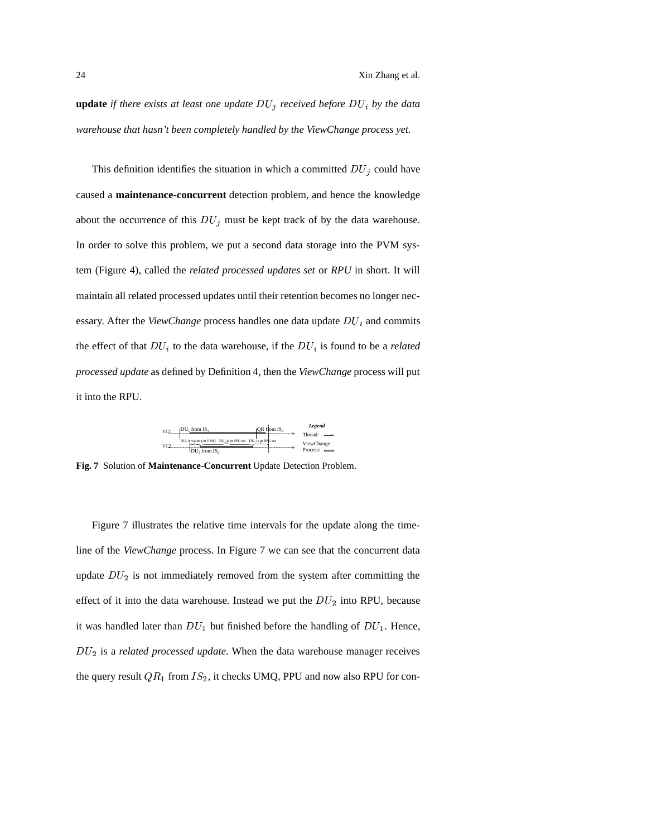**update** if there exists at least one update  $DU_j$  received before  $DU_i$  by the data *warehouse that hasn't been completely handled by the ViewChange process yet.*

This definition identifies the situation in which a committed  $DU_i$  could have caused a **maintenance-concurrent** detection problem, and hence the knowledge about the occurrence of this  $DU<sub>j</sub>$  must be kept track of by the data warehouse. In order to solve this problem, we put a second data storage into the PVM system (Figure 4), called the *related processed updates set* or *RPU* in short. It will maintain all related processed updates until their retention becomes no longer necessary. After the *ViewChange* process handles one data update  $DU_i$  and commits the effect of that  $DU_i$  to the data warehouse, if the  $DU_i$  is found to be a *related processed update* as defined by Definition 4, then the *ViewChange* process will put it into the RPU.



**Fig. 7** Solution of **Maintenance-Concurrent** Update Detection Problem.

Figure 7 illustrates the relative time intervals for the update along the timeline of the *ViewChange* process. In Figure 7 we can see that the concurrent data update  $DU_2$  is not immediately removed from the system after committing the effect of it into the data warehouse. Instead we put the  $DU_2$  into RPU, because it was handled later than  $DU_1$  but finished before the handling of  $DU_1$ . Hence, !2" is a *related processed update*. When the data warehouse manager receives the query result  $QR_1$  from  $IS_2$ , it checks UMQ, PPU and now also RPU for con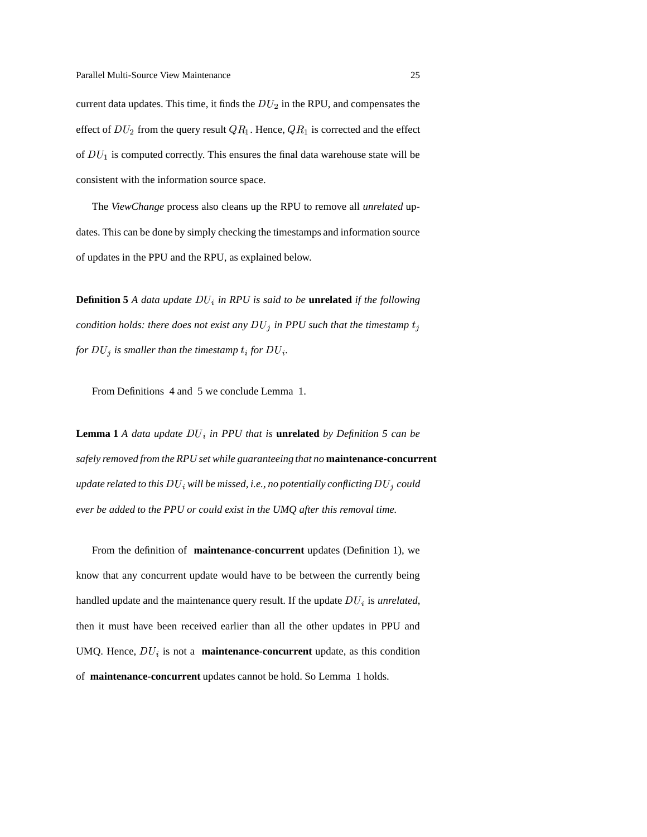current data updates. This time, it finds the  $DU<sub>2</sub>$  in the RPU, and compensates the effect of  $DU_2$  from the query result  $QR_1$ . Hence,  $QR_1$  is corrected and the effect of  $DU_1$  is computed correctly. This ensures the final data warehouse state will be consistent with the information source space.

The *ViewChange* process also cleans up the RPU to remove all *unrelated* updates. This can be done by simply checking the timestamps and information source of updates in the PPU and the RPU, as explained below.

**Definition 5** A *data update*  $DU_i$  *in RPU is said to be* **unrelated** *if the following condition holds: there does not exist any*  $DU_j$  *in PPU such that the timestamp*  $t_j$ *for*  $DU_{j}$  *is smaller than the timestamp*  $t_{i}$  *for*  $DU_{i}$ *.* 

From Definitions 4 and 5 we conclude Lemma 1.

**Lemma** 1 A *data update*  $DU_i$  *in PPU that is* **unrelated** *by Definition* 5 *can be safely removed from the RPU set while guaranteeing that no* **maintenance-concurrent**  $u$ pdate related to this  $DU_{i}$  will be missed, i.e., no potentially conflicting  $DU_{j}$  could *ever be added to the PPU or could exist in the UMQ after this removal time.*

From the definition of **maintenance-concurrent** updates (Definition 1), we know that any concurrent update would have to be between the currently being handled update and the maintenance query result. If the update  $DU_i$  is *unrelated*, then it must have been received earlier than all the other updates in PPU and UMQ. Hence,  $DU_i$  is not a **maintenance-concurrent** update, as this condition of **maintenance-concurrent** updates cannot be hold. So Lemma 1 holds.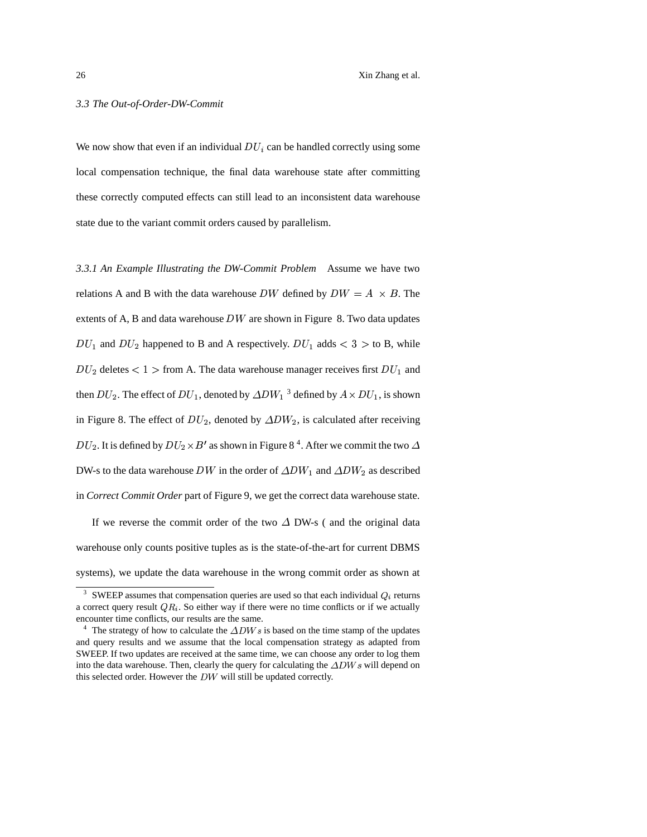# *3.3 The Out-of-Order-DW-Commit*

We now show that even if an individual  $DU_i$  can be handled correctly using some local compensation technique, the final data warehouse state after committing these correctly computed effects can still lead to an inconsistent data warehouse state due to the variant commit orders caused by parallelism.

*3.3.1 An Example Illustrating the DW-Commit Problem* Assume we have two relations A and B with the data warehouse DW defined by  $DW = A \times B$ . The extents of A, B and data warehouse  $DW$  are shown in Figure 8. Two data updates  $DU_1$  and  $DU_2$  happened to B and A respectively.  $DU_1$  adds  $\lt 3 >$  to B, while  $DU_2$  deletes  $\lt 1$  > from A. The data warehouse manager receives first  $DU_1$  and then  $DU_2$ . The effect of  $DU_1$ , denoted by  $\Delta D W_1^{-3}$  defined by  $A\times DU_1$ , is shown in Figure 8. The effect of  $DU_2$ , denoted by  $\Delta DW_2$ , is calculated after receiving  $DU_2$ . It is defined by  $DU_2 \times B'$  as shown in Figure 8<sup>4</sup>. After we commit the two  $\Delta$ DW-s to the data warehouse DW in the order of  $\Delta DW_1$  and  $\Delta DW_2$  as described in *Correct Commit Order* part of Figure 9, we get the correct data warehouse state.

If we reverse the commit order of the two  $\Delta$  DW-s ( and the original data warehouse only counts positive tuples as is the state-of-the-art for current DBMS systems), we update the data warehouse in the wrong commit order as shown at

<sup>&</sup>lt;sup>3</sup> SWEEP assumes that compensation queries are used so that each individual  $Q_i$  returns a correct query result  $QR_i$ . So either way if there were no time conflicts or if we actually encounter time conflicts, our results are the same.

<sup>&</sup>lt;sup>4</sup> The strategy of how to calculate the  $\Delta D W s$  is based on the time stamp of the updates and query results and we assume that the local compensation strategy as adapted from SWEEP. If two updates are received at the same time, we can choose any order to log them into the data warehouse. Then, clearly the query for calculating the  $\Delta D W s$  will depend on this selected order. However the  $DW$  will still be updated correctly.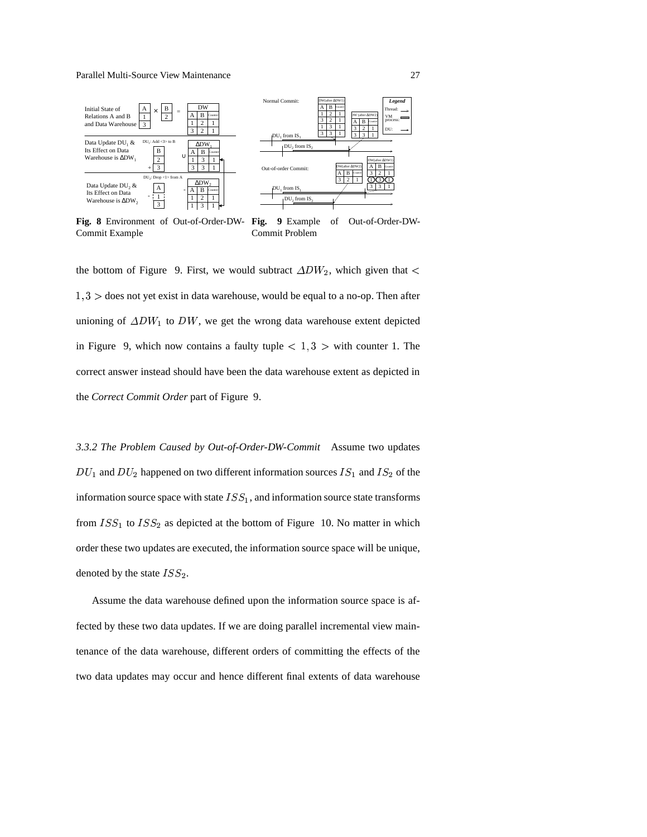

**Fig. 8** Environment of Out-of-Order-DW-Commit Example **Fig. 9** Example of Out-of-Order-DW-Commit Problem

the bottom of Figure 9. First, we would subtract  $\Delta DW_2$ , which given that <  $1, 3 >$  does not yet exist in data warehouse, would be equal to a no-op. Then after unioning of  $\Delta DW_1$  to  $DW$ , we get the wrong data warehouse extent depicted in Figure 9, which now contains a faulty tuple  $< 1, 3 >$  with counter 1. The correct answer instead should have been the data warehouse extent as depicted in the *Correct Commit Order* part of Figure 9.

*3.3.2 The Problem Caused by Out-of-Order-DW-Commit* Assume two updates  $DU_1$  and  $DU_2$  happened on two different information sources  $IS_1$  and  $IS_2$  of the information source space with state  $ISS<sub>1</sub>$ , and information source state transforms from  $ISS_1$  to  $ISS_2$  as depicted at the bottom of Figure 10. No matter in which order these two updates are executed, the information source space will be unique, denoted by the state  $ISS_2$ .

Assume the data warehouse defined upon the information source space is affected by these two data updates. If we are doing parallel incremental view maintenance of the data warehouse, different orders of committing the effects of the two data updates may occur and hence different final extents of data warehouse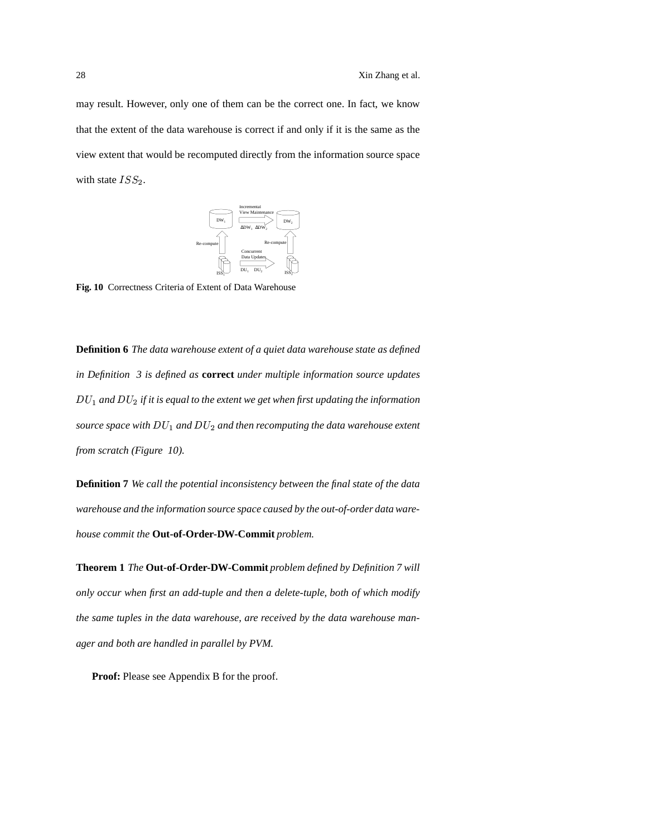may result. However, only one of them can be the correct one. In fact, we know that the extent of the data warehouse is correct if and only if it is the same as the view extent that would be recomputed directly from the information source space with state  $ISS_2$ .



**Fig. 10** Correctness Criteria of Extent of Data Warehouse

**Definition 6** *The data warehouse extent of a quiet data warehouse state as defined in Definition 3 is defined as* **correct** *under multiple information source updates*  $DU_{1}$  and  $DU_{2}$  if it is equal to the extent we get when first updating the information  $s$ ource space with  $DU_{1}$  and  $DU_{2}$  and then recomputing the data warehouse extent *from scratch (Figure 10).*

**Definition 7** *We call the potential inconsistency between the final state of the data warehouse and the information source space caused by the out-of-order data warehouse commit the* **Out-of-Order-DW-Commit** *problem.*

**Theorem 1** *The* **Out-of-Order-DW-Commit** *problem defined by Definition 7 will only occur when first an add-tuple and then a delete-tuple, both of which modify the same tuples in the data warehouse, are received by the data warehouse manager and both are handled in parallel by PVM.*

**Proof:** Please see Appendix B for the proof.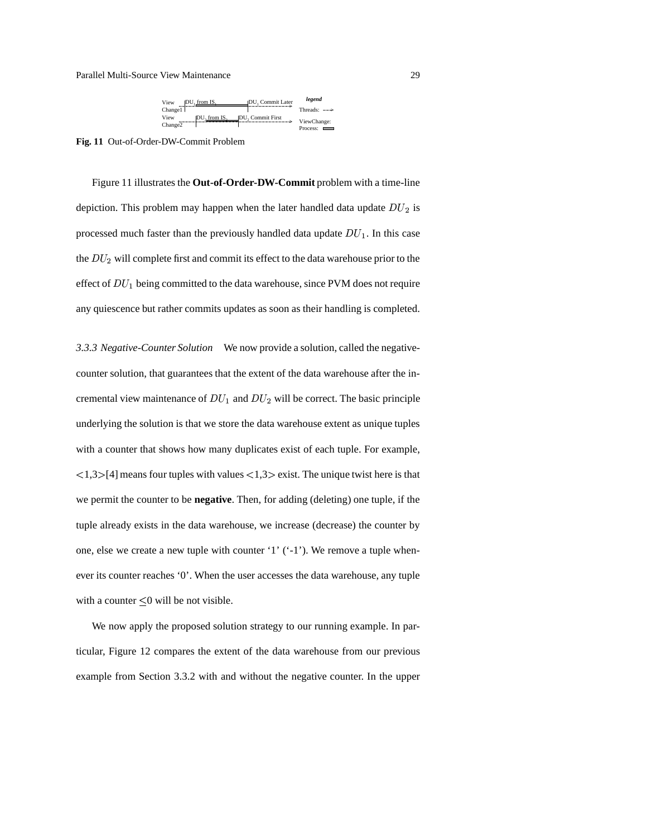| View                        | $ DU_1$ from IS,   | JDU, Commit Later             | legend                     |
|-----------------------------|--------------------|-------------------------------|----------------------------|
| Change1                     |                    |                               | Threads: $\longrightarrow$ |
| View<br>Change <sub>2</sub> | $DU_2$ from $IS_2$ | IDU <sub>2</sub> Commit First | ViewChange:<br>Process:    |

**Fig. 11** Out-of-Order-DW-Commit Problem

Figure 11 illustrates the **Out-of-Order-DW-Commit** problem with a time-line depiction. This problem may happen when the later handled data update  $DU_2$  is processed much faster than the previously handled data update  $DU_1$ . In this case the  $DU_2$  will complete first and commit its effect to the data warehouse prior to the effect of  $DU_1$  being committed to the data warehouse, since PVM does not require any quiescence but rather commits updates as soon as their handling is completed.

*3.3.3 Negative-Counter Solution* We now provide a solution, called the negativecounter solution, that guarantees that the extent of the data warehouse after the incremental view maintenance of  $DU_1$  and  $DU_2$  will be correct. The basic principle underlying the solution is that we store the data warehouse extent as unique tuples with a counter that shows how many duplicates exist of each tuple. For example,  $\langle 1,3 \rangle$ [4] means four tuples with values  $\langle 1,3 \rangle$  exist. The unique twist here is that we permit the counter to be **negative**. Then, for adding (deleting) one tuple, if the tuple already exists in the data warehouse, we increase (decrease) the counter by one, else we create a new tuple with counter '1' ('-1'). We remove a tuple whenever its counter reaches '0'. When the user accesses the data warehouse, any tuple with a counter  $\leq 0$  will be not visible.

We now apply the proposed solution strategy to our running example. In particular, Figure 12 compares the extent of the data warehouse from our previous example from Section 3.3.2 with and without the negative counter. In the upper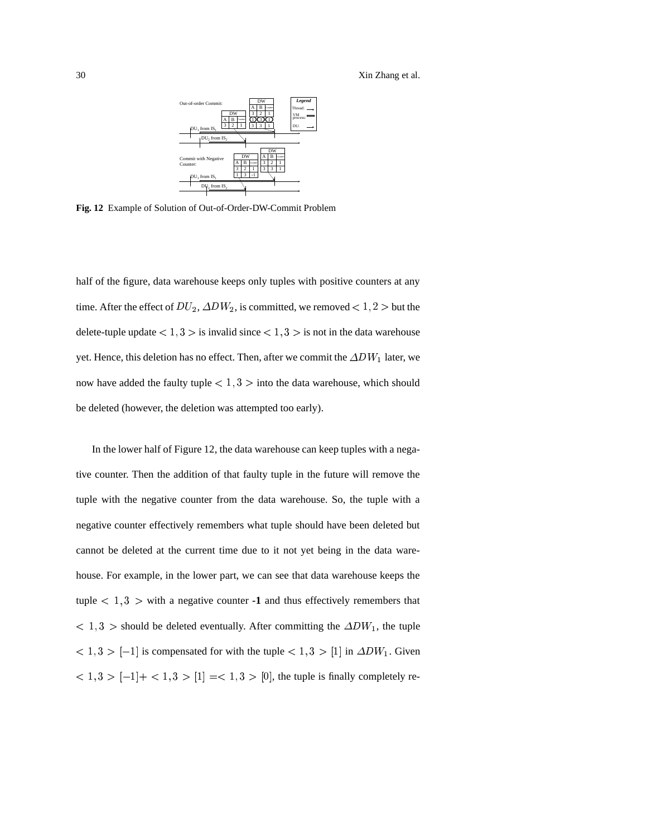30 Xin Zhang et al.



**Fig. 12** Example of Solution of Out-of-Order-DW-Commit Problem

half of the figure, data warehouse keeps only tuples with positive counters at any time. After the effect of  $DU_2$ ,  $\Delta DW_2$ , is committed, we removed  $< 1, 2 >$  but the delete-tuple update  $\langle 1, 3 \rangle$  is invalid since  $\langle 1, 3 \rangle$  is not in the data warehouse yet. Hence, this deletion has no effect. Then, after we commit the  $\Delta D W_1$  later, we now have added the faulty tuple  $< 1,3 >$  into the data warehouse, which should be deleted (however, the deletion was attempted too early).

In the lower half of Figure 12, the data warehouse can keep tuples with a negative counter. Then the addition of that faulty tuple in the future will remove the tuple with the negative counter from the data warehouse. So, the tuple with a negative counter effectively remembers what tuple should have been deleted but cannot be deleted at the current time due to it not yet being in the data warehouse. For example, in the lower part, we can see that data warehouse keeps the tuple  $\langle 1, 3 \rangle$  with a negative counter **-1** and thus effectively remembers that  $< 1, 3 >$  should be deleted eventually. After committing the  $\Delta DW_1$ , the tuple  $< 1, 3 > [-1]$  is compensated for with the tuple  $< 1, 3 > [1]$  in  $\triangle DW_1$ . Given  $< 1, 3 > [-1] + < 1, 3 > [1] = < 1, 3 > [0]$ , the tuple is finally completely re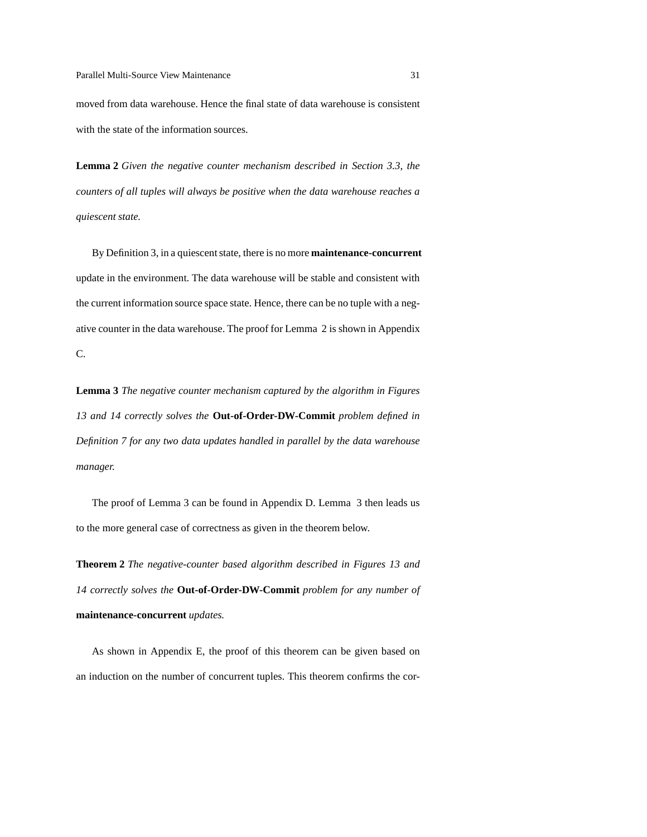moved from data warehouse. Hence the final state of data warehouse is consistent with the state of the information sources.

**Lemma 2** *Given the negative counter mechanism described in Section 3.3, the counters of all tuples will always be positive when the data warehouse reaches a quiescent state.*

By Definition 3, in a quiescentstate, there is no more **maintenance-concurrent** update in the environment. The data warehouse will be stable and consistent with the current information source space state. Hence, there can be no tuple with a negative counter in the data warehouse. The proof for Lemma 2 is shown in Appendix C.

**Lemma 3** *The negative counter mechanism captured by the algorithm in Figures 13 and 14 correctly solves the* **Out-of-Order-DW-Commit** *problem defined in Definition 7 for any two data updates handled in parallel by the data warehouse manager.*

The proof of Lemma 3 can be found in Appendix D. Lemma 3 then leads us to the more general case of correctness as given in the theorem below.

**Theorem 2** *The negative-counter based algorithm described in Figures 13 and 14 correctly solves the* **Out-of-Order-DW-Commit** *problem for any number of* **maintenance-concurrent** *updates.*

As shown in Appendix E, the proof of this theorem can be given based on an induction on the number of concurrent tuples. This theorem confirms the cor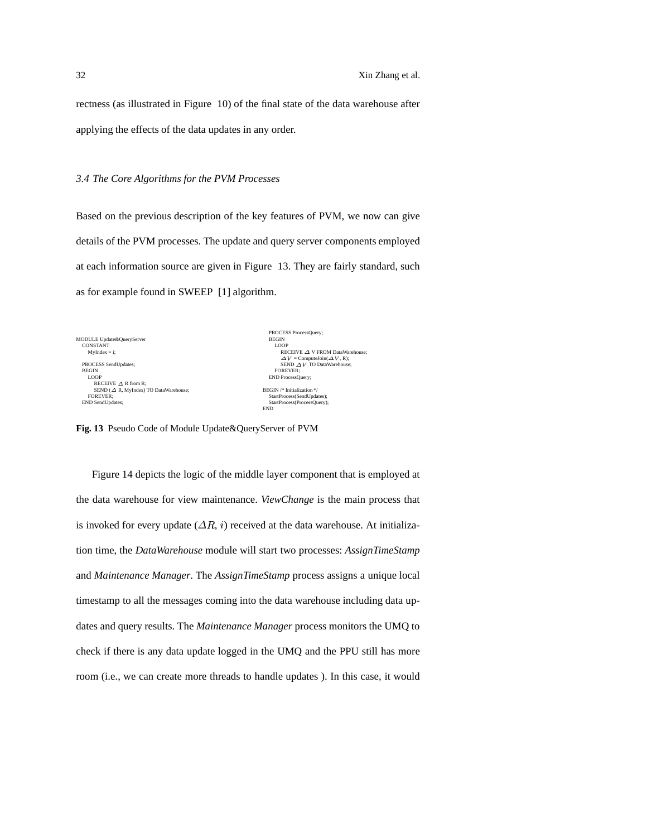rectness (as illustrated in Figure 10) of the final state of the data warehouse after applying the effects of the data updates in any order.

### *3.4 The Core Algorithms for the PVM Processes*

Based on the previous description of the key features of PVM, we now can give details of the PVM processes. The update and query server components employed at each information source are given in Figure 13. They are fairly standard, such as for example found in SWEEP [1] algorithm.



**Fig. 13** Pseudo Code of Module Update&QueryServer of PVM

Figure 14 depicts the logic of the middle layer component that is employed at the data warehouse for view maintenance. *ViewChange* is the main process that is invoked for every update  $(\Delta R, i)$  received at the data warehouse. At initialization time, the *DataWarehouse* module will start two processes: *AssignTimeStamp* and *Maintenance Manager*. The *AssignTimeStamp* process assigns a unique local timestamp to all the messages coming into the data warehouse including data updates and query results. The *Maintenance Manager* process monitors the UMQ to check if there is any data update logged in the UMQ and the PPU still has more room (i.e., we can create more threads to handle updates ). In this case, it would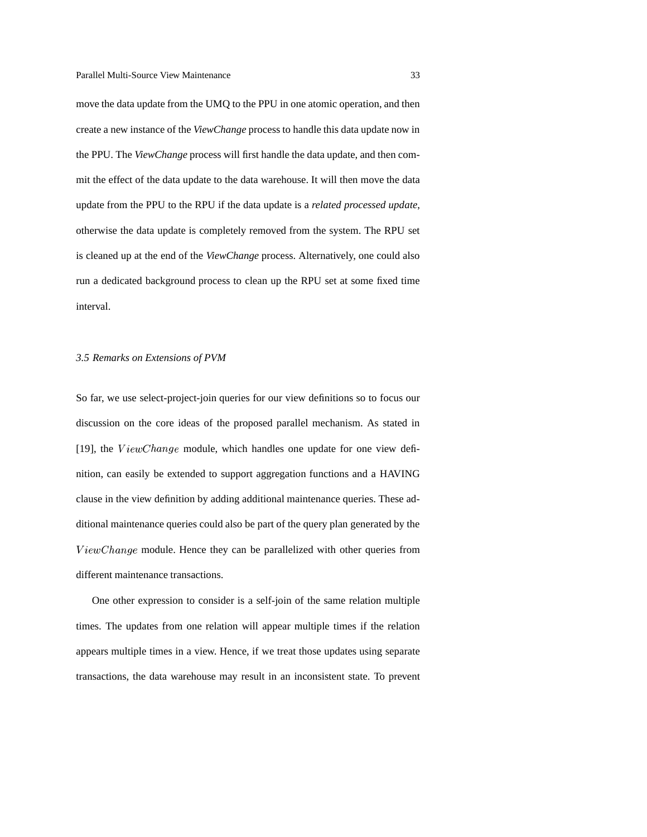move the data update from the UMQ to the PPU in one atomic operation, and then create a new instance of the *ViewChange* process to handle this data update now in the PPU. The *ViewChange* process will first handle the data update, and then commit the effect of the data update to the data warehouse. It will then move the data update from the PPU to the RPU if the data update is a *related processed update*, otherwise the data update is completely removed from the system. The RPU set is cleaned up at the end of the *ViewChange* process. Alternatively, one could also run a dedicated background process to clean up the RPU set at some fixed time interval.

## *3.5 Remarks on Extensions of PVM*

So far, we use select-project-join queries for our view definitions so to focus our discussion on the core ideas of the proposed parallel mechanism. As stated in [19], the  $ViewChange$  module, which handles one update for one view definition, can easily be extended to support aggregation functions and a HAVING clause in the view definition by adding additional maintenance queries. These additional maintenance queries could also be part of the query plan generated by the  $ViewChange$  module. Hence they can be parallelized with other queries from different maintenance transactions.

One other expression to consider is a self-join of the same relation multiple times. The updates from one relation will appear multiple times if the relation appears multiple times in a view. Hence, if we treat those updates using separate transactions, the data warehouse may result in an inconsistent state. To prevent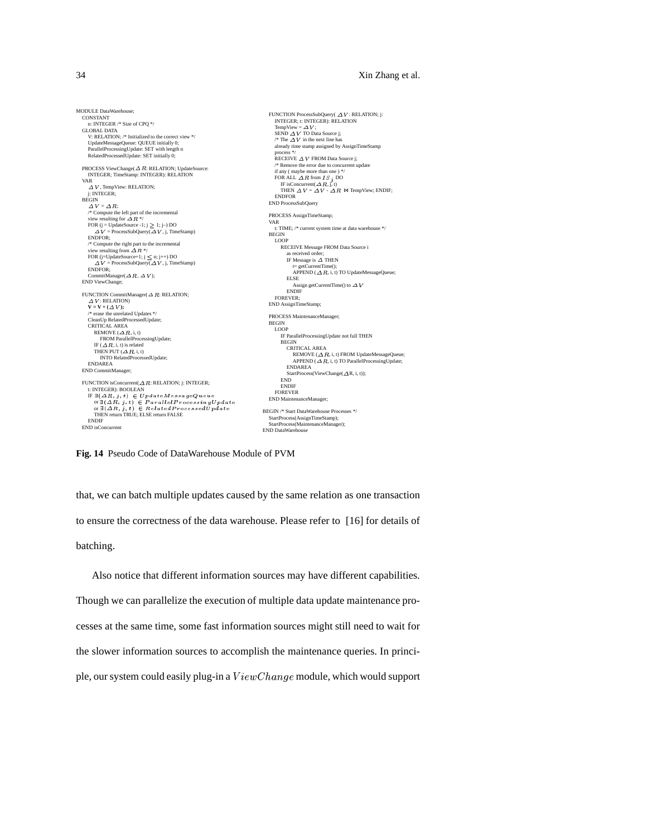### 34 Xin Zhang et al.

MODULE DataWarehouse; CONSTANT n: INTEGER /\* Size of CPQ \*/ GLOBAL DATA V: RELATION; /\* Initialized to the correct view \*/ UpdateMessageQueue: QUEUE initially 0; ParallelProcessingUpdate: SET with length n RelatedProcessedUpdate: SET initially 0; PROCESS ViewChange( $\Delta R$ : RELATION; UpdateSource:<br>INTEGER; TimeStamp: INTEGER): RELATION VAR $\Delta V$ , TempView: RELATION; j: INTEGER; BEGIN<br>  $\Delta V = \Delta R$ ;<br>
/\* Compute the left part of the incremental<br>
view resulting for  $\Delta R$  \*/ FOR (j = UpdateSource -1; j  $\geq 1$ ; j -) DO<br>  $\Delta V$  = ProcessSubQuery( $\Delta V$ , j, TimeStamp)<br>ENDFOR; /\* Compute the right part to the incremental<br>view resulting from  $\Delta R$  \*/<br>FOR (j=UpdateSource+1; j  $\leq$  n; j++) DO<br> $\Delta V$  = ProcessSubQuery( $\Delta V$ , j, TimeStamp)<br>ENDFOR; CommitManager( $\Delta R$ ,  $\Delta V$ );<br>END ViewChange; FUNCTION CommitManager( $\varDelta\,R$  : RELATION;  $\Delta V$ : RELATION)<br>**V** = **V** + ( $\Delta V$ ); /\* erase the unrelated Updates \*/ CleanUp RelatedProcessedUpdate;<br>CRITICAL AREA<br>REMOVE ( $\Delta R$ , i, t) FROM ParallelProcessingUpdate; IF ( $\Delta$   $R$ , i, t) is related<br>THEN PUT ( $\Delta$   $R$ , i, t) INTO RelatedProcessedUpdate; ENDAREA END CommitManager; FUNCTION isConcurrent( $\Delta R$ : RELATION; j: INTEGER; t: INTEGER): BOOLEAN<br>IF 3 (A R, j, i) = *UpdateMessageQueue*<br>or 3 (A R, j, i ) = *RelatedProcessingUpdate*<br>THEN return TRUE; ELSE return FALSE<br>THEN return TRUE; ELSE return FALSE **ENDIF** END isConcurrent

FUNCTION ProcessSubQuery( $\Delta V$ : RELATION; j:<br>INTEGER; t: INTEGER): RELATION TempView =  $\Delta V$ ;<br>SEND  $\Delta V$  TO Data Source j; /\* The  $\Delta V$  in the next line has already time stamp assigned by AssignTimeStamp process \*/<br>RECEIVE ⊿ V FROM Data Source j; /\* Remove the error due to concurrent update if any ( maybe more than one ) \*/ FOR ALL  $\Delta R$  from  $I S_j$  DO<br>
IF isConcurrent( $\Delta R$ , j, t)<br>
THEN  $\Delta V = \Delta V - \Delta R$  M TempView; ENDIF; ENDFOR END ProcessSubQuery PROCESS AssignTimeStamp; VAR t: TIME; /\* current system time at data warehouse \*/ BEGIN LOOP RECEIVE Message FROM Data Source i<br>as received order;<br>IF Message is  $\Delta$  THEN t= getCurrentTime(); APPEND ( $\Delta R$ , i, t) TO UpdateMessageQueue; ELSE Assign getCurrentTime() to  $\Delta V$ <br>ENDIF FOREVER; END AssignTimeStamp PROCESS MaintenanceManager; BEGIN LOOP IF ParallelProcessingUpdate not full THEN BEGIN CRITICAL AREA REMOVE  $(\Delta R, i, t)$  FROM UpdateMessageQueue; APPEND ( $\Delta R$ , i, t) TO ParallelProcessingUpdate;<br>ENDAREA ENDAREA<br>StartProcess(ViewChange( $\Delta$ R, i, t));<br>END ENDIF FOREVER END MaintenanceManager; BEGIN /\* Start DataWarehouse Processes \*/ StartProcess(AssignTimeStamp); StartProcess(MaintenanceManager); END DataWarehouse

**Fig. 14** Pseudo Code of DataWarehouse Module of PVM

that, we can batch multiple updates caused by the same relation as one transaction to ensure the correctness of the data warehouse. Please refer to [16] for details of batching.

Also notice that different information sources may have different capabilities. Though we can parallelize the execution of multiple data update maintenance processes at the same time, some fast information sources might still need to wait for the slower information sources to accomplish the maintenance queries. In principle, our system could easily plug-in a  $ViewChange$  module, which would support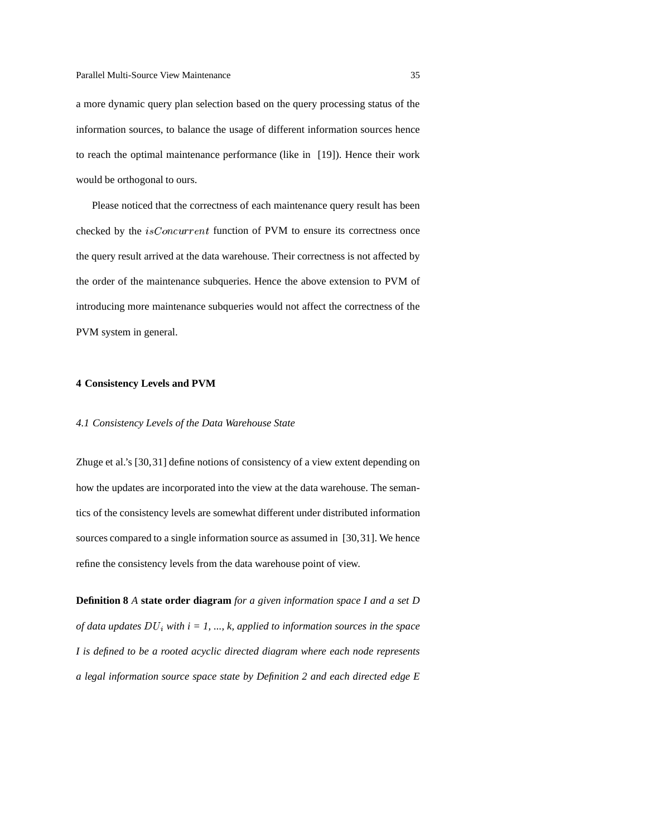a more dynamic query plan selection based on the query processing status of the information sources, to balance the usage of different information sources hence to reach the optimal maintenance performance (like in [19]). Hence their work would be orthogonal to ours.

Please noticed that the correctness of each maintenance query result has been checked by the  $isConcurrent$  function of PVM to ensure its correctness once the query result arrived at the data warehouse. Their correctness is not affected by the order of the maintenance subqueries. Hence the above extension to PVM of introducing more maintenance subqueries would not affect the correctness of the PVM system in general.

# **4 Consistency Levels and PVM**

### *4.1 Consistency Levels of the Data Warehouse State*

Zhuge et al.'s [30,31] define notions of consistency of a view extent depending on how the updates are incorporated into the view at the data warehouse. The semantics of the consistency levels are somewhat different under distributed information sources compared to a single information source as assumed in [30,31]. We hence refine the consistency levels from the data warehouse point of view.

**Definition 8** *A* **state order diagram** *for a given information space I and a set D of data updates*  $DU_i$  *with*  $i = 1, ..., k$ , *applied to information sources in the space I is defined to be a rooted acyclic directed diagram where each node represents a legal information source space state by Definition 2 and each directed edge E*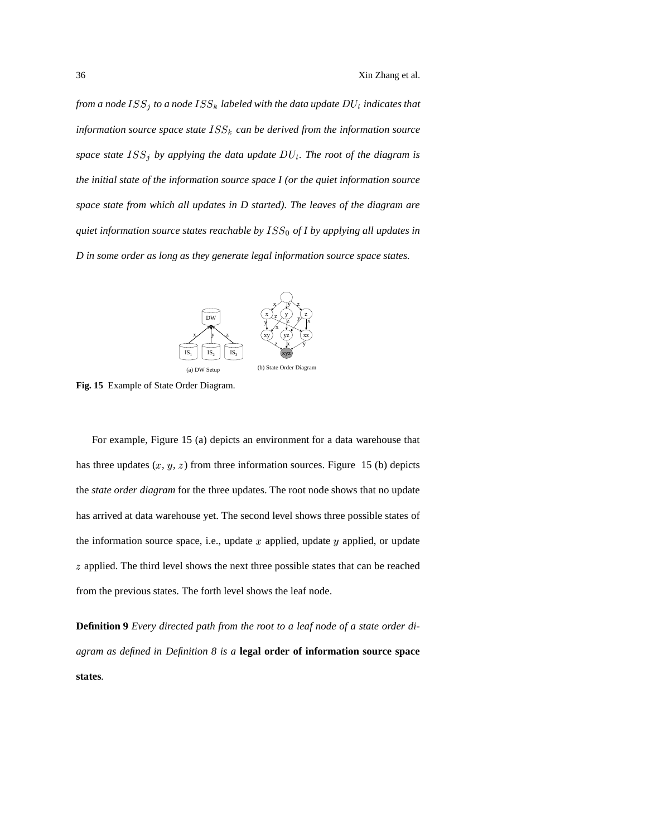from a node  $ISS_{j}$  to a node  $ISS_{k}$  labeled with the data update  $DU_{l}$  indicates that *information source space state*  $ISS_k$  *can be derived from the information source space state*  $ISS<sub>i</sub>$  *by applying the data update*  $DU<sub>l</sub>$ *. The root of the diagram is the initial state of the information source space I (or the quiet information source space state from which all updates in D started). The leaves of the diagram are quiet information source states reachable by* &('' *of I by applying all updates in D in some order as long as they generate legal information source space states.*



**Fig. 15** Example of State Order Diagram.

For example, Figure 15 (a) depicts an environment for a data warehouse that has three updates  $(x, y, z)$  from three information sources. Figure 15 (b) depicts the *state order diagram* for the three updates. The root node shows that no update has arrived at data warehouse yet. The second level shows three possible states of the information source space, i.e., update  $x$  applied, update  $y$  applied, or update  $z$  applied. The third level shows the next three possible states that can be reached from the previous states. The forth level shows the leaf node.

**Definition 9** *Every directed path from the root to a leaf node of a state order diagram as defined in Definition 8 is a* **legal order of information source space states***.*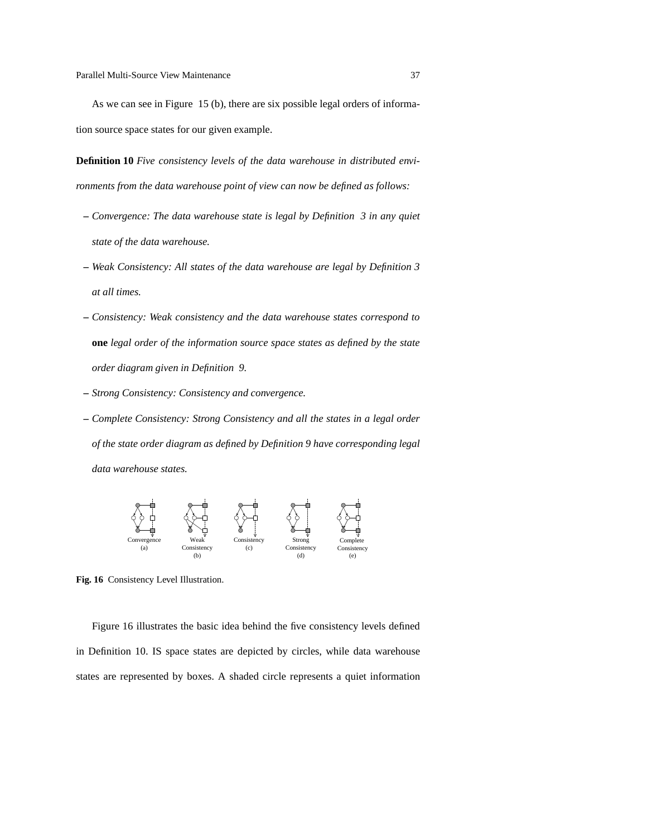As we can see in Figure 15 (b), there are six possible legal orders of information source space states for our given example.

**Definition 10** *Five consistency levels of the data warehouse in distributed environments from the data warehouse point of view can now be defined as follows:*

- **–** *Convergence: The data warehouse state is legal by Definition 3 in any quiet state of the data warehouse.*
- **–** *Weak Consistency: All states of the data warehouse are legal by Definition 3 at all times.*
- **–** *Consistency: Weak consistency and the data warehouse states correspond to* **one** *legal order of the information source space states as defined by the state order diagram given in Definition 9.*
- **–** *Strong Consistency: Consistency and convergence.*
- **–** *Complete Consistency: Strong Consistency and all the states in a legal order of the state order diagram as defined by Definition 9 have corresponding legal data warehouse states.*



**Fig. 16** Consistency Level Illustration.

Figure 16 illustrates the basic idea behind the five consistency levels defined in Definition 10. IS space states are depicted by circles, while data warehouse states are represented by boxes. A shaded circle represents a quiet information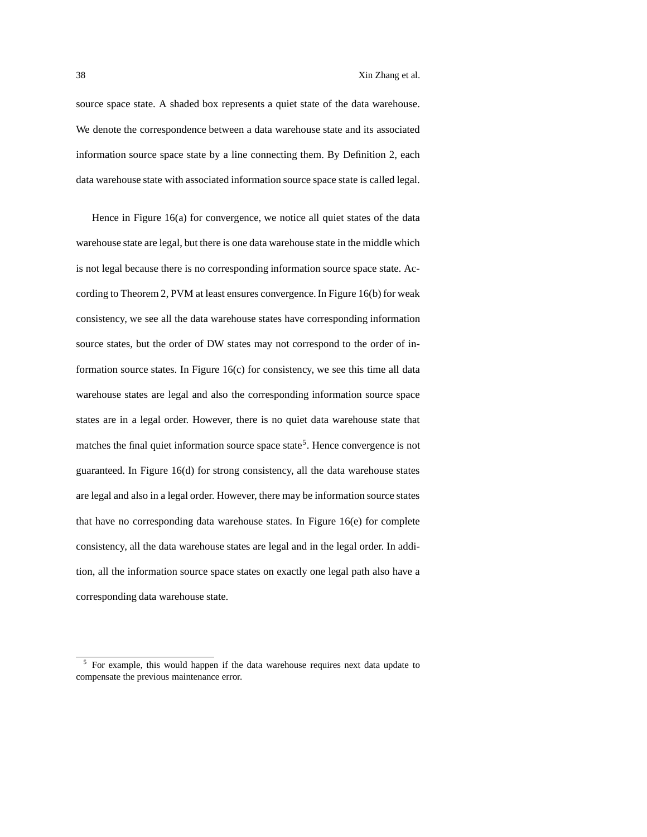source space state. A shaded box represents a quiet state of the data warehouse. We denote the correspondence between a data warehouse state and its associated information source space state by a line connecting them. By Definition 2, each data warehouse state with associated information source space state is called legal.

Hence in Figure 16(a) for convergence, we notice all quiet states of the data warehouse state are legal, but there is one data warehouse state in the middle which is not legal because there is no corresponding information source space state. According to Theorem 2, PVM at least ensures convergence.In Figure 16(b) for weak consistency, we see all the data warehouse states have corresponding information source states, but the order of DW states may not correspond to the order of information source states. In Figure 16(c) for consistency, we see this time all data warehouse states are legal and also the corresponding information source space states are in a legal order. However, there is no quiet data warehouse state that matches the final quiet information source space state<sup>5</sup>. Hence convergence is not guaranteed. In Figure 16(d) for strong consistency, all the data warehouse states are legal and also in a legal order. However, there may be information source states that have no corresponding data warehouse states. In Figure 16(e) for complete consistency, all the data warehouse states are legal and in the legal order. In addition, all the information source space states on exactly one legal path also have a corresponding data warehouse state.

<sup>&</sup>lt;sup>5</sup> For example, this would happen if the data warehouse requires next data update to compensate the previous maintenance error.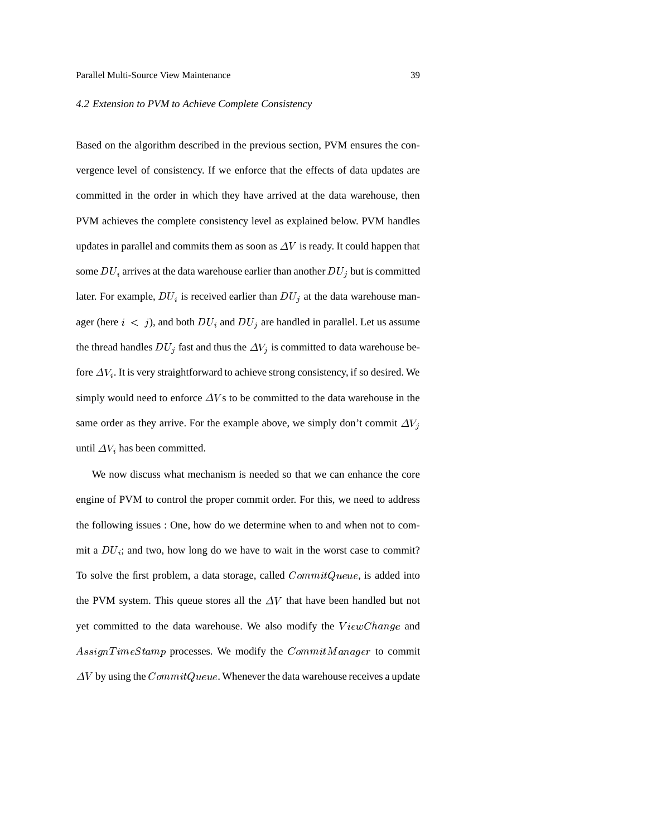### *4.2 Extension to PVM to Achieve Complete Consistency*

Based on the algorithm described in the previous section, PVM ensures the convergence level of consistency. If we enforce that the effects of data updates are committed in the order in which they have arrived at the data warehouse, then PVM achieves the complete consistency level as explained below. PVM handles updates in parallel and commits them as soon as  $\Delta V$  is ready. It could happen that some  $DU_i$  arrives at the data warehouse earlier than another  $DU_j$  but is committed later. For example,  $DU_i$  is received earlier than  $DU_j$  at the data warehouse manager (here  $i < j$ ), and both  $DU_i$  and  $DU_j$  are handled in parallel. Let us assume the thread handles  $DU_j$  fast and thus the  $\Delta V_j$  is committed to data warehouse before  $\Delta V_i$ . It is very straightforward to achieve strong consistency, if so desired. We simply would need to enforce  $\Delta V$ s to be committed to the data warehouse in the same order as they arrive. For the example above, we simply don't commit  $\Delta V_i$ until  $\Delta V_i$  has been committed.

We now discuss what mechanism is needed so that we can enhance the core engine of PVM to control the proper commit order. For this, we need to address the following issues : One, how do we determine when to and when not to commit a  $DU_i$ ; and two, how long do we have to wait in the worst case to commit? To solve the first problem, a data storage, called  $CommitQueue$ , is added into the PVM system. This queue stores all the  $\Delta V$  that have been handled but not yet committed to the data warehouse. We also modify the  $ViewChange$  and  $AssignTime stamp$  processes. We modify the  $CommitManager$  to commit  $\Delta V$  by using the  $CommitQueue$ . Whenever the data warehouse receives a update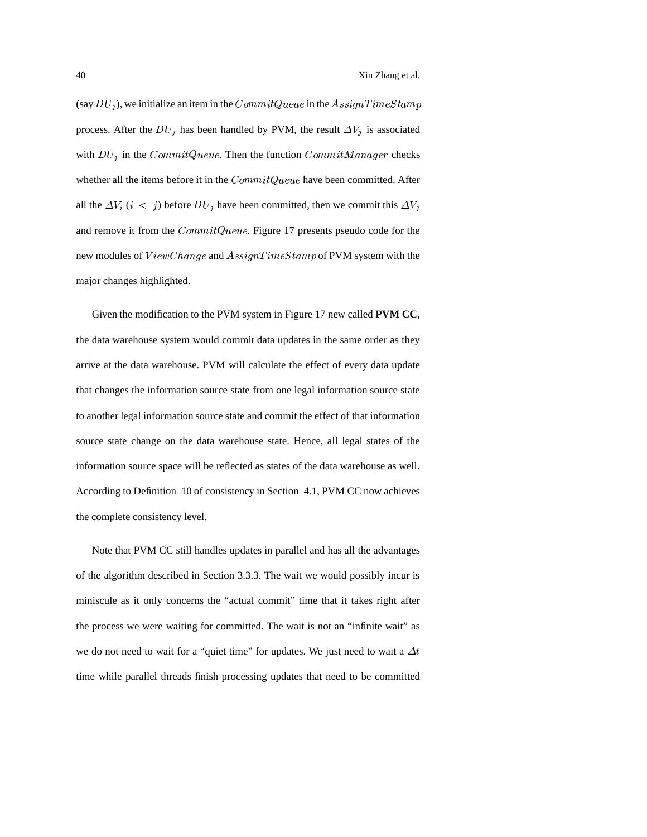(say  $DU_j$ ), we initialize an item in the  $CommitQueue$  in the  $AssignTimeStamp$ process. After the  $DU_j$  has been handled by PVM, the result  $\Delta V_j$  is associated with  $DU_i$  in the  $CommitQueue$ . Then the function  $Commit Manager$  checks whether all the items before it in the  $CommitQueue$  have been committed. After all the  $\Delta V_i$   $(i \lt j)$  before  $DU_j$  have been committed, then we commit this  $\Delta V_j$ and remove it from the  $CommitQueue$ . Figure 17 presents pseudo code for the new modules of  $ViewChange$  and  $AssignTimeStamp$  of PVM system with the major changes highlighted.

Given the modification to the PVM system in Figure 17 new called **PVM CC**, the data warehouse system would commit data updates in the same order as they arrive at the data warehouse. PVM will calculate the effect of every data update that changes the information source state from one legal information source state to another legal information source state and commit the effect of that information source state change on the data warehouse state. Hence, all legal states of the information source space will be reflected as states of the data warehouse as well. According to Definition 10 of consistency in Section 4.1, PVM CC now achieves the complete consistency level.

Note that PVM CC still handles updates in parallel and has all the advantages of the algorithm described in Section 3.3.3. The wait we would possibly incur is miniscule as it only concerns the "actual commit" time that it takes right after the process we were waiting for committed. The wait is not an "infinite wait" as we do not need to wait for a "quiet time" for updates. We just need to wait a  $\Delta t$ time while parallel threads finish processing updates that need to be committed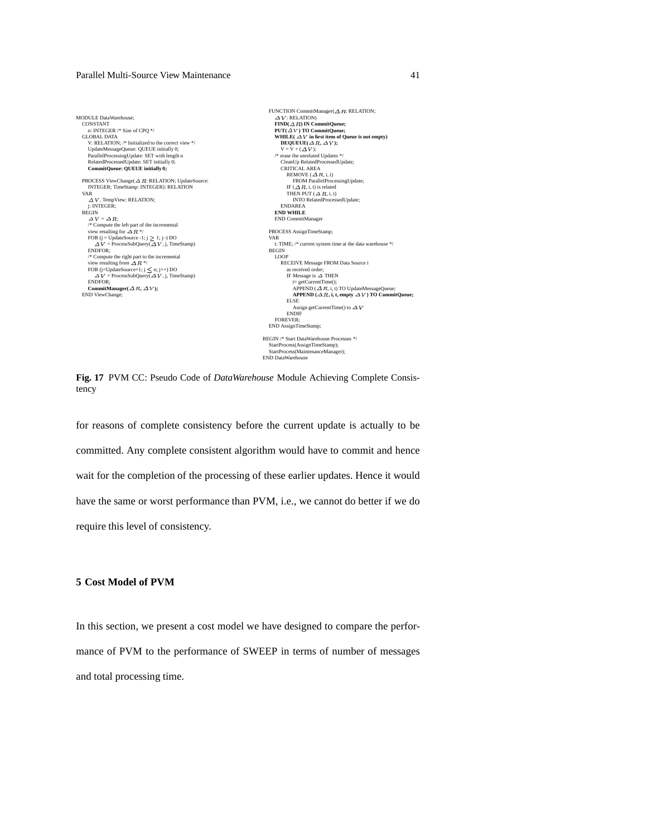#### Parallel Multi-Source View Maintenance 41

MODULE DataWarehouse; CONSTANT n: INTEGER /\* Size of CPQ \*/ GLOBAL DATA V: RELATION; /\* Initialized to the correct view \*/ UpdateMessageQueue: QUEUE initially 0; ParallelProcessingUpdate: SET with length n RelatedProcessedUpdate: SET initially 0; **CommitQueue: QUEUE initially 0;** PROCESS ViewChange( $\Delta R$ : RELATION; UpdateSource:<br>INTEGER; TimeStamp: INTEGER): RELATION VAR $\Delta V$ , TempView: RELATION;<br>
j: INTEGER;<br>
BEGIN<br>  $\Delta V = \Delta R$ ; <sup>\*</sup> Compute the left part of the incremental<br>view resulting for  $\Delta R$  \*/<br>FOR (j = UpdateSource -1; j  $\geq 1$ ; j–) DO<br> $\Delta V = \text{ProcessSubQuery}(\Delta V, j, \text{TimeStamp})$ ENDFOR;<br> *(\** Compute the right part to the incremental<br>
view resulting from ΔR \*/<br>  $\alpha$  Compute Source+1; j  $\leq$  n; j++) DO<br>  $\Delta V = \text{ProcessSubQuery}(\Delta V, j, \text{TimeStamp})$ <br>
CommitManager(ΔR, ΔV); END ViewChange;

**FUNCTION CommitManager(△R: RELATION;**<br>
△ **V** : RELATION)<br> **FIND(△R) IN CommitQueue; PUT(** $\Delta V$ ) **TO** CommitQueue;<br>WHILE( $\Delta V$  in first item of Queue is not empty)<br>DEQUEUE( $\Delta R$ ,  $\Delta V$ );  $V = V + (\Delta V);$ <br>
<sup>/\*</sup> erase the unrelated Updates \*/<br>
CleanUp RelatedProcessedUpdate; CRITICAL AREA REMOVE ( $\triangle R$ , i, t) FROM ParallelProcessingUpdate; IF ( $\Delta R$ , i, t) is related THEN PUT  $(\Delta R, i, t)$ INTO RelatedProcessedUpdate ENDAREA **END WHILE** END CommitManage PROCESS AssignTimeStamp; VAR t: TIME; /\* current system time at the data warehouse \*/ BEGIN LOOP RECEIVE Message FROM Data Source i as received order;<br>
IF Message is ⊿ THEN<br>
t= getCurrentTime();<br>
APPEND (⊿ R, i, t) TO UpdateMessageQueue; **APPEND**  $( \triangle R, i, t, \text{empty } \triangle V)$  **TO** CommitQueue; ELSE<br>Assign getCurrentTime() to ⊿ *V*<br>ENDIF FOREVER; END AssignTimeStamp BEGIN /\* Start DataWarehouse Processes \*/ StartProcess(AssignTimeStamp); StartProcess(MaintenanceManager); END DataWarehouse

**Fig. 17** PVM CC: Pseudo Code of *DataWarehouse* Module Achieving Complete Consistency

for reasons of complete consistency before the current update is actually to be committed. Any complete consistent algorithm would have to commit and hence wait for the completion of the processing of these earlier updates. Hence it would have the same or worst performance than PVM, i.e., we cannot do better if we do require this level of consistency.

## **5 Cost Model of PVM**

In this section, we present a cost model we have designed to compare the performance of PVM to the performance of SWEEP in terms of number of messages and total processing time.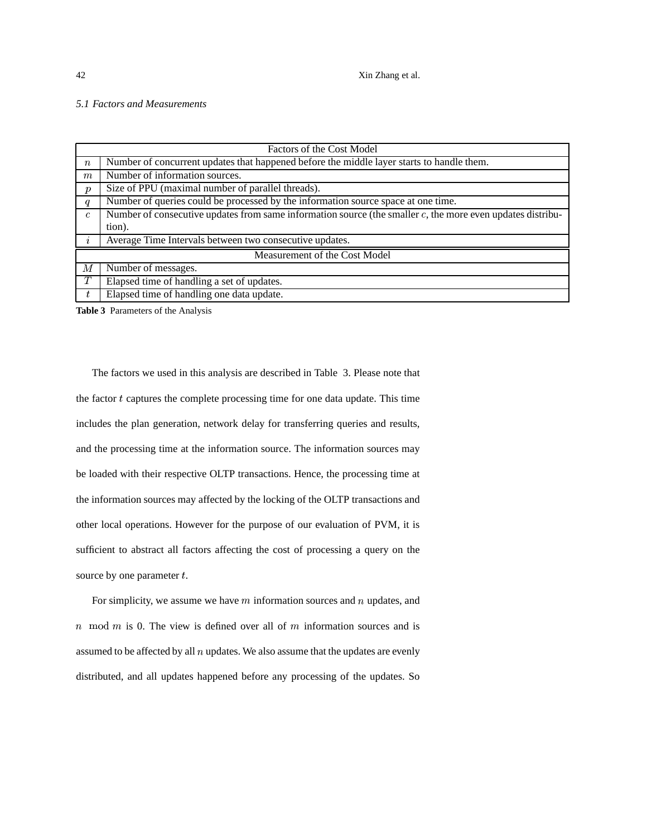# *5.1 Factors and Measurements*

|                  | Factors of the Cost Model                                                                                     |  |  |  |  |  |
|------------------|---------------------------------------------------------------------------------------------------------------|--|--|--|--|--|
| $\boldsymbol{n}$ | Number of concurrent updates that happened before the middle layer starts to handle them.                     |  |  |  |  |  |
| $\boldsymbol{m}$ | Number of information sources.                                                                                |  |  |  |  |  |
| $\mathcal{p}$    | Size of PPU (maximal number of parallel threads).                                                             |  |  |  |  |  |
| q                | Number of queries could be processed by the information source space at one time.                             |  |  |  |  |  |
| $\overline{c}$   | Number of consecutive updates from same information source (the smaller $c$ , the more even updates distribu- |  |  |  |  |  |
|                  | tion).                                                                                                        |  |  |  |  |  |
| $\ddot{q}$       | Average Time Intervals between two consecutive updates.                                                       |  |  |  |  |  |
|                  | Measurement of the Cost Model                                                                                 |  |  |  |  |  |
| M                | Number of messages.                                                                                           |  |  |  |  |  |
| $\overline{T}$   | Elapsed time of handling a set of updates.                                                                    |  |  |  |  |  |
| t.               | Elapsed time of handling one data update.                                                                     |  |  |  |  |  |

**Table 3** Parameters of the Analysis

The factors we used in this analysis are described in Table 3. Please note that the factor  $t$  captures the complete processing time for one data update. This time includes the plan generation, network delay for transferring queries and results, and the processing time at the information source. The information sources may be loaded with their respective OLTP transactions. Hence, the processing time at the information sources may affected by the locking of the OLTP transactions and other local operations. However for the purpose of our evaluation of PVM, it is sufficient to abstract all factors affecting the cost of processing a query on the source by one parameter  $t$ .

For simplicity, we assume we have  $m$  information sources and  $n$  updates, and  $n \mod m$  is 0. The view is defined over all of  $m$  information sources and is assumed to be affected by all  $n$  updates. We also assume that the updates are evenly distributed, and all updates happened before any processing of the updates. So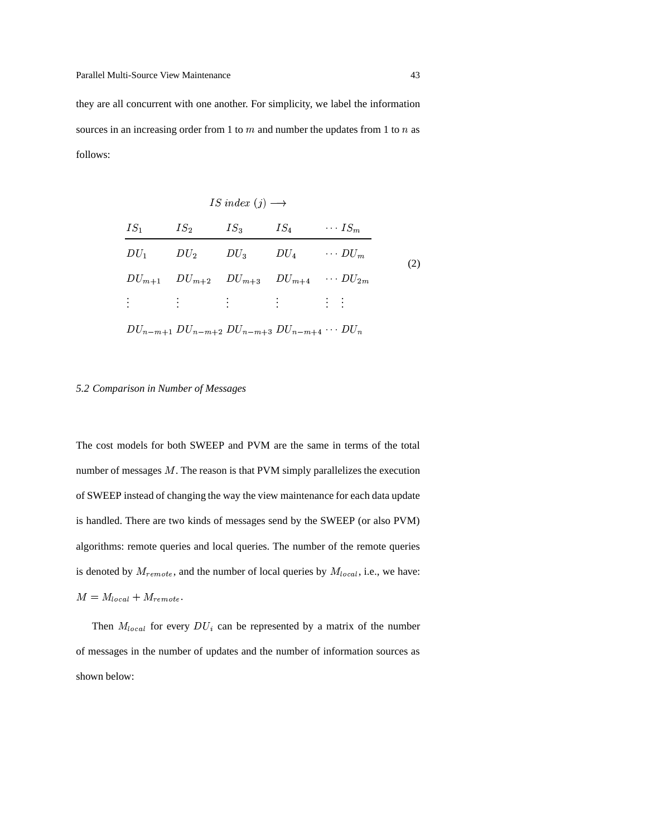they are all concurrent with one another. For simplicity, we label the information sources in an increasing order from 1 to  $m$  and number the updates from 1 to  $n$  as follows:

|                                                                       | IS index (j) $\longrightarrow$ |  |     |
|-----------------------------------------------------------------------|--------------------------------|--|-----|
| $IS_1$ $IS_2$ $IS_3$ $IS_4$ $S_5$ $IS_m$                              |                                |  |     |
| $DU_1$ $DU_2$ $DU_3$ $DU_4$ $\cdots DU_m$                             |                                |  | (2) |
| $DU_{m+1}$ $DU_{m+2}$ $DU_{m+3}$ $DU_{m+4}$ $\cdots$ $DU_{2m}$        |                                |  |     |
| 电影 医电影 医电影 医电影 医生理学                                                   |                                |  |     |
| $DU_{n-m+1}$ $DU_{n-m+2}$ $DU_{n-m+3}$ $DU_{n-m+4}$ $\cdots$ $DU_{n}$ |                                |  |     |

## *5.2 Comparison in Number of Messages*

The cost models for both SWEEP and PVM are the same in terms of the total number of messages  $M$ . The reason is that PVM simply parallelizes the execution of SWEEP instead of changing the way the view maintenance for each data update is handled. There are two kinds of messages send by the SWEEP (or also PVM) algorithms: remote queries and local queries. The number of the remote queries is denoted by  $M_{remote}$ , and the number of local queries by  $M_{local}$ , i.e., we have:  $M = M_{local} + M_{remote}.$ 

Then  $M_{local}$  for every  $DU_i$  can be represented by a matrix of the number of messages in the number of updates and the number of information sources as shown below: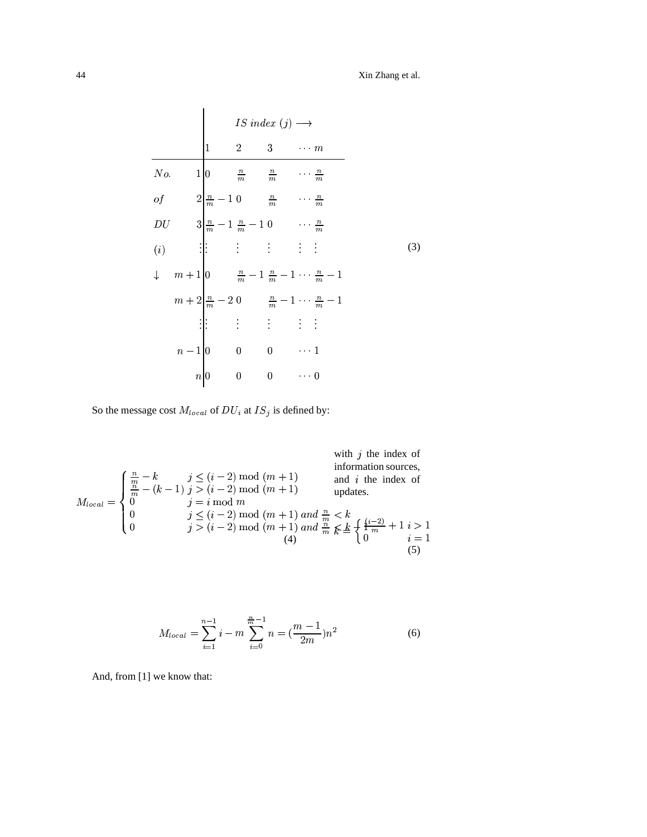44 Xin Zhang et al.

|                                                                                                                                                                                                                                                                                          |              |  | <i>IS</i> index (j) $\longrightarrow$                                                                              |  |  |  |
|------------------------------------------------------------------------------------------------------------------------------------------------------------------------------------------------------------------------------------------------------------------------------------------|--------------|--|--------------------------------------------------------------------------------------------------------------------|--|--|--|
|                                                                                                                                                                                                                                                                                          | $\mathbf{1}$ |  | 2 3 $\cdots$ m                                                                                                     |  |  |  |
|                                                                                                                                                                                                                                                                                          |              |  |                                                                                                                    |  |  |  |
| <i>No.</i> $1 \begin{pmatrix} 0 & \frac{n}{m} & \frac{n}{m} & \cdots \frac{n}{m} \\ \frac{n}{m} & -1 & 0 & \frac{n}{m} & \cdots \frac{n}{m} \\ DU & 3 \frac{n}{m} & -1 & \frac{n}{m} & -1 & 0 & \cdots \frac{n}{m} \\ \vdots & \vdots & \vdots & \vdots & \vdots & \vdots \end{pmatrix}$ |              |  |                                                                                                                    |  |  |  |
|                                                                                                                                                                                                                                                                                          |              |  |                                                                                                                    |  |  |  |
|                                                                                                                                                                                                                                                                                          |              |  |                                                                                                                    |  |  |  |
| ( <i>i</i> )<br>$\downarrow$ $m+1$ $\begin{bmatrix} 0 & \frac{n}{m} - 1 & \frac{n}{m} - 1 & \cdots & \frac{n}{m} - 1 \\ \frac{n}{m} - 2 & 0 & \frac{n}{m} - 1 & \cdots & \frac{n}{m} - 1 \\ \vdots & \vdots & \vdots & \vdots & \vdots \\ n-1 & 0 & 0 & 0 & \cdots & 1 \end{bmatrix}$    |              |  |                                                                                                                    |  |  |  |
|                                                                                                                                                                                                                                                                                          |              |  |                                                                                                                    |  |  |  |
|                                                                                                                                                                                                                                                                                          |              |  |                                                                                                                    |  |  |  |
|                                                                                                                                                                                                                                                                                          |              |  | $\begin{pmatrix} n-1 \\ n \end{pmatrix}$ 0 0 0 $\cdots$ 1<br>$\begin{pmatrix} n \\ 0 \end{pmatrix}$ 0 0 $\cdots$ 0 |  |  |  |
|                                                                                                                                                                                                                                                                                          |              |  |                                                                                                                    |  |  |  |

So the message cost  $M_{local}$  of  $DU_i$  at  $IS_j$  is defined by:

with *j* the index of  
\ninformation sources,  
\n
$$
M_{local} = \begin{cases}\n\frac{m}{m} - k & j \leq (i - 2) \mod (m + 1) \\
\frac{m}{m} - (k - 1) & j > (i - 2) \mod (m + 1) \\
0 & j = i \mod m \\
0 & j \leq (i - 2) \mod (m + 1) \text{ and } \frac{m}{m} < k \\
0 & j > (i - 2) \mod (m + 1) \text{ and } \frac{m}{m} \not\leq k \end{cases}\n\begin{cases}\ni - 2i & j \leq (i - 2) \mod (m + 1) \\
0 & j \leq (i - 2) \mod (m + 1) \text{ and } \frac{m}{m} \not\leq k \end{cases}
$$
\n
$$
\begin{cases}\ni - 2j + 1 & j > 1 \\
0 & j \leq (i - 2) \mod (m + 1) \text{ and } \frac{m}{m} \not\leq k \end{cases}
$$
\n(5)

$$
M_{local} = \sum_{i=1}^{n-1} i - m \sum_{i=0}^{\frac{n}{m}-1} n = \left(\frac{m-1}{2m}\right) n^2
$$
 (6)

And, from [1] we know that: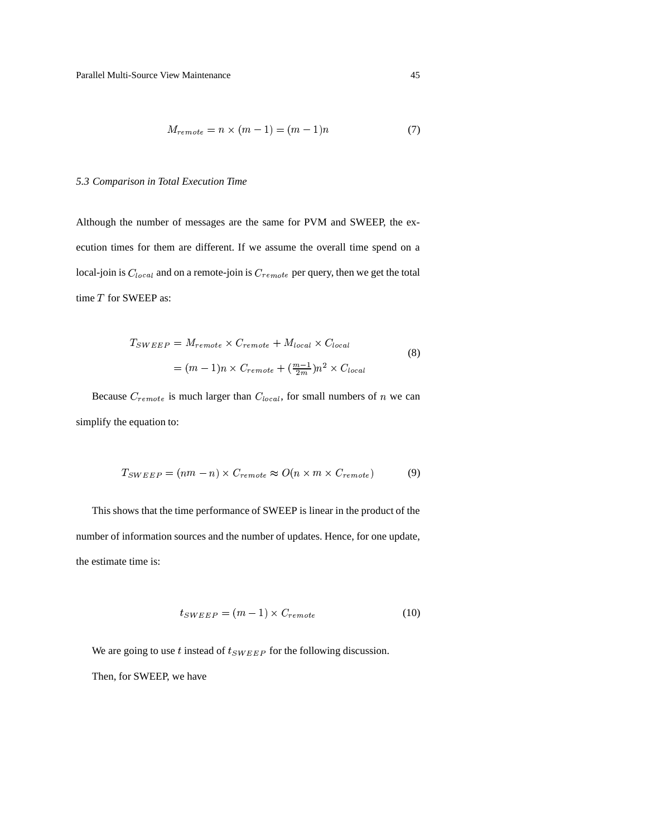$$
M_{remote} = n \times (m-1) = (m-1)n \tag{7}
$$

## *5.3 Comparison in Total Execution Time*

Although the number of messages are the same for PVM and SWEEP, the execution times for them are different. If we assume the overall time spend on a local-join is  $C_{local}$  and on a remote-join is  $C_{remote}$  per query, then we get the total time  $T$  for SWEEP as:

$$
T_{SWEEP} = M_{remote} \times C_{remote} + M_{local} \times C_{local}
$$
  
= 
$$
(m - 1)n \times C_{remote} + (\frac{m-1}{2m})n^2 \times C_{local}
$$
 (8)

Because  $C_{remote}$  is much larger than  $C_{local}$ , for small numbers of n we can simplify the equation to:

$$
T_{SWEEP} = (nm - n) \times C_{remote} \approx O(n \times m \times C_{remote}) \tag{9}
$$

This shows that the time performance of SWEEP is linear in the product of the number of information sources and the number of updates. Hence, for one update, the estimate time is:

$$
t_{SWEEP} = (m-1) \times C_{remote} \tag{10}
$$

We are going to use t instead of  $t_{SWEEP}$  for the following discussion.

Then, for SWEEP, we have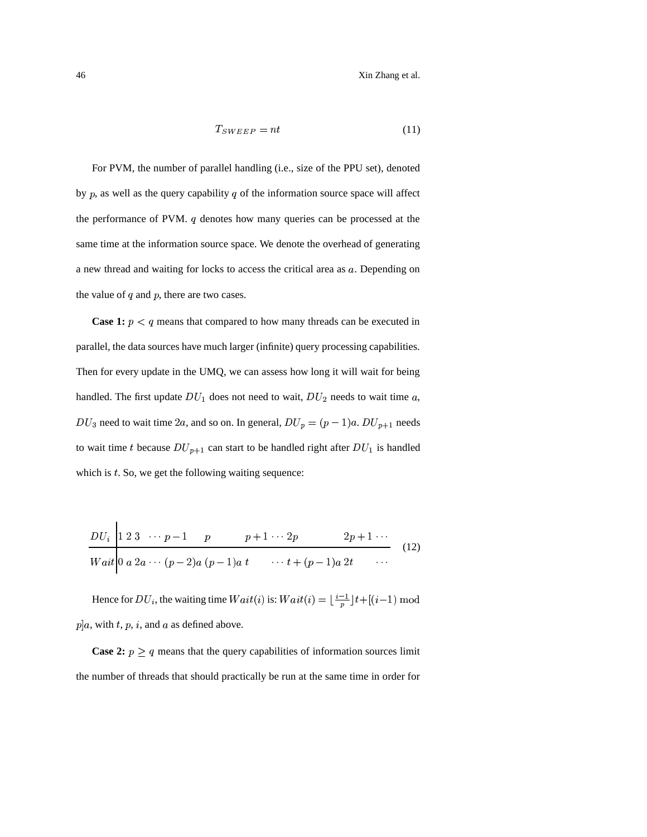$$
T_{SWEEP} = nt \tag{11}
$$

For PVM, the number of parallel handling (i.e., size of the PPU set), denoted by  $p$ , as well as the query capability  $q$  of the information source space will affect the performance of PVM.  $q$  denotes how many queries can be processed at the same time at the information source space. We denote the overhead of generating a new thread and waiting for locks to access the critical area as a. Depending on the value of  $q$  and  $p$ , there are two cases.

**Case 1:**  $p \leq q$  means that compared to how many threads can be executed in parallel, the data sources have much larger (infinite) query processing capabilities. Then for every update in the UMQ, we can assess how long it will wait for being handled. The first update  $DU_1$  does not need to wait,  $DU_2$  needs to wait time a,  $DU_3$  need to wait time 2*a*, and so on. In general,  $DU_p = (p-1)a$ .  $DU_{p+1}$  needs to wait time *t* because  $DU_{p+1}$  can start to be handled right after  $DU_1$  is handled which is  $t$ . So, we get the following waiting sequence:

$$
\frac{DU_i}{Wait} \begin{vmatrix} 1 & 2 & 3 & \cdots & p-1 & p & p+1 & \cdots & 2p & 2p+1 & \cdots \\ 0 & a & 2a & \cdots & (p-2)a & (p-1)a & t & \cdots & t+(p-1)a & 2t & \cdots \end{vmatrix}
$$
 (12)

Hence for  $DU_i$ , the waiting time  $Wait(i)$  is:  $Wait(i) = \lfloor \frac{i-1}{n} \rfloor t + \lfloor (i-1) \mod 2 \rfloor$  $p|a$ , with t, p, i, and a as defined above.

**Case 2:**  $p \geq q$  means that the query capabilities of information sources limit the number of threads that should practically be run at the same time in order for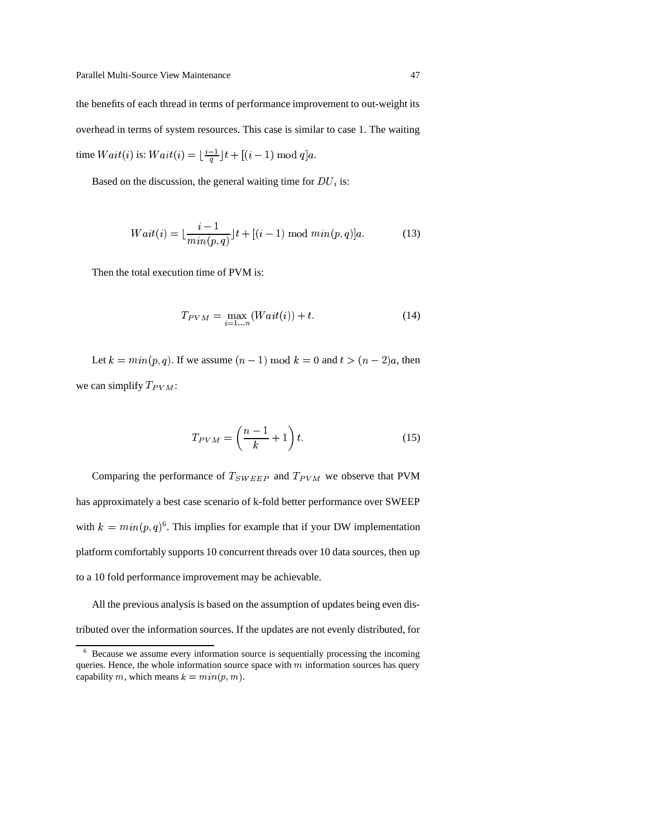the benefits of each thread in terms of performance improvement to out-weight its overhead in terms of system resources. This case is similar to case 1. The waiting time  $Wait(i)$  is:  $Wait(i) = \lfloor \frac{i-1}{a} \rfloor t + [(i-1) \bmod q]a$ .

Based on the discussion, the general waiting time for  $DU_i$  is:

$$
Wait(i) = \lfloor \frac{i-1}{\min(p, q)} \rfloor t + [(i-1) \bmod \min(p, q)]a.
$$
 (13)

Then the total execution time of PVM is:

$$
T_{PVM} = \max_{i=1...n} (Wait(i)) + t.
$$
 (14)

Let  $k = min(p, q)$ . If we assume  $(n - 1) \text{ mod } k = 0$  and  $t > (n - 2)a$ , then we can simplify  $T_{PVM}$ :

$$
T_{PVM} = \left(\frac{n-1}{k} + 1\right)t.
$$
 (15)

Comparing the performance of  $T_{SWEEP}$  and  $T_{PVM}$  we observe that PVM has approximately a best case scenario of k-fold better performance over SWEEP with  $k = min(p, q)^6$ . This implies for example that if your DW implementation platform comfortably supports 10 concurrent threads over 10 data sources, then up to a 10 fold performance improvement may be achievable.

All the previous analysis is based on the assumption of updates being even distributed over the information sources. If the updates are not evenly distributed, for

<sup>6</sup> Because we assume every information source is sequentially processing the incoming queries. Hence, the whole information source space with  $m$  information sources has query capability m, which means  $k = min(p, m)$ .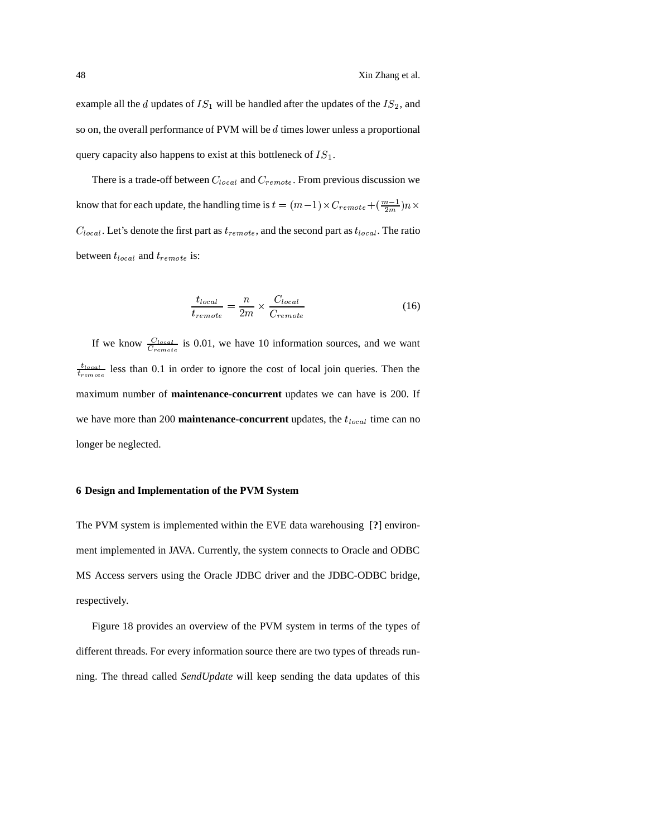example all the *d* updates of  $IS_1$  will be handled after the updates of the  $IS_2$ , and so on, the overall performance of PVM will be  $d$  times lower unless a proportional query capacity also happens to exist at this bottleneck of  $IS_1$ .

There is a trade-off between  $C_{local}$  and  $C_{remote}$ . From previous discussion we know that for each update, the handling time is  $t = (m-1) \times C_{remote} + (\frac{m-1}{2m})n \times$  $C_{local}$ . Let's denote the first part as  $t_{remote}$ , and the second part as  $t_{local}$ . The ratio between  $t_{local}$  and  $t_{remote}$  is:

$$
\frac{t_{local}}{t_{remote}} = \frac{n}{2m} \times \frac{C_{local}}{C_{remote}}
$$
\n(16)

If we know  $\frac{C_{local}}{C_{remainder}}$  is 0.01, we have 10 information sources, and we want  $\frac{t_{local}}{t_{remainder}}$  less than 0.1 in order to ignore the cost of local join queries. Then the maximum number of **maintenance-concurrent** updates we can have is 200. If we have more than 200 **maintenance-concurrent** updates, the  $t_{local}$  time can no longer be neglected.

## **6 Design and Implementation of the PVM System**

The PVM system is implemented within the EVE data warehousing [**?**] environment implemented in JAVA. Currently, the system connects to Oracle and ODBC MS Access servers using the Oracle JDBC driver and the JDBC-ODBC bridge, respectively.

Figure 18 provides an overview of the PVM system in terms of the types of different threads. For every information source there are two types of threads running. The thread called *SendUpdate* will keep sending the data updates of this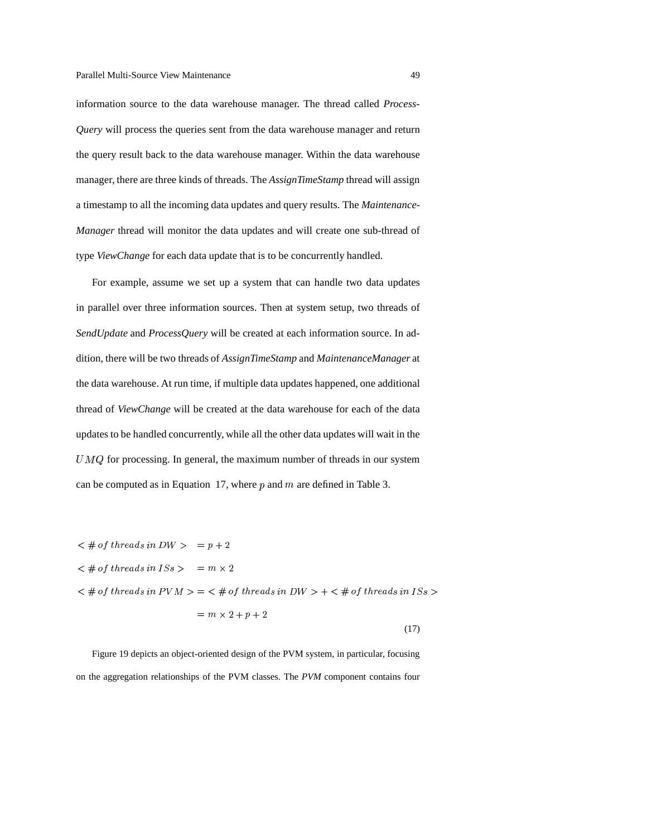information source to the data warehouse manager. The thread called *Process-Query* will process the queries sent from the data warehouse manager and return the query result back to the data warehouse manager. Within the data warehouse manager, there are three kinds of threads. The *AssignTimeStamp* thread will assign a timestamp to all the incoming data updates and query results. The *Maintenance-Manager* thread will monitor the data updates and will create one sub-thread of type *ViewChange* for each data update that is to be concurrently handled.

For example, assume we set up a system that can handle two data updates in parallel over three information sources. Then at system setup, two threads of *SendUpdate* and *ProcessQuery* will be created at each information source. In addition, there will be two threads of *AssignTimeStamp* and *MaintenanceManager* at the data warehouse. At run time, if multiple data updates happened, one additional thread of *ViewChange* will be created at the data warehouse for each of the data updates to be handled concurrently, while all the other data updates will wait in the  $UMQ$  for processing. In general, the maximum number of threads in our system can be computed as in Equation 17, where  $p$  and  $m$  are defined in Table 3.

 $\leq \text{\# of } three\text{ }ds\text{ }in\text{ }DW\text{ }>\text{ }=n+2$  $\lt \#$  of threads in  $1S_s$   $>$  = m  $\times$  2  $\epsilon \neq 0$  threads in  $PVM \geq \epsilon \neq 0$  threads in  $DW \geq + \epsilon \neq 0$  threads in  $ISS \geq$  $=m\times 2+p+2$ (17)

Figure 19 depicts an object-oriented design of the PVM system, in particular, focusing on the aggregation relationships of the PVM classes. The *PVM* component contains four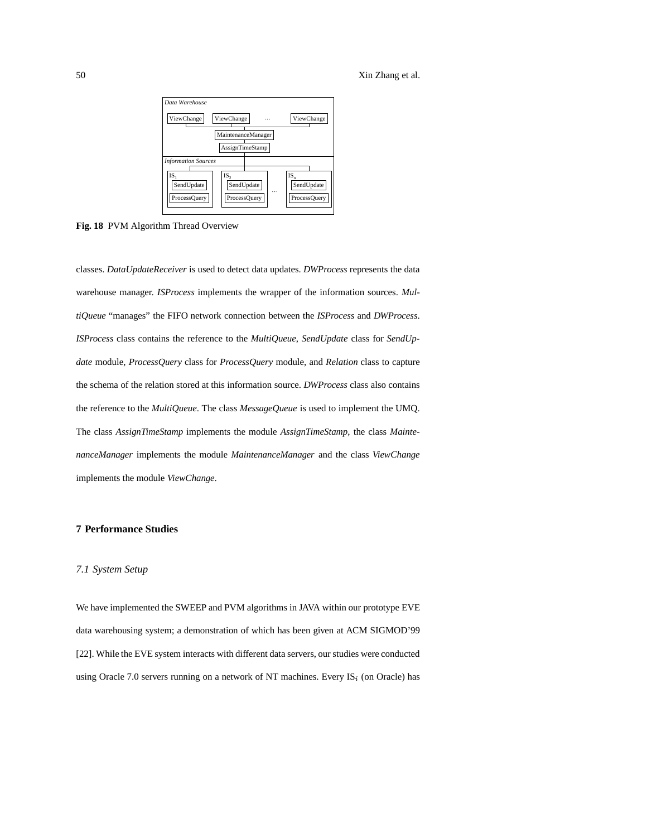## 50 Xin Zhang et al.



**Fig. 18** PVM Algorithm Thread Overview

classes. *DataUpdateReceiver* is used to detect data updates. *DWProcess* represents the data warehouse manager. *ISProcess* implements the wrapper of the information sources. *MultiQueue* "manages" the FIFO network connection between the *ISProcess* and *DWProcess*. *ISProcess* class contains the reference to the *MultiQueue*, *SendUpdate* class for *SendUpdate* module, *ProcessQuery* class for *ProcessQuery* module, and *Relation* class to capture the schema of the relation stored at this information source. *DWProcess* class also contains the reference to the *MultiQueue*. The class *MessageQueue* is used to implement the UMQ. The class *AssignTimeStamp* implements the module *AssignTimeStamp*, the class *MaintenanceManager* implements the module *MaintenanceManager* and the class *ViewChange* implements the module *ViewChange*.

## **7 Performance Studies**

# *7.1 System Setup*

We have implemented the SWEEP and PVM algorithms in JAVA within our prototype EVE data warehousing system; a demonstration of which has been given at ACM SIGMOD'99 [22]. While the EVE system interacts with different data servers, our studies were conducted using Oracle 7.0 servers running on a network of NT machines. Every  $IS_i$  (on Oracle) has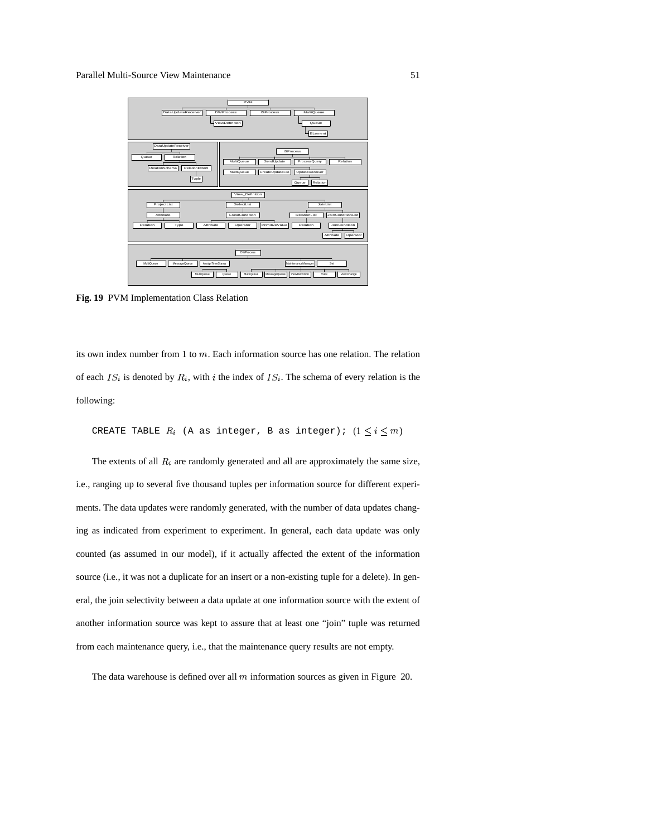

**Fig. 19** PVM Implementation Class Relation

its own index number from 1 to  $m$ . Each information source has one relation. The relation of each  $IS_i$  is denoted by  $R_i$ , with i the index of  $IS_i$ . The schema of every relation is the following:

CREATE TABLE  $R_i$  (A as integer, B as integer);  $(1 \leq i \leq m)$ 

The extents of all  $R_i$  are randomly generated and all are approximately the same size, i.e., ranging up to several five thousand tuples per information source for different experiments. The data updates were randomly generated, with the number of data updates changing as indicated from experiment to experiment. In general, each data update was only counted (as assumed in our model), if it actually affected the extent of the information source (i.e., it was not a duplicate for an insert or a non-existing tuple for a delete). In general, the join selectivity between a data update at one information source with the extent of another information source was kept to assure that at least one "join" tuple was returned from each maintenance query, i.e., that the maintenance query results are not empty.

The data warehouse is defined over all  $m$  information sources as given in Figure 20.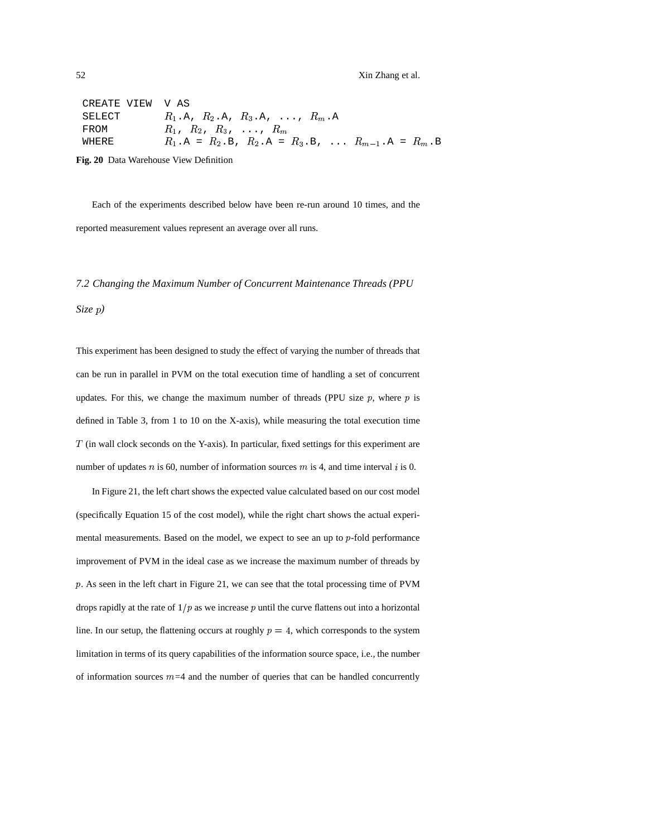52 Xin Zhang et al.

| CREATE VIEW | V AS                                                    |
|-------------|---------------------------------------------------------|
| SELECT      | $R_1.A$ , $R_2.A$ , $R_3.A$ , , $R_m.A$                 |
| FROM        | $R_1, R_2, R_3, \ldots, R_m$                            |
| WHERE       | $R_1.A = R_2.B$ , $R_2.A = R_3.B$ , $R_{m-1.A} = R_m.B$ |

**Fig. 20** Data Warehouse View Definition

Each of the experiments described below have been re-run around 10 times, and the reported measurement values represent an average over all runs.

*7.2 Changing the Maximum Number of Concurrent Maintenance Threads (PPU Size p*)

This experiment has been designed to study the effect of varying the number of threads that can be run in parallel in PVM on the total execution time of handling a set of concurrent updates. For this, we change the maximum number of threads (PPU size  $p$ , where  $p$  is defined in Table 3, from 1 to 10 on the X-axis), while measuring the total execution time  $T$  (in wall clock seconds on the Y-axis). In particular, fixed settings for this experiment are number of updates  $n$  is 60, number of information sources  $m$  is 4, and time interval  $i$  is 0.

In Figure 21, the left chart shows the expected value calculated based on our cost model (specifically Equation 15 of the cost model), while the right chart shows the actual experimental measurements. Based on the model, we expect to see an up to  $p$ -fold performance improvement of PVM in the ideal case as we increase the maximum number of threads by  $p$ . As seen in the left chart in Figure 21, we can see that the total processing time of PVM drops rapidly at the rate of  $1/p$  as we increase p until the curve flattens out into a horizontal line. In our setup, the flattening occurs at roughly  $p = 4$ , which corresponds to the system limitation in terms of its query capabilities of the information source space, i.e., the number of information sources  $m=4$  and the number of queries that can be handled concurrently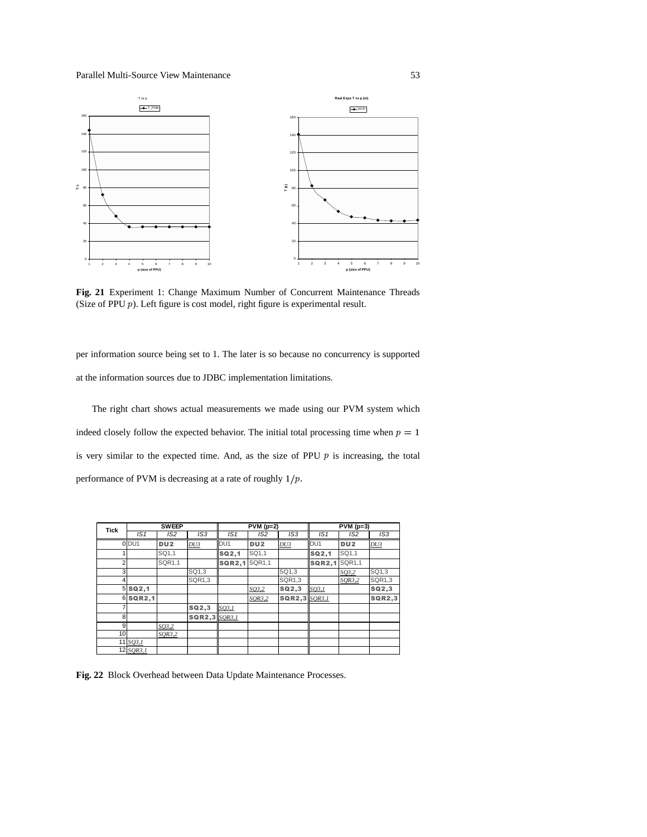### Parallel Multi-Source View Maintenance 53



**Fig. 21** Experiment 1: Change Maximum Number of Concurrent Maintenance Threads (Size of PPU  $p$ ). Left figure is cost model, right figure is experimental result.

per information source being set to 1. The later is so because no concurrency is supported at the information sources due to JDBC implementation limitations.

The right chart shows actual measurements we made using our PVM system which indeed closely follow the expected behavior. The initial total processing time when  $p = 1$ is very similar to the expected time. And, as the size of PPU  $p$  is increasing, the total performance of PVM is decreasing at a rate of roughly  $1/p$ .

| <b>Tick</b> |             | <b>SWEEP</b>    |               |                 | $PVM(p=2)$      |               | $PVM(p=3)$      |                 |               |  |
|-------------|-------------|-----------------|---------------|-----------------|-----------------|---------------|-----------------|-----------------|---------------|--|
|             | IS1         | IS2             | IS3           | IS1             | IS2             | IS3           | IS1             | IS <sub>2</sub> | IS3           |  |
|             | 0 DU1       | DU <sub>2</sub> | DU3           | DU <sub>1</sub> | DU <sub>2</sub> | DU3           | DU <sub>1</sub> | DU <sub>2</sub> | DU3           |  |
|             |             | SQ1.1           |               | SQ2,1           | SQ1.1           |               | SQ2,1           | SQ1.1           |               |  |
| 2           |             | SQR1,1          |               | <b>SQR2,1</b>   | SQR1.1          |               | <b>SQR2,1</b>   | SQR1.1          |               |  |
| 3           |             |                 | SQ1,3         |                 |                 | SQ1,3         |                 | SO3,2           | SQ1,3         |  |
|             |             |                 | SQR1.3        |                 |                 | SQR1,3        |                 | SOR3,2          | SQR1,3        |  |
|             | $5$ SQ2,1   |                 |               |                 | SQ3,2           | <b>SQ2,3</b>  | SQ3,1           |                 | <b>SQ2,3</b>  |  |
|             | 6 SQR2,1    |                 |               |                 | SOR3,2          | SQR2,3 SOR3.1 |                 |                 | <b>SQR2,3</b> |  |
|             |             |                 | SO2,3         | SO3.1           |                 |               |                 |                 |               |  |
| 8           |             |                 | SQR2,3 SOR3.1 |                 |                 |               |                 |                 |               |  |
| 9           |             | SO3.2           |               |                 |                 |               |                 |                 |               |  |
| 10          |             | SOR3,2          |               |                 |                 |               |                 |                 |               |  |
|             | 11 $SO3.1$  |                 |               |                 |                 |               |                 |                 |               |  |
|             | $12$ SQR3,1 |                 |               |                 |                 |               |                 |                 |               |  |

**Fig. 22** Block Overhead between Data Update Maintenance Processes.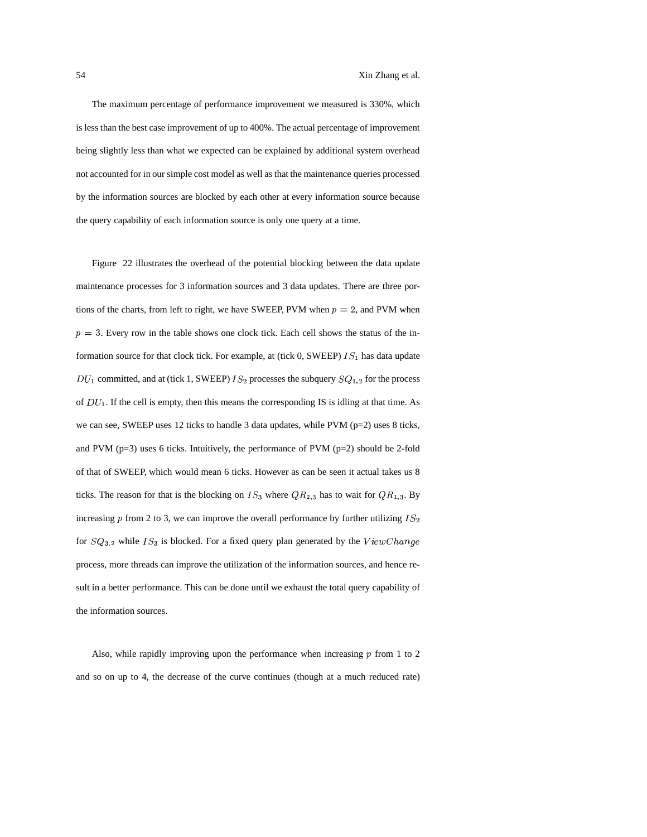The maximum percentage of performance improvement we measured is 330%, which is less than the best case improvement of up to 400%. The actual percentage of improvement being slightly less than what we expected can be explained by additional system overhead not accounted for in our simple cost model as well as that the maintenance queries processed by the information sources are blocked by each other at every information source because the query capability of each information source is only one query at a time.

Figure 22 illustrates the overhead of the potential blocking between the data update maintenance processes for 3 information sources and 3 data updates. There are three portions of the charts, from left to right, we have SWEEP, PVM when  $p = 2$ , and PVM when  $p = 3$ . Every row in the table shows one clock tick. Each cell shows the status of the information source for that clock tick. For example, at (tick  $0$ , SWEEP)  $IS<sub>1</sub>$  has data update  $DU_1$  committed, and at (tick 1, SWEEP)  $IS_2$  processes the subquery  $SQ_{1,2}$  for the process of  $DU_1$ . If the cell is empty, then this means the corresponding IS is idling at that time. As we can see, SWEEP uses 12 ticks to handle 3 data updates, while PVM ( $p=2$ ) uses 8 ticks, and PVM ( $p=3$ ) uses 6 ticks. Intuitively, the performance of PVM ( $p=2$ ) should be 2-fold of that of SWEEP, which would mean 6 ticks. However as can be seen it actual takes us 8 ticks. The reason for that is the blocking on  $IS_3$  where  $QR_{2,3}$  has to wait for  $QR_{1,3}$ . By increasing  $p$  from 2 to 3, we can improve the overall performance by further utilizing  $IS<sub>2</sub>$ for  $SQ_{3,2}$  while  $IS_3$  is blocked. For a fixed query plan generated by the  $ViewChange$ process, more threads can improve the utilization of the information sources, and hence result in a better performance. This can be done until we exhaust the total query capability of the information sources.

Also, while rapidly improving upon the performance when increasing  $p$  from 1 to 2 and so on up to 4, the decrease of the curve continues (though at a much reduced rate)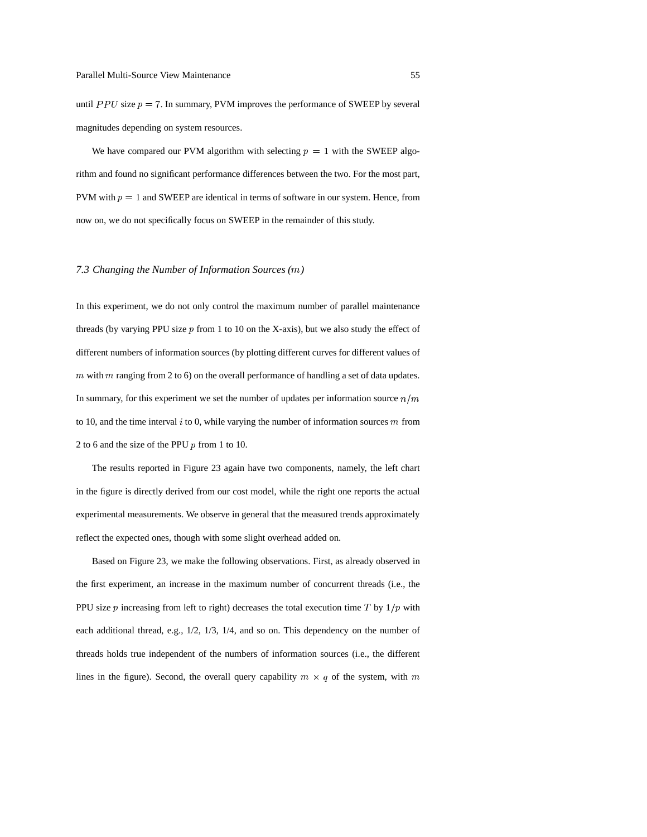until  $PPU$  size  $p = 7$ . In summary, PVM improves the performance of SWEEP by several magnitudes depending on system resources.

We have compared our PVM algorithm with selecting  $p = 1$  with the SWEEP algorithm and found no significant performance differences between the two. For the most part, PVM with  $p = 1$  and SWEEP are identical in terms of software in our system. Hence, from now on, we do not specifically focus on SWEEP in the remainder of this study.

## *7.3 Changing the Number of Information Sources (*+*)*

In this experiment, we do not only control the maximum number of parallel maintenance threads (by varying PPU size  $p$  from 1 to 10 on the X-axis), but we also study the effect of different numbers of information sources (by plotting different curves for different values of  $m$  with  $m$  ranging from 2 to 6) on the overall performance of handling a set of data updates. In summary, for this experiment we set the number of updates per information source  $n/m$ to 10, and the time interval  $i$  to 0, while varying the number of information sources  $m$  from 2 to 6 and the size of the PPU  $p$  from 1 to 10.

The results reported in Figure 23 again have two components, namely, the left chart in the figure is directly derived from our cost model, while the right one reports the actual experimental measurements. We observe in general that the measured trends approximately reflect the expected ones, though with some slight overhead added on.

Based on Figure 23, we make the following observations. First, as already observed in the first experiment, an increase in the maximum number of concurrent threads (i.e., the PPU size p increasing from left to right) decreases the total execution time T by  $1/p$  with each additional thread, e.g., 1/2, 1/3, 1/4, and so on. This dependency on the number of threads holds true independent of the numbers of information sources (i.e., the different lines in the figure). Second, the overall query capability  $m \times q$  of the system, with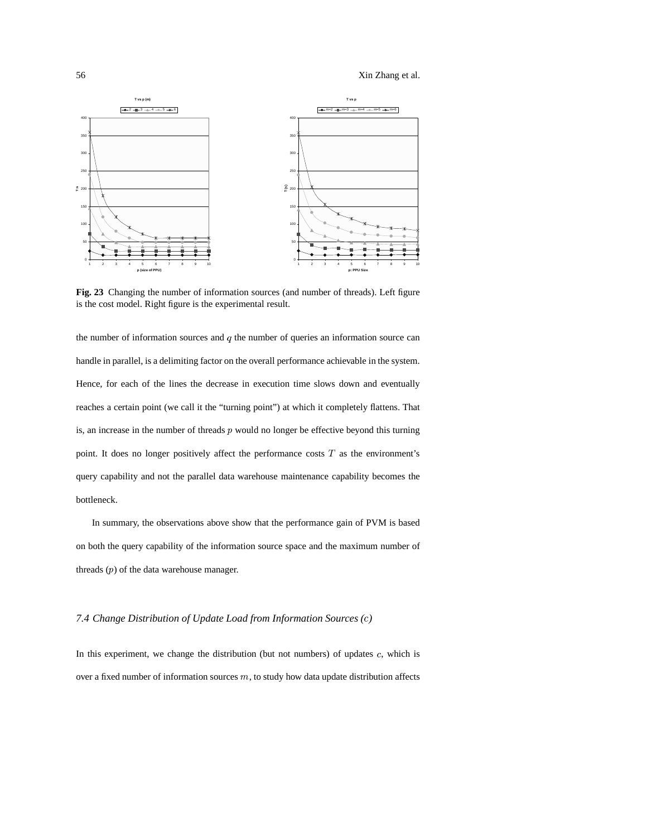56 Xin Zhang et al.



**Fig. 23** Changing the number of information sources (and number of threads). Left figure is the cost model. Right figure is the experimental result.

the number of information sources and  $q$  the number of queries an information source can handle in parallel, is a delimiting factor on the overall performance achievable in the system. Hence, for each of the lines the decrease in execution time slows down and eventually reaches a certain point (we call it the "turning point") at which it completely flattens. That is, an increase in the number of threads  $p$  would no longer be effective beyond this turning point. It does no longer positively affect the performance costs  $T$  as the environment's query capability and not the parallel data warehouse maintenance capability becomes the bottleneck.

In summary, the observations above show that the performance gain of PVM is based on both the query capability of the information source space and the maximum number of threads  $(p)$  of the data warehouse manager.

## *7.4 Change Distribution of Update Load from Information Sources ( )*

In this experiment, we change the distribution (but not numbers) of updates  $c$ , which is over a fixed number of information sources  $m$ , to study how data update distribution affects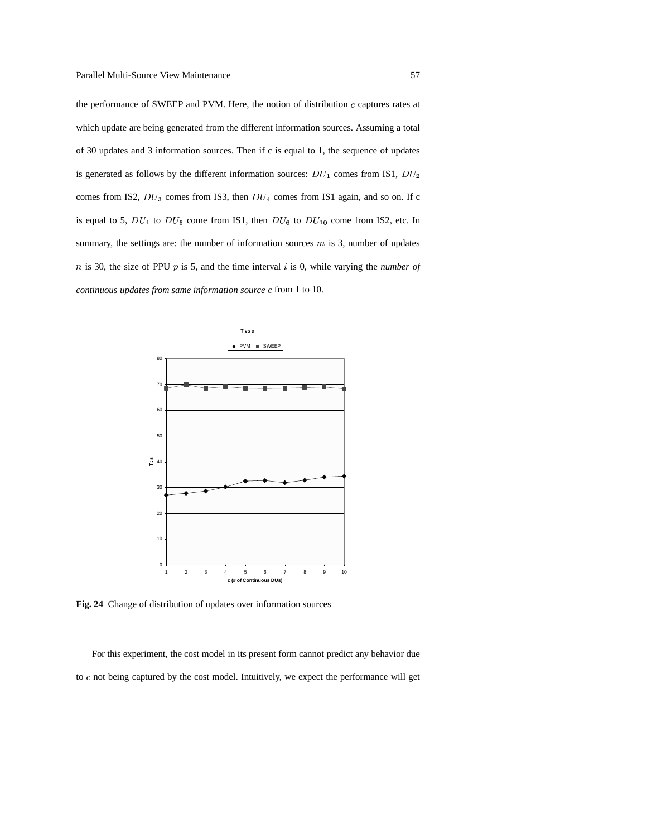the performance of SWEEP and PVM. Here, the notion of distribution  $c$  captures rates at which update are being generated from the different information sources. Assuming a total of 30 updates and 3 information sources. Then if c is equal to 1, the sequence of updates is generated as follows by the different information sources:  $DU_1$  comes from IS1,  $DU_2$ comes from IS2,  $DU_3$  comes from IS3, then  $DU_4$  comes from IS1 again, and so on. If c is equal to 5,  $DU_1$  to  $DU_5$  come from IS1, then  $DU_6$  to  $DU_{10}$  come from IS2, etc. In summary, the settings are: the number of information sources  $m$  is 3, number of updates  $n$  is 30, the size of PPU  $p$  is 5, and the time interval  $i$  is 0, while varying the *number* of *continuous updates from same information source* from 1 to 10.



**Fig. 24** Change of distribution of updates over information sources

For this experiment, the cost model in its present form cannot predict any behavior due to  $c$  not being captured by the cost model. Intuitively, we expect the performance will get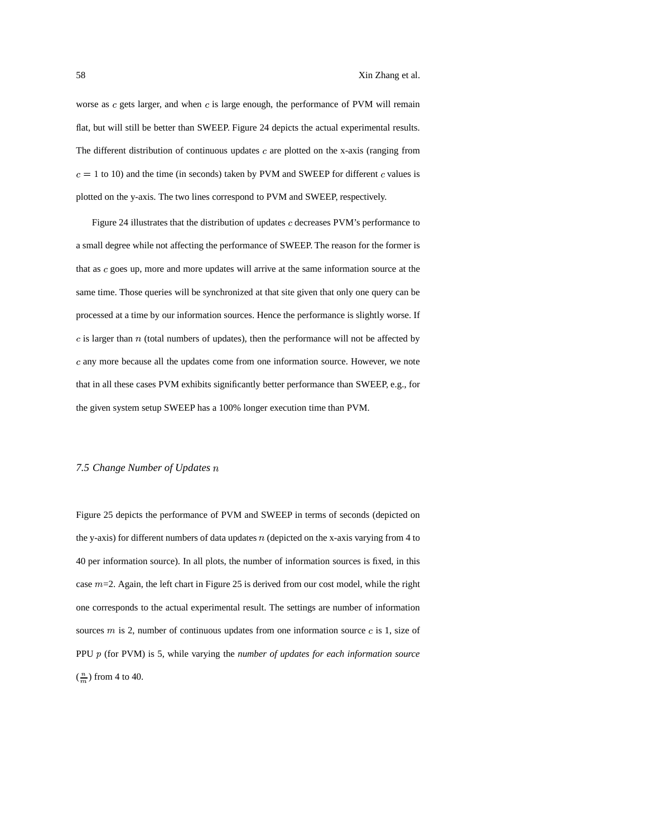worse as  $c$  gets larger, and when  $c$  is large enough, the performance of PVM will remain flat, but will still be better than SWEEP. Figure 24 depicts the actual experimental results. The different distribution of continuous updates  $c$  are plotted on the x-axis (ranging from  $c = 1$  to 10) and the time (in seconds) taken by PVM and SWEEP for different  $c$  values is plotted on the y-axis. The two lines correspond to PVM and SWEEP, respectively.

Figure 24 illustrates that the distribution of updates  $c$  decreases PVM's performance to a small degree while not affecting the performance of SWEEP. The reason for the former is that as  $c$  goes up, more and more updates will arrive at the same information source at the same time. Those queries will be synchronized at that site given that only one query can be processed at a time by our information sources. Hence the performance is slightly worse. If  $c$  is larger than  $n$  (total numbers of updates), then the performance will not be affected by  $c$  any more because all the updates come from one information source. However, we note that in all these cases PVM exhibits significantly better performance than SWEEP, e.g., for the given system setup SWEEP has a 100% longer execution time than PVM.

#### *7.5 Change Number of Updates*

Figure 25 depicts the performance of PVM and SWEEP in terms of seconds (depicted on the y-axis) for different numbers of data updates  $n$  (depicted on the x-axis varying from 4 to 40 per information source). In all plots, the number of information sources is fixed, in this case  $m=2$ . Again, the left chart in Figure 25 is derived from our cost model, while the right one corresponds to the actual experimental result. The settings are number of information sources  $m$  is 2, number of continuous updates from one information source  $c$  is 1, size of PPU (for PVM) is 5, while varying the *number of updates for each information source*  $\left(\frac{n}{m}\right)$  from 4 to 40.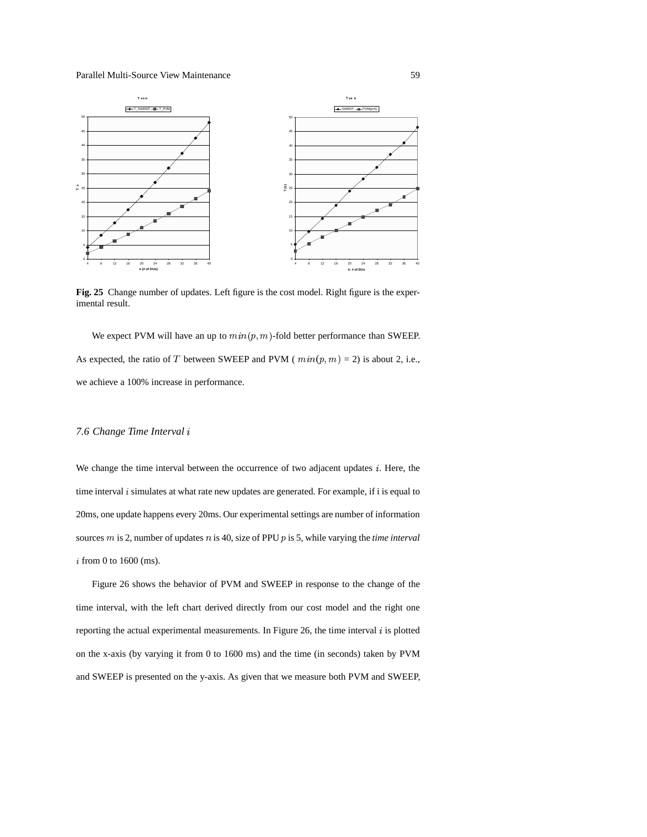Parallel Multi-Source View Maintenance 59



**Fig. 25** Change number of updates. Left figure is the cost model. Right figure is the experimental result.

We expect PVM will have an up to  $min(p, m)$ -fold better performance than SWEEP. As expected, the ratio of T between SWEEP and PVM ( $min(p, m) = 2$ ) is about 2, i.e., we achieve a 100% increase in performance.

### *7.6 Change Time Interval i*

We change the time interval between the occurrence of two adjacent updates  $i$ . Here, the time interval  $i$  simulates at what rate new updates are generated. For example, if  $i$  is equal to 20ms, one update happens every 20ms. Our experimental settings are number of information sources  $m$  is 2, number of updates  $n$  is 40, size of PPU  $p$  is 5, while varying the *time interval*  $i$  from 0 to 1600 (ms).

Figure 26 shows the behavior of PVM and SWEEP in response to the change of the time interval, with the left chart derived directly from our cost model and the right one reporting the actual experimental measurements. In Figure 26, the time interval  $i$  is plotted on the x-axis (by varying it from 0 to 1600 ms) and the time (in seconds) taken by PVM and SWEEP is presented on the y-axis. As given that we measure both PVM and SWEEP,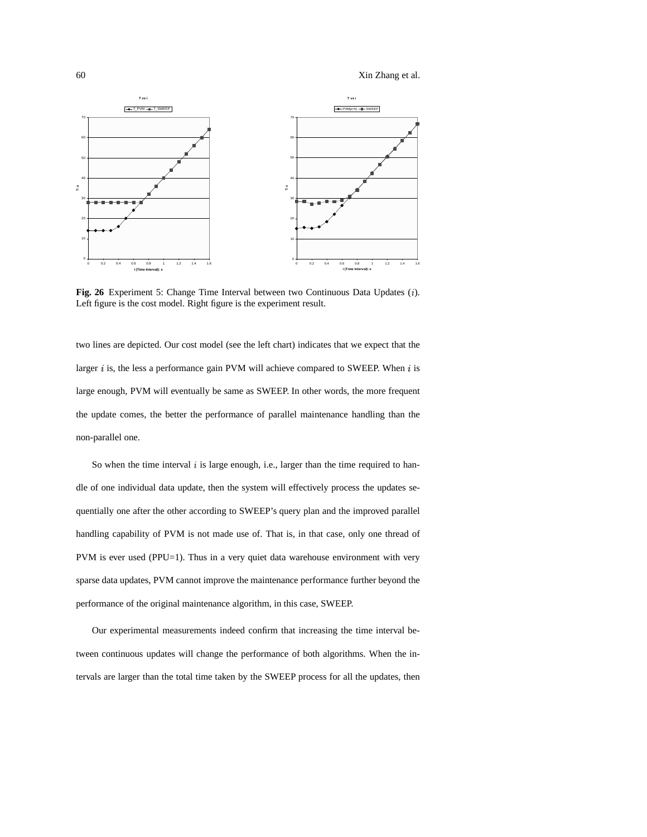60 Xin Zhang et al.



Fig. 26 Experiment 5: Change Time Interval between two Continuous Data Updates (*i*). Left figure is the cost model. Right figure is the experiment result.

two lines are depicted. Our cost model (see the left chart) indicates that we expect that the larger  $i$  is, the less a performance gain PVM will achieve compared to SWEEP. When  $i$  is large enough, PVM will eventually be same as SWEEP. In other words, the more frequent the update comes, the better the performance of parallel maintenance handling than the non-parallel one.

So when the time interval  $i$  is large enough, i.e., larger than the time required to handle of one individual data update, then the system will effectively process the updates sequentially one after the other according to SWEEP's query plan and the improved parallel handling capability of PVM is not made use of. That is, in that case, only one thread of PVM is ever used (PPU=1). Thus in a very quiet data warehouse environment with very sparse data updates, PVM cannot improve the maintenance performance further beyond the performance of the original maintenance algorithm, in this case, SWEEP.

Our experimental measurements indeed confirm that increasing the time interval between continuous updates will change the performance of both algorithms. When the intervals are larger than the total time taken by the SWEEP process for all the updates, then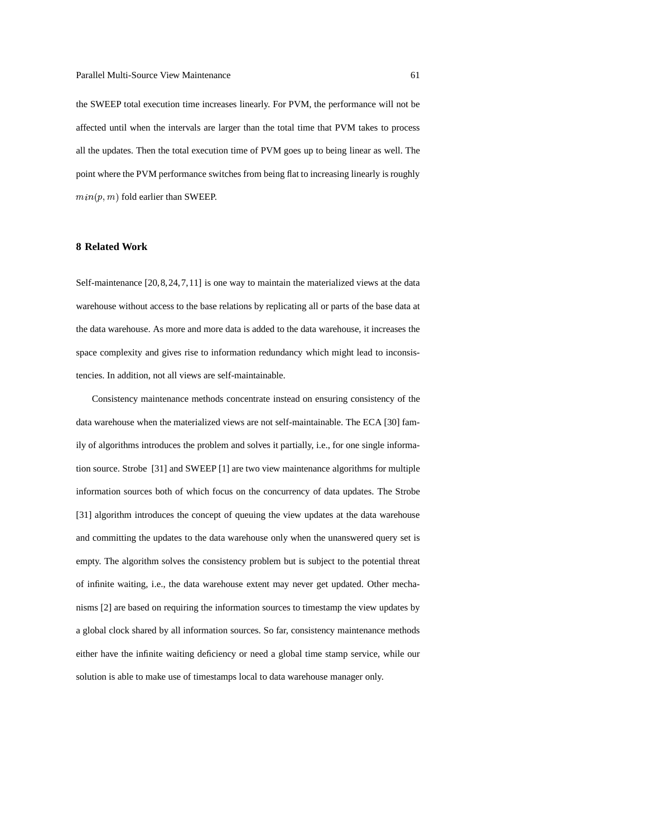the SWEEP total execution time increases linearly. For PVM, the performance will not be affected until when the intervals are larger than the total time that PVM takes to process all the updates. Then the total execution time of PVM goes up to being linear as well. The point where the PVM performance switches from being flat to increasing linearly is roughly  $min(p, m)$  fold earlier than SWEEP.

## **8 Related Work**

Self-maintenance [20,8,24,7,11] is one way to maintain the materialized views at the data warehouse without access to the base relations by replicating all or parts of the base data at the data warehouse. As more and more data is added to the data warehouse, it increases the space complexity and gives rise to information redundancy which might lead to inconsistencies. In addition, not all views are self-maintainable.

Consistency maintenance methods concentrate instead on ensuring consistency of the data warehouse when the materialized views are not self-maintainable. The ECA [30] family of algorithms introduces the problem and solves it partially, i.e., for one single information source. Strobe [31] and SWEEP [1] are two view maintenance algorithms for multiple information sources both of which focus on the concurrency of data updates. The Strobe [31] algorithm introduces the concept of queuing the view updates at the data warehouse and committing the updates to the data warehouse only when the unanswered query set is empty. The algorithm solves the consistency problem but is subject to the potential threat of infinite waiting, i.e., the data warehouse extent may never get updated. Other mechanisms [2] are based on requiring the information sources to timestamp the view updates by a global clock shared by all information sources. So far, consistency maintenance methods either have the infinite waiting deficiency or need a global time stamp service, while our solution is able to make use of timestamps local to data warehouse manager only.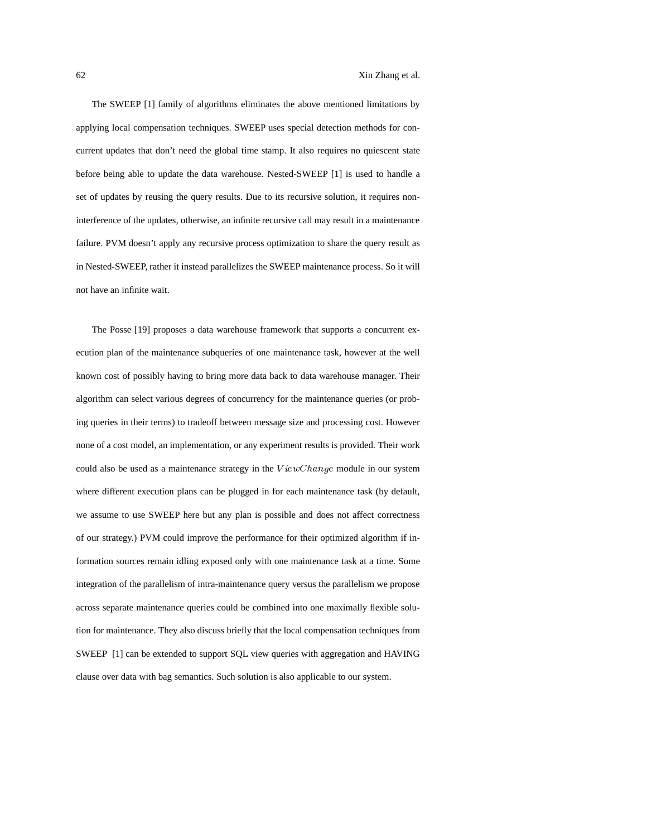The SWEEP [1] family of algorithms eliminates the above mentioned limitations by applying local compensation techniques. SWEEP uses special detection methods for concurrent updates that don't need the global time stamp. It also requires no quiescent state before being able to update the data warehouse. Nested-SWEEP [1] is used to handle a set of updates by reusing the query results. Due to its recursive solution, it requires noninterference of the updates, otherwise, an infinite recursive call may result in a maintenance failure. PVM doesn't apply any recursive process optimization to share the query result as in Nested-SWEEP, rather it instead parallelizes the SWEEP maintenance process. So it will not have an infinite wait.

The Posse [19] proposes a data warehouse framework that supports a concurrent execution plan of the maintenance subqueries of one maintenance task, however at the well known cost of possibly having to bring more data back to data warehouse manager. Their algorithm can select various degrees of concurrency for the maintenance queries (or probing queries in their terms) to tradeoff between message size and processing cost. However none of a cost model, an implementation, or any experiment results is provided. Their work could also be used as a maintenance strategy in the  $ViewChange$  module in our system where different execution plans can be plugged in for each maintenance task (by default, we assume to use SWEEP here but any plan is possible and does not affect correctness of our strategy.) PVM could improve the performance for their optimized algorithm if information sources remain idling exposed only with one maintenance task at a time. Some integration of the parallelism of intra-maintenance query versus the parallelism we propose across separate maintenance queries could be combined into one maximally flexible solution for maintenance. They also discuss briefly that the local compensation techniques from SWEEP [1] can be extended to support SQL view queries with aggregation and HAVING clause over data with bag semantics. Such solution is also applicable to our system.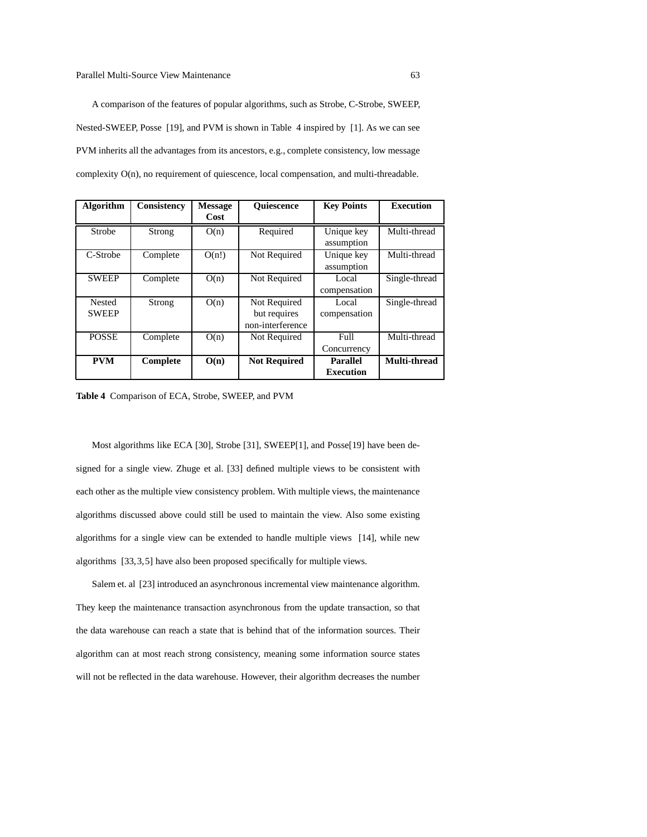A comparison of the features of popular algorithms, such as Strobe, C-Strobe, SWEEP, Nested-SWEEP, Posse [19], and PVM is shown in Table 4 inspired by [1]. As we can see PVM inherits all the advantages from its ancestors, e.g., complete consistency, low message complexity O(n), no requirement of quiescence, local compensation, and multi-threadable.

| <b>Algorithm</b>         | Consistency | <b>Message</b> | <b>Ouiescence</b>   | <b>Key Points</b>              | <b>Execution</b> |
|--------------------------|-------------|----------------|---------------------|--------------------------------|------------------|
|                          |             | Cost           |                     |                                |                  |
| <b>Strobe</b>            | Strong      | O(n)           | Required            | $\overline{\text{Unique}}$ key | Multi-thread     |
|                          |             |                |                     | assumption                     |                  |
| C-Strobe                 | Complete    | O(n!)          | Not Required        | Unique key                     | Multi-thread     |
|                          |             |                |                     | assumption                     |                  |
| <b>SWEEP</b><br>Complete |             | O(n)           | Not Required        | Local                          | Single-thread    |
|                          |             |                |                     | compensation                   |                  |
| Nested                   | Strong      | O(n)           | Not Required        | Local                          | Single-thread    |
| <b>SWEEP</b>             |             |                | but requires        | compensation                   |                  |
|                          |             |                | non-interference    |                                |                  |
| <b>POSSE</b>             | Complete    | O(n)           | Not Required        | Full                           | Multi-thread     |
|                          |             |                |                     | Concurrency                    |                  |
| <b>PVM</b>               | Complete    | O(n)           | <b>Not Required</b> | <b>Parallel</b>                | Multi-thread     |
|                          |             |                |                     | <b>Execution</b>               |                  |

**Table 4** Comparison of ECA, Strobe, SWEEP, and PVM

Most algorithms like ECA [30], Strobe [31], SWEEP[1], and Posse[19] have been designed for a single view. Zhuge et al. [33] defined multiple views to be consistent with each other as the multiple view consistency problem. With multiple views, the maintenance algorithms discussed above could still be used to maintain the view. Also some existing algorithms for a single view can be extended to handle multiple views [14], while new algorithms [33,3,5] have also been proposed specifically for multiple views.

Salem et. al [23] introduced an asynchronous incremental view maintenance algorithm. They keep the maintenance transaction asynchronous from the update transaction, so that the data warehouse can reach a state that is behind that of the information sources. Their algorithm can at most reach strong consistency, meaning some information source states will not be reflected in the data warehouse. However, their algorithm decreases the number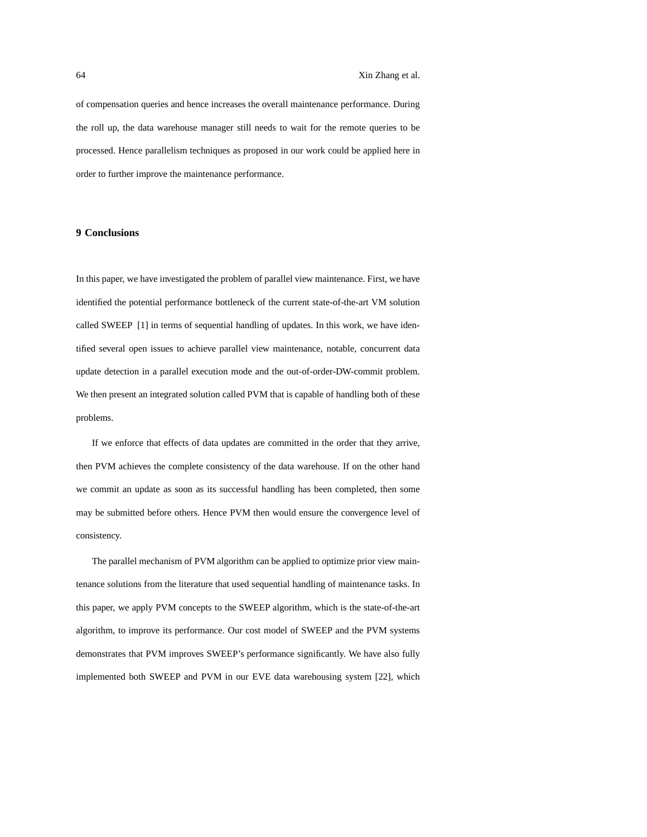of compensation queries and hence increases the overall maintenance performance. During the roll up, the data warehouse manager still needs to wait for the remote queries to be processed. Hence parallelism techniques as proposed in our work could be applied here in order to further improve the maintenance performance.

# **9 Conclusions**

In this paper, we have investigated the problem of parallel view maintenance. First, we have identified the potential performance bottleneck of the current state-of-the-art VM solution called SWEEP [1] in terms of sequential handling of updates. In this work, we have identified several open issues to achieve parallel view maintenance, notable, concurrent data update detection in a parallel execution mode and the out-of-order-DW-commit problem. We then present an integrated solution called PVM that is capable of handling both of these problems.

If we enforce that effects of data updates are committed in the order that they arrive, then PVM achieves the complete consistency of the data warehouse. If on the other hand we commit an update as soon as its successful handling has been completed, then some may be submitted before others. Hence PVM then would ensure the convergence level of consistency.

The parallel mechanism of PVM algorithm can be applied to optimize prior view maintenance solutions from the literature that used sequential handling of maintenance tasks. In this paper, we apply PVM concepts to the SWEEP algorithm, which is the state-of-the-art algorithm, to improve its performance. Our cost model of SWEEP and the PVM systems demonstrates that PVM improves SWEEP's performance significantly. We have also fully implemented both SWEEP and PVM in our EVE data warehousing system [22], which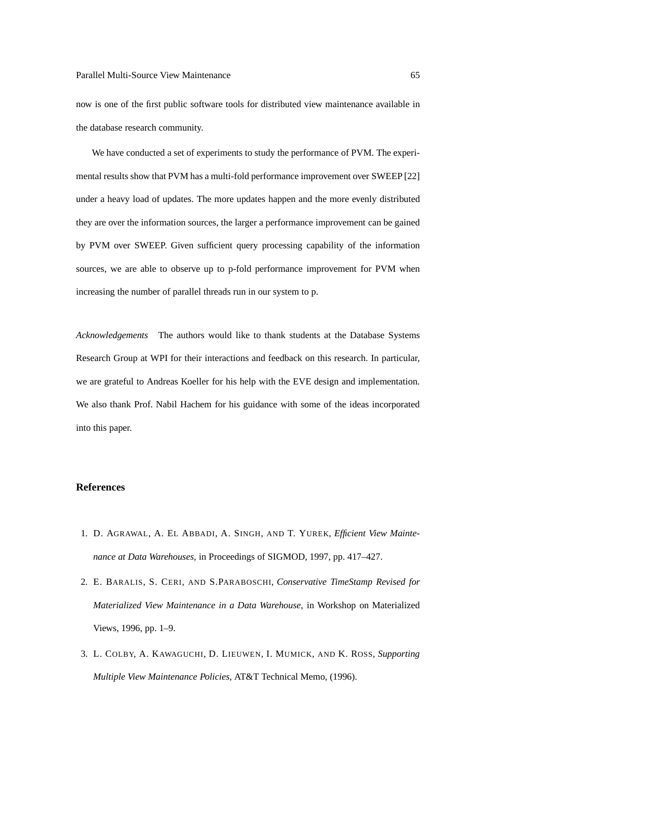### Parallel Multi-Source View Maintenance 65

now is one of the first public software tools for distributed view maintenance available in the database research community.

We have conducted a set of experiments to study the performance of PVM. The experimental results show that PVM has a multi-fold performance improvement over SWEEP [22] under a heavy load of updates. The more updates happen and the more evenly distributed they are over the information sources, the larger a performance improvement can be gained by PVM over SWEEP. Given sufficient query processing capability of the information sources, we are able to observe up to p-fold performance improvement for PVM when increasing the number of parallel threads run in our system to p.

*Acknowledgements* The authors would like to thank students at the Database Systems Research Group at WPI for their interactions and feedback on this research. In particular, we are grateful to Andreas Koeller for his help with the EVE design and implementation. We also thank Prof. Nabil Hachem for his guidance with some of the ideas incorporated into this paper.

## **References**

- 1. D. AGRAWAL, A. EL ABBADI, A. SINGH, AND T. YUREK, *Efficient View Maintenance at Data Warehouses*, in Proceedings of SIGMOD, 1997, pp. 417–427.
- 2. E. BARALIS, S. CERI, AND S.PARABOSCHI, *Conservative TimeStamp Revised for Materialized View Maintenance in a Data Warehouse*, in Workshop on Materialized Views, 1996, pp. 1–9.
- 3. L. COLBY, A. KAWAGUCHI, D. LIEUWEN, I. MUMICK, AND K. ROSS, *Supporting Multiple View Maintenance Policies*, AT&T Technical Memo, (1996).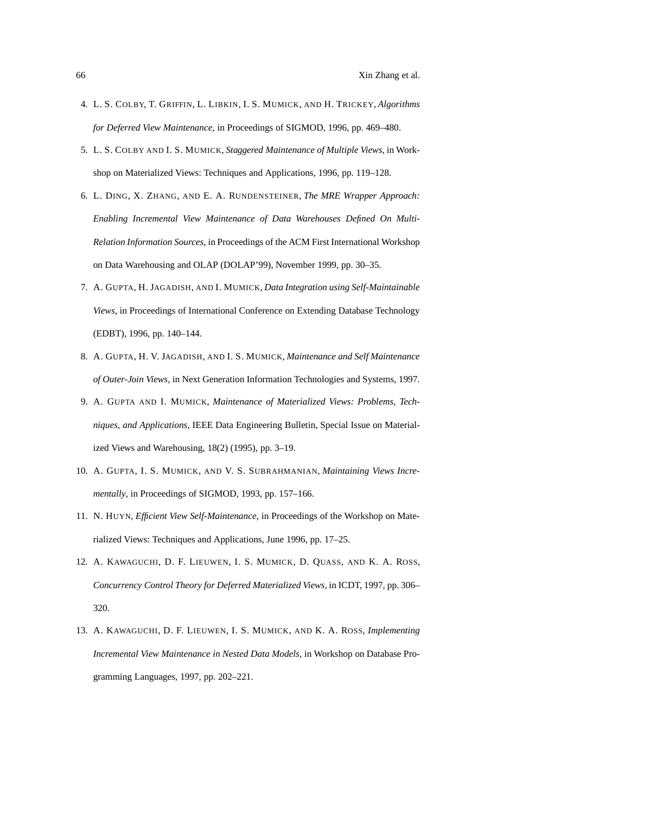- 4. L. S. COLBY, T. GRIFFIN, L. LIBKIN, I. S. MUMICK, AND H. TRICKEY, *Algorithms for Deferred View Maintenance*, in Proceedings of SIGMOD, 1996, pp. 469–480.
- 5. L. S. COLBY AND I. S. MUMICK, *Staggered Maintenance of Multiple Views*, in Workshop on Materialized Views: Techniques and Applications, 1996, pp. 119–128.
- 6. L. DING, X. ZHANG, AND E. A. RUNDENSTEINER, *The MRE Wrapper Approach: Enabling Incremental View Maintenance of Data Warehouses Defined On Multi-Relation Information Sources*, in Proceedings of the ACM First International Workshop on Data Warehousing and OLAP (DOLAP'99), November 1999, pp. 30–35.
- 7. A. GUPTA, H. JAGADISH, AND I. MUMICK, *Data Integration using Self-Maintainable Views*, in Proceedings of International Conference on Extending Database Technology (EDBT), 1996, pp. 140–144.
- 8. A. GUPTA, H. V. JAGADISH, AND I. S. MUMICK, *Maintenance and Self Maintenance of Outer-Join Views*, in Next Generation Information Technologies and Systems, 1997.
- 9. A. GUPTA AND I. MUMICK, *Maintenance of Materialized Views: Problems, Techniques, and Applications*, IEEE Data Engineering Bulletin, Special Issue on Materialized Views and Warehousing, 18(2) (1995), pp. 3–19.
- 10. A. GUPTA, I. S. MUMICK, AND V. S. SUBRAHMANIAN, *Maintaining Views Incrementally*, in Proceedings of SIGMOD, 1993, pp. 157–166.
- 11. N. HUYN, *Efficient View Self-Maintenance*, in Proceedings of the Workshop on Materialized Views: Techniques and Applications, June 1996, pp. 17–25.
- 12. A. KAWAGUCHI, D. F. LIEUWEN, I. S. MUMICK, D. QUASS, AND K. A. ROSS, *Concurrency Control Theory for Deferred Materialized Views*, in ICDT, 1997, pp. 306– 320.
- 13. A. KAWAGUCHI, D. F. LIEUWEN, I. S. MUMICK, AND K. A. ROSS, *Implementing Incremental View Maintenance in Nested Data Models*, in Workshop on Database Programming Languages, 1997, pp. 202–221.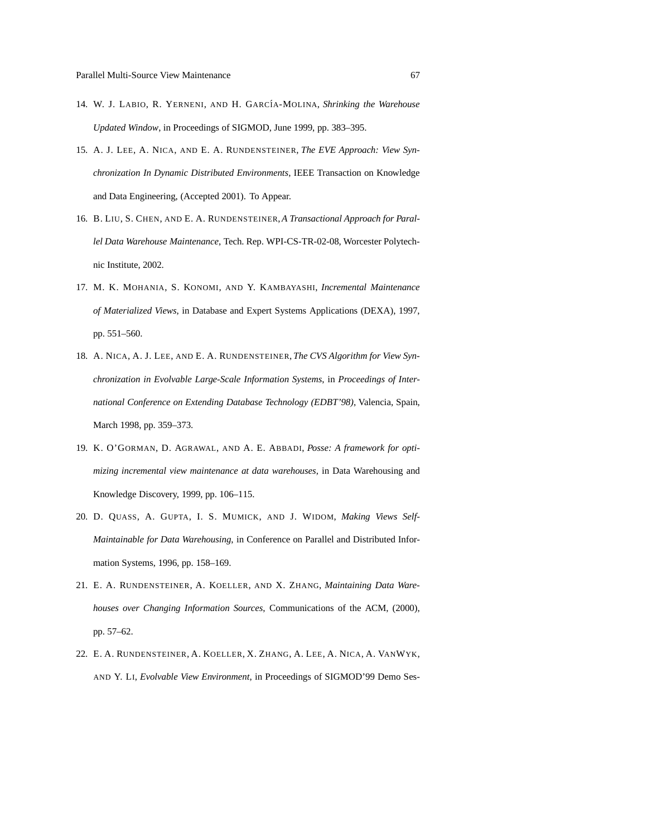- 14. W. J. LABIO, R. YERNENI, AND H. GARC´IA-MOLINA, *Shrinking the Warehouse Updated Window*, in Proceedings of SIGMOD, June 1999, pp. 383–395.
- 15. A. J. LEE, A. NICA, AND E. A. RUNDENSTEINER, *The EVE Approach: View Synchronization In Dynamic Distributed Environments*, IEEE Transaction on Knowledge and Data Engineering, (Accepted 2001). To Appear.
- 16. B. LIU, S. CHEN, AND E. A. RUNDENSTEINER,*A Transactional Approach for Parallel Data Warehouse Maintenance*, Tech. Rep. WPI-CS-TR-02-08, Worcester Polytechnic Institute, 2002.
- 17. M. K. MOHANIA, S. KONOMI, AND Y. KAMBAYASHI, *Incremental Maintenance of Materialized Views*, in Database and Expert Systems Applications (DEXA), 1997, pp. 551–560.
- 18. A. NICA, A. J. LEE, AND E. A. RUNDENSTEINER, *The CVS Algorithm for View Synchronization in Evolvable Large-Scale Information Systems*, in *Proceedings of International Conference on Extending Database Technology (EDBT'98)*, Valencia, Spain, March 1998, pp. 359–373.
- 19. K. O'GORMAN, D. AGRAWAL, AND A. E. ABBADI, *Posse: A framework for optimizing incremental view maintenance at data warehouses*, in Data Warehousing and Knowledge Discovery, 1999, pp. 106–115.
- 20. D. QUASS, A. GUPTA, I. S. MUMICK, AND J. WIDOM, *Making Views Self-Maintainable for Data Warehousing*, in Conference on Parallel and Distributed Information Systems, 1996, pp. 158–169.
- 21. E. A. RUNDENSTEINER, A. KOELLER, AND X. ZHANG, *Maintaining Data Warehouses over Changing Information Sources*, Communications of the ACM, (2000), pp. 57–62.
- 22. E. A. RUNDENSTEINER, A. KOELLER, X. ZHANG, A. LEE, A. NICA, A. VANWYK, AND Y. LI, *Evolvable View Environment*, in Proceedings of SIGMOD'99 Demo Ses-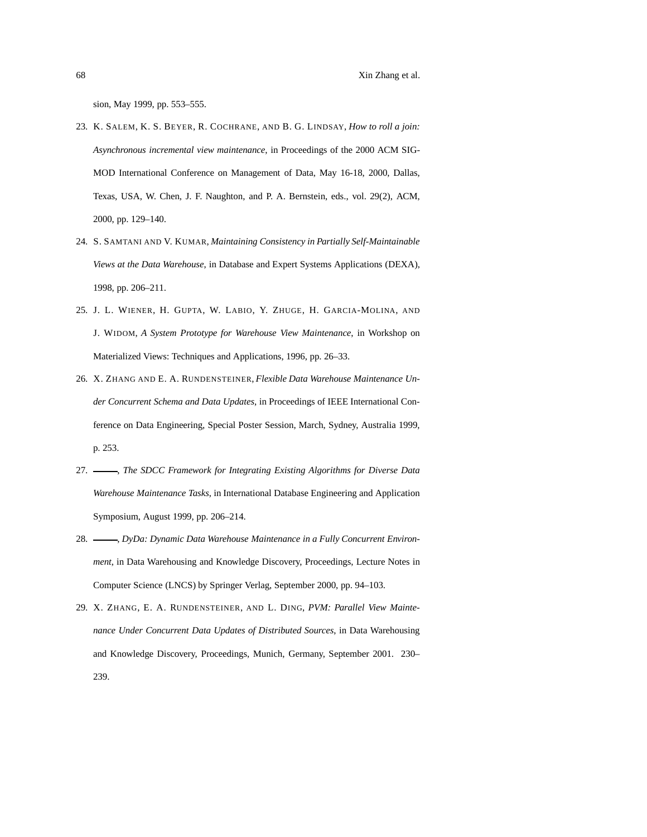sion, May 1999, pp. 553–555.

- 23. K. SALEM, K. S. BEYER, R. COCHRANE, AND B. G. LINDSAY, *How to roll a join: Asynchronous incremental view maintenance*, in Proceedings of the 2000 ACM SIG-MOD International Conference on Management of Data, May 16-18, 2000, Dallas, Texas, USA, W. Chen, J. F. Naughton, and P. A. Bernstein, eds., vol. 29(2), ACM, 2000, pp. 129–140.
- 24. S. SAMTANI AND V. KUMAR, *Maintaining Consistency in Partially Self-Maintainable Views at the Data Warehouse*, in Database and Expert Systems Applications (DEXA), 1998, pp. 206–211.
- 25. J. L. WIENER, H. GUPTA, W. LABIO, Y. ZHUGE, H. GARCIA-MOLINA, AND J. WIDOM, *A System Prototype for Warehouse View Maintenance*, in Workshop on Materialized Views: Techniques and Applications, 1996, pp. 26–33.
- 26. X. ZHANG AND E. A. RUNDENSTEINER, *Flexible Data Warehouse Maintenance Under Concurrent Schema and Data Updates*, in Proceedings of IEEE International Conference on Data Engineering, Special Poster Session, March, Sydney, Australia 1999, p. 253.
- 27. , *The SDCC Framework for Integrating Existing Algorithms for Diverse Data Warehouse Maintenance Tasks*, in International Database Engineering and Application Symposium, August 1999, pp. 206–214.
- 28. , *DyDa: Dynamic Data Warehouse Maintenance in a Fully Concurrent Environment*, in Data Warehousing and Knowledge Discovery, Proceedings, Lecture Notes in Computer Science (LNCS) by Springer Verlag, September 2000, pp. 94–103.
- 29. X. ZHANG, E. A. RUNDENSTEINER, AND L. DING, *PVM: Parallel View Maintenance Under Concurrent Data Updates of Distributed Sources*, in Data Warehousing and Knowledge Discovery, Proceedings, Munich, Germany, September 2001. 230– 239.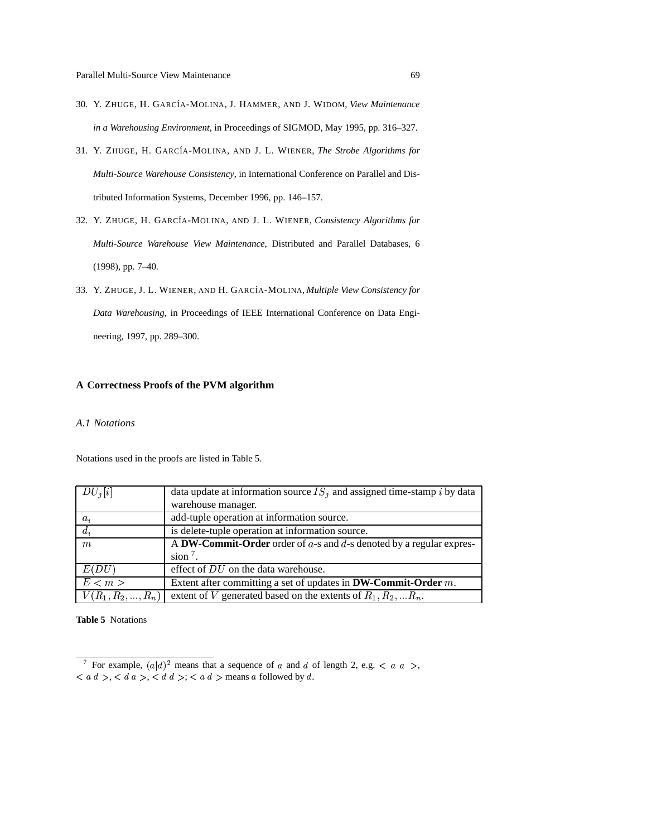- 30. Y. ZHUGE, H. GARC´IA-MOLINA, J. HAMMER, AND J. WIDOM, *View Maintenance in a Warehousing Environment*, in Proceedings of SIGMOD, May 1995, pp. 316–327.
- 31. Y. ZHUGE, H. GARC´IA-MOLINA, AND J. L. WIENER, *The Strobe Algorithms for Multi-Source Warehouse Consistency*, in International Conference on Parallel and Distributed Information Systems, December 1996, pp. 146–157.
- 32. Y. ZHUGE, H. GARC´IA-MOLINA, AND J. L. WIENER, *Consistency Algorithms for Multi-Source Warehouse View Maintenance*, Distributed and Parallel Databases, 6 (1998), pp. 7–40.
- 33. Y. ZHUGE, J. L. WIENER, AND H. GARC´IA-MOLINA, *Multiple View Consistency for Data Warehousing*, in Proceedings of IEEE International Conference on Data Engineering, 1997, pp. 289–300.

# **A Correctness Proofs of the PVM algorithm**

#### *A.1 Notations*

Notations used in the proofs are listed in Table 5.

| $DU_i[i]$            | data update at information source $IS_i$ and assigned time-stamp i by data |
|----------------------|----------------------------------------------------------------------------|
|                      | warehouse manager.                                                         |
| $a_i$                | add-tuple operation at information source.                                 |
| $d_i$                | is delete-tuple operation at information source.                           |
| $\boldsymbol{m}$     | A DW-Commit-Order order of $a$ -s and $d$ -s denoted by a regular expres-  |
|                      | sion $^7$ .                                                                |
| E(DU)                | effect of DU on the data warehouse.                                        |
| E < m                | Extent after committing a set of updates in <b>DW-Commit-Order</b> $m$ .   |
| $V(R_1, R_2, , R_n)$ | extent of V generated based on the extents of $R_1, R_2,  R_n$ .           |

### **Table 5** Notations

<sup>&</sup>lt;sup>7</sup> For example,  $(a|d)^2$  means that a sequence of a and d of length 2, e.g.  $\lt a$  a  $\gt$ ,  $\langle a \, d \rangle, \langle d \, a \rangle, \langle d \, d \rangle, \langle a \, d \rangle$  means a followed by d.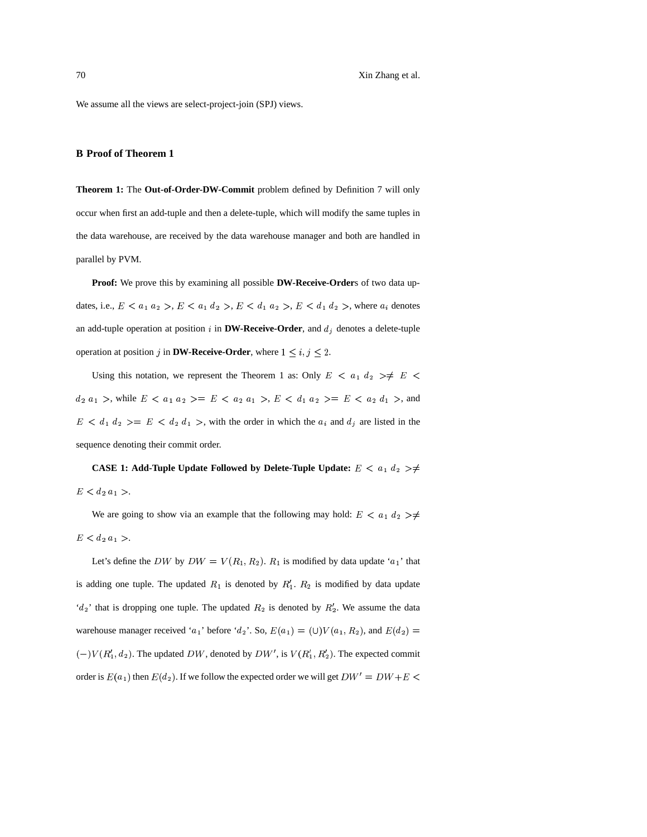We assume all the views are select-project-join (SPJ) views.

### **B Proof of Theorem 1**

**Theorem 1:** The **Out-of-Order-DW-Commit** problem defined by Definition 7 will only occur when first an add-tuple and then a delete-tuple, which will modify the same tuples in the data warehouse, are received by the data warehouse manager and both are handled in parallel by PVM.

**Proof:** We prove this by examining all possible **DW-Receive-Order**s of two data updates, i.e.,  $E < a_1 a_2 > E < a_1 d_2 > E < d_1 a_2 > E < d_1 d_2 >$ , where  $a_i$  denotes an add-tuple operation at position  $i$  in **DW-Receive-Order**, and  $d_j$  denotes a delete-tuple operation at position j in **DW-Receive-Order**, where  $1 \leq i, j \leq 2$ .

Using this notation, we represent the Theorem 1 as: Only  $E \le a_1 \ d_2 \ge \ne E \le$  $d_2$   $a_1$  >, while  $E < a_1 a_2$  > =  $E < a_2 a_1$  >,  $E < d_1 a_2$  >=  $E < a_2 d_1$  >, and  $E < d_1 d_2 > E < d_2 d_1 >$ , with the order in which the  $a_i$  and  $d_j$  are listed in the sequence denoting their commit order.

**CASE** 1: Add-Tuple Update Followed by Delete-Tuple Update:  $E < a_1 d_2 > \neq$  $E < d_2 a_1 >$ .

We are going to show via an example that the following may hold:  $E < a_1 d_2 > \neq$  $E < d_2 a_1 >$ .

Let's define the DW by  $DW = V(R_1, R_2)$ .  $R_1$  is modified by data update ' $a_1$ ' that is adding one tuple. The updated  $R_1$  is denoted by  $R'_1$ .  $R_2$  is modified by data update  $d_2$  that is dropping one tuple. The updated  $R_2$  is denoted by  $R'_2$ . We assume the data warehouse manager received 'a<sub>1</sub>' before 'd<sub>2</sub>'. So,  $E(a_1) = (\cup)V(a_1, R_2)$ , and  $E(d_2) =$  $(-)V(R'_1, d_2)$ . The updated DW, denoted by DW', is  $V(R'_1, R'_2)$ . The expected commit order is  $E(a_1)$  then  $E(d_2)$ . If we follow the expected order we will get  $DW' = DW + E$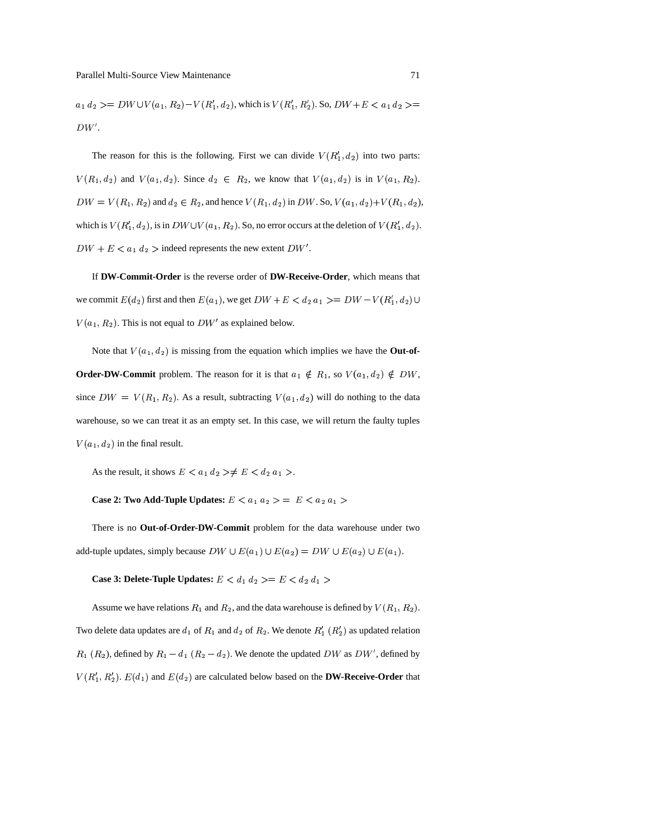$a_1 d_2 \ge D W \cup V(a_1, R_2) - V(R'_1, d_2)$ , which is  $V(R'_1, R'_2)$ . So,  $DW + E < a_1 d_2 \ge D W$  $DW'$ .

The reason for this is the following. First we can divide  $V(R'_1, d_2)$  into two parts:  $V(R_1, d_2)$  and  $V(a_1, d_2)$ . Since  $d_2 \in R_2$ , we know that  $V(a_1, d_2)$  is in  $V(a_1, R_2)$ .  $DW = V(R_1, R_2)$  and  $d_2 \in R_2$ , and hence  $V(R_1, d_2)$  in  $DW$ . So,  $V(a_1, d_2) + V(R_1, d_2)$ , which is  $V(R'_1, d_2)$ , is in  $DW\cup V(a_1, R_2)$ . So, no error occurs at the deletion of  $V(R'_1, d_2)$ .  $DW + E < a_1 \, d_2$  > indeed represents the new extent  $DW'$ .

If **DW-Commit-Order** is the reverse order of **DW-Receive-Order**, which means that we commit  $E(d_2)$  first and then  $E(a_1)$ , we get  $DW + E < d_2 a_1 > = DW - V(R'_1, d_2) \cup$  $V(a_1, R_2)$ . This is not equal to  $DW'$  as explained below.

Note that  $V(a_1, d_2)$  is missing from the equation which implies we have the **Out-of-Order-DW-Commit** problem. The reason for it is that  $a_1 \notin R_1$ , so  $V(a_1, d_2) \notin DW$ , since  $DW = V(R_1, R_2)$ . As a result, subtracting  $V(a_1, d_2)$  will do nothing to the data warehouse, so we can treat it as an empty set. In this case, we will return the faulty tuples  $V(a_1, d_2)$  in the final result.

As the result, it shows  $E < a_1 d_2 \geq \neq E < d_2 a_1 >$ .

**Case 2: Two Add-Tuple Updates:**  $E < a_1 \ a_2 > E < a_2 \ a_1 >$ 

There is no **Out-of-Order-DW-Commit** problem for the data warehouse under two add-tuple updates, simply because  $DW \cup E(a_1) \cup E(a_2) = DW \cup E(a_2) \cup E(a_1)$ .

**Case 3: Delete-Tuple Updates:**  $E < d_1 d_2 > E < d_2 d_1 >$ 

Assume we have relations  $R_1$  and  $R_2$ , and the data warehouse is defined by  $V(R_1, R_2)$ . Two delete data updates are  $d_1$  of  $R_1$  and  $d_2$  of  $R_2$ . We denote  $R'_1$   $(R'_2)$  as updated relation  $R_1(R_2)$ , defined by  $R_1 - d_1 (R_2 - d_2)$ . We denote the updated DW as DW', defined by  $V(R'_1, R'_2)$ .  $E(d_1)$  and  $E(d_2)$  are calculated below based on the **DW-Receive-Order** that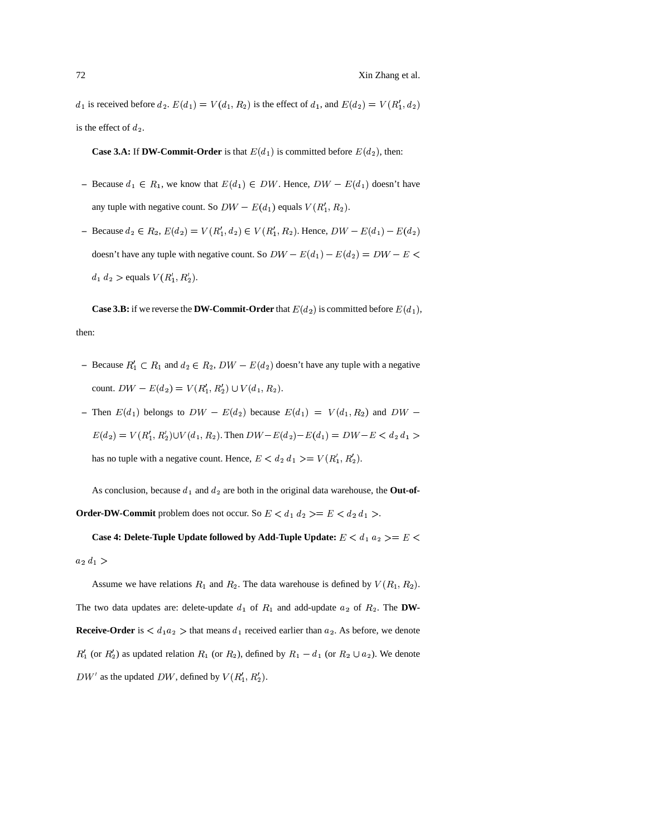$d_1$  is received before  $d_2$ .  $E(d_1) = V(d_1, R_2)$  is the effect of  $d_1$ , and  $E(d_2) = V(R'_1, d_2)$ is the effect of  $d_2$ .

**Case 3.A:** If **DW-Commit-Order** is that  $E(d_1)$  is committed before  $E(d_2)$ , then:

- Because  $d_1 \in R_1$ , we know that  $E(d_1) \in DW$ . Hence,  $DW E(d_1)$  doesn't have any tuple with negative count. So  $DW - E(d_1)$  equals  $V(R'_1, R_2)$ .
- $P =$  Because  $d_2 \in R_2$ ,  $E(d_2) = V(R'_1, d_2) \in V(R'_1, R_2)$ . Hence,  $DW E(d_1) E(d_2)$ doesn't have any tuple with negative count. So  $DW - E(d_1) - E(d_2) = DW - E <$  $d_1 d_2 >$  equals  $V(R'_1, R'_2)$ .

**Case 3.B:** if we reverse the **DW-Commit-Order** that  $E(d_2)$  is committed before  $E(d_1)$ , then:

- $-$  Because  $R'_1 \subset R_1$  and  $d_2 \in R_2$ ,  $DW E(d_2)$  doesn't have any tuple with a negative count.  $DW - E(d_2) = V(R'_1, R'_2) \cup V(d_1, R_2)$ .
- Then  $E(d_1)$  belongs to  $DW E(d_2)$  because  $E(d_1) = V(d_1, R_2)$  and  $DW E(d_2) = V(R'_1, R'_2) \cup V(d_1, R_2)$ . Then  $DW - E(d_2) - E(d_1) = DW - E < d_2 d_1 >$ has no tuple with a negative count. Hence,  $E < d_2 d_1 > = V(R'_1, R'_2)$ .

As conclusion, because  $d_1$  and  $d_2$  are both in the original data warehouse, the **Out-of-Order-DW-Commit** problem does not occur. So  $E < d_1 d_2 > E < d_2 d_1 >$ .

Case 4: Delete-Tuple Update followed by Add-Tuple Update:  $E < d_1 \ a_2 > = E <$  $a_2$   $d_1$  >

Assume we have relations  $R_1$  and  $R_2$ . The data warehouse is defined by  $V(R_1, R_2)$ . The two data updates are: delete-update  $d_1$  of  $R_1$  and add-update  $a_2$  of  $R_2$ . The **DW**-**Receive-Order** is  $\langle d_1 a_2 \rangle$  that means  $d_1$  received earlier than  $a_2$ . As before, we denote  $R'_1$  (or  $R'_2$ ) as updated relation  $R_1$  (or  $R_2$ ), defined by  $R_1 - d_1$  (or  $R_2 \cup a_2$ ). We denote  $DW'$  as the updated DW, defined by  $V(R'_1, R'_2)$ .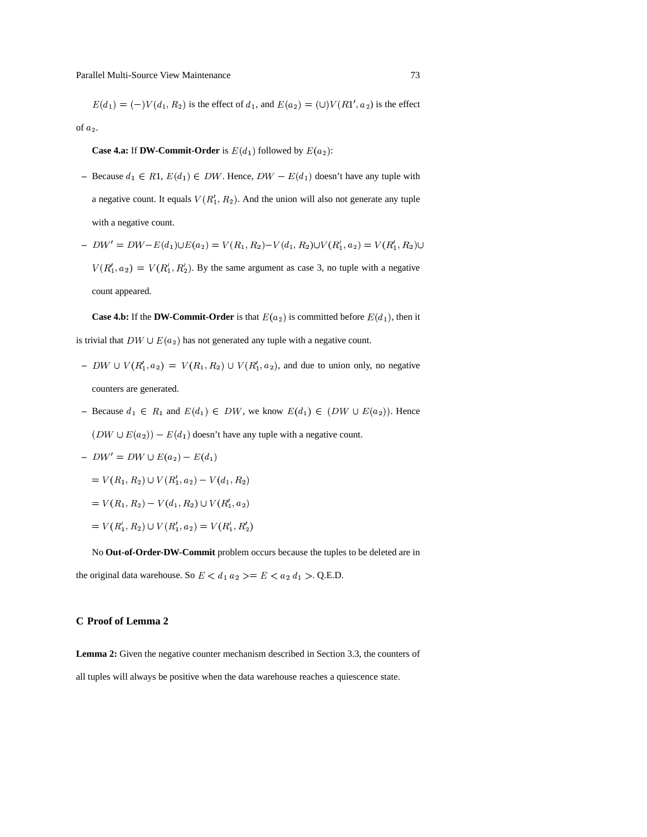$E(d_1) = (-)V(d_1, R_2)$  is the effect of  $d_1$ , and  $E(a_2) = (U)V(R1', a_2)$  is the effect  $of a_2.$ 

### **Case 4.a:** If **DW-Commit-Order** is  $E(d_1)$  followed by  $E(a_2)$ :

- $-$  Because  $d_1 \in R1$ ,  $E(d_1) \in DW$ . Hence,  $DW E(d_1)$  doesn't have any tuple with a negative count. It equals  $V(R'_1, R_2)$ . And the union will also not generate any tuple with a negative count.
- $DW' = DW E(d_1) \cup E(a_2) = V(R_1, R_2) V(d_1, R_2) \cup V(R'_1, a_2) = V(R'_1, R_2) \cup$  $V(R'_1, a_2) = V(R'_1, R'_2)$ . By the same argument as case 3, no tuple with a negative count appeared.

**Case 4.b:** If the **DW-Commit-Order** is that  $E(a_2)$  is committed before  $E(d_1)$ , then it is trivial that  $DW \cup E(a_2)$  has not generated any tuple with a negative count.

- $D W \cup V(R'_1, a_2) = V(R_1, R_2) \cup V(R'_1, a_2)$ , and due to union only, no negative counters are generated.
- $-$  Because  $d_1 \in R_1$  and  $E(d_1) \in DW$ , we know  $E(d_1) \in (DW \cup E(a_2))$ . Hence  $(DW \cup E(a_2)) - E(d_1)$  doesn't have any tuple with a negative count.
- $-DW' = DW \cup E(a_2) E(d_1)$

 $= V(R_1, R_2) \cup V(R'_1, a_2) - V(d_1, R_2)$ 

- $= V(R_1, R_2) V(d_1, R_2) \cup V(R'_1, a_2)$
- $= V(R'_1, R_2) \cup V(R'_1, a_2) = V(R'_1, R'_2)$

No **Out-of-Order-DW-Commit** problem occurs because the tuples to be deleted are in the original data warehouse. So  $E < d_1 a_2 > E < a_2 d_1 > Q.E.D.$ 

## **C Proof of Lemma 2**

**Lemma 2:** Given the negative counter mechanism described in Section 3.3, the counters of all tuples will always be positive when the data warehouse reaches a quiescence state.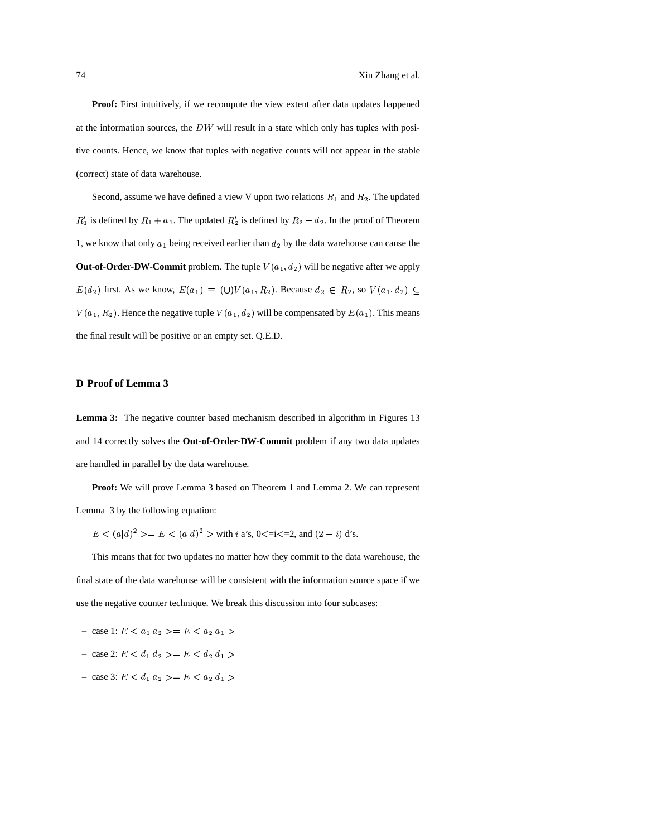**Proof:** First intuitively, if we recompute the view extent after data updates happened at the information sources, the  $DW$  will result in a state which only has tuples with positive counts. Hence, we know that tuples with negative counts will not appear in the stable (correct) state of data warehouse.

Second, assume we have defined a view V upon two relations  $R_1$  and  $R_2$ . The updated  $R'_1$  is defined by  $R_1 + a_1$ . The updated  $R'_2$  is defined by  $R_2 - d_2$ . In the proof of Theorem 1, we know that only  $a_1$  being received earlier than  $d_2$  by the data warehouse can cause the **Out-of-Order-DW-Commit** problem. The tuple  $V(a_1, d_2)$  will be negative after we apply  $E(d_2)$  first. As we know,  $E(a_1) = (\cup)V(a_1, R_2)$ . Because  $d_2 \in R_2$ , so  $V(a_1, d_2) \subseteq$  $V(a_1, R_2)$ . Hence the negative tuple  $V(a_1, d_2)$  will be compensated by  $E(a_1)$ . This means the final result will be positive or an empty set. Q.E.D.

# **D Proof of Lemma 3**

**Lemma 3:** The negative counter based mechanism described in algorithm in Figures 13 and 14 correctly solves the **Out-of-Order-DW-Commit** problem if any two data updates are handled in parallel by the data warehouse.

**Proof:** We will prove Lemma 3 based on Theorem 1 and Lemma 2. We can represent Lemma 3 by the following equation:

 $E < (a|d)^2> E < (a|d)^2>$  with i a's, 0<=i<=2, and  $(2-i)$  d's.

This means that for two updates no matter how they commit to the data warehouse, the final state of the data warehouse will be consistent with the information source space if we use the negative counter technique. We break this discussion into four subcases:

- $-$  case 1:  $E < a_1 a_2 > = E < a_2 a_1 >$
- $-$  case 2:  $E < d_1 d_2$  > =  $E < d_2 d_1$  >
- $-$  case 3:  $E < d_1 a_2 > = E < a_2 d_1 >$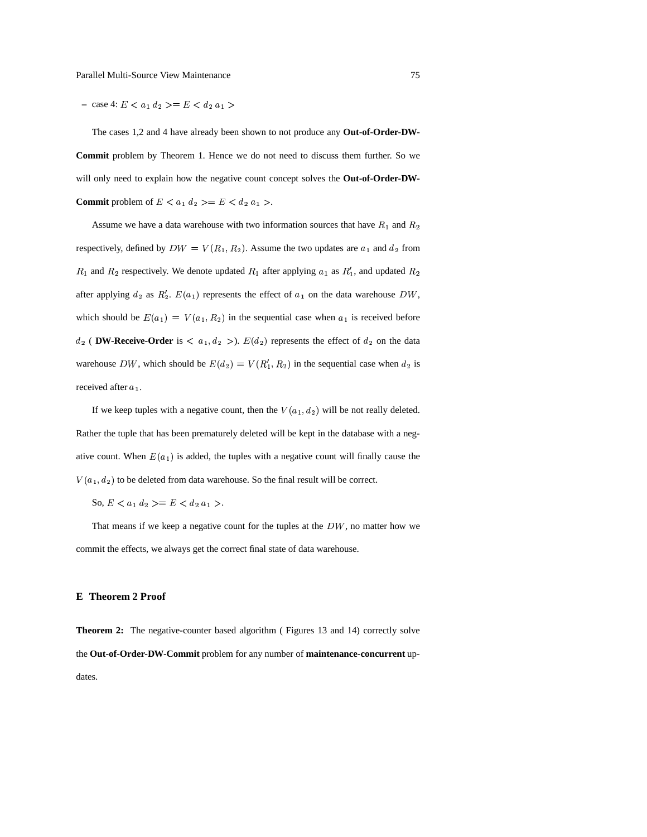#### $-$  case 4:  $E < a_1 d_2$  >=  $E < d_2 a_1$  >

The cases 1,2 and 4 have already been shown to not produce any **Out-of-Order-DW-Commit** problem by Theorem 1. Hence we do not need to discuss them further. So we will only need to explain how the negative count concept solves the **Out-of-Order-DW-Commit** problem of  $E < a_1 d_2 > E < d_2 a_1 >$ .

Assume we have a data warehouse with two information sources that have  $R_1$  and  $R_2$ respectively, defined by  $DW = V(R_1, R_2)$ . Assume the two updates are  $a_1$  and  $d_2$  from  $R_1$  and  $R_2$  respectively. We denote updated  $R_1$  after applying  $a_1$  as  $R'_1$ , and updated  $R_2$ after applying  $d_2$  as  $R'_2$ .  $E(a_1)$  represents the effect of  $a_1$  on the data warehouse DW, which should be  $E(a_1) = V(a_1, R_2)$  in the sequential case when  $a_1$  is received before  $d_2$  ( **DW-Receive-Order** is  $\langle a_1, d_2 \rangle$ ).  $E(d_2)$  represents the effect of  $d_2$  on the data warehouse DW, which should be  $E(d_2) = V(R'_1, R_2)$  in the sequential case when  $d_2$  is received after  $a_1$ .

If we keep tuples with a negative count, then the  $V(a_1, d_2)$  will be not really deleted. Rather the tuple that has been prematurely deleted will be kept in the database with a negative count. When  $E(a_1)$  is added, the tuples with a negative count will finally cause the  $V(a_1, d_2)$  to be deleted from data warehouse. So the final result will be correct.

So,  $E < a_1 d_2 > = E < d_2 a_1 >$ .

That means if we keep a negative count for the tuples at the  $DW$ , no matter how we commit the effects, we always get the correct final state of data warehouse.

#### **E Theorem 2 Proof**

**Theorem 2:** The negative-counter based algorithm (Figures 13 and 14) correctly solve the **Out-of-Order-DW-Commit** problem for any number of **maintenance-concurrent** updates.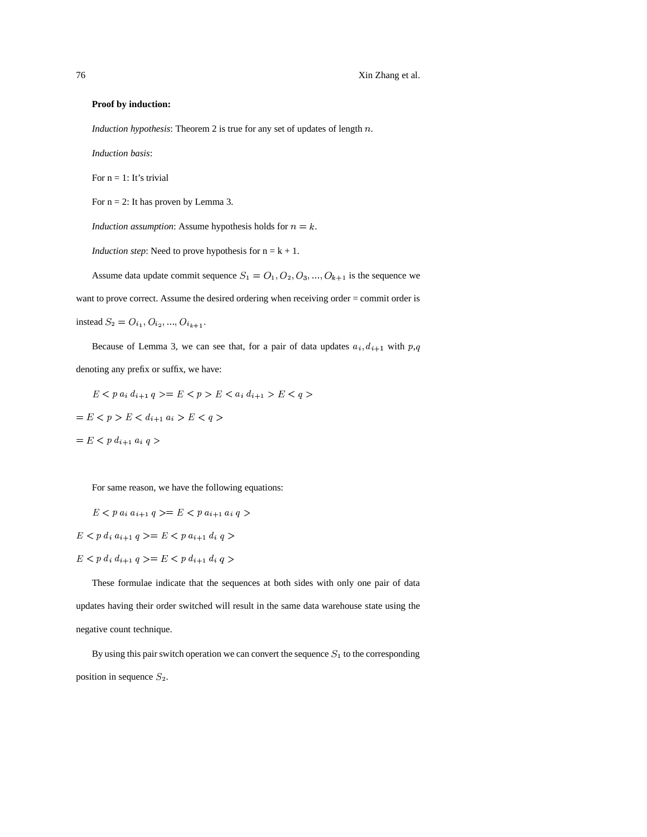## **Proof by induction:**

*Induction hypothesis*: Theorem 2 is true for any set of updates of length  $n$ .

*Induction basis*:

For  $n = 1$ : It's trivial

For  $n = 2$ : It has proven by Lemma 3.

*Induction assumption*: Assume hypothesis holds for  $n = k$ .

*Induction step*: Need to prove hypothesis for  $n = k + 1$ .

Assume data update commit sequence  $S_1 = O_1, O_2, O_3, ..., O_{k+1}$  is the sequence we want to prove correct. Assume the desired ordering when receiving order = commit order is instead  $S_2 = O_{i_1}, O_{i_2}, ..., O_{i_{k+1}}$ .

Because of Lemma 3, we can see that, for a pair of data updates  $a_i, d_{i+1}$  with  $p,q$ denoting any prefix or suffix, we have:

 $E \leq p \, a_i \, d_{i+1} \, q \geq b \leq p \geq E \leq a_i \, d_{i+1} \geq E \leq q \geq 0$  $= E$   $\langle p \rangle E \langle d_{i+1} a_i \rangle E \langle q \rangle$  $= E < p \, d_{i+1} \, a_i \, q >$ 

For same reason, we have the following equations:

 $E \leq p \ d_i \ d_{i+1} \ q \ \geq \ = E \leq p \ d_{i+1} \ d_i \ q \geq$ 

$$
E < p \ a_i \ a_{i+1} \ q \ \gt; = E < p \ a_{i+1} \ a_i \ q \ \gt
$$

 $E \leq p \ d_i \ a_{i+1} \ q \geq E \leq p \ a_{i+1} \ d_i \ q \geq 0$ 

These formulae indicate that the sequences at both sides with only one pair of data updates having their order switched will result in the same data warehouse state using the negative count technique.

By using this pair switch operation we can convert the sequence  $S_1$  to the corresponding position in sequence  $S_2$ .